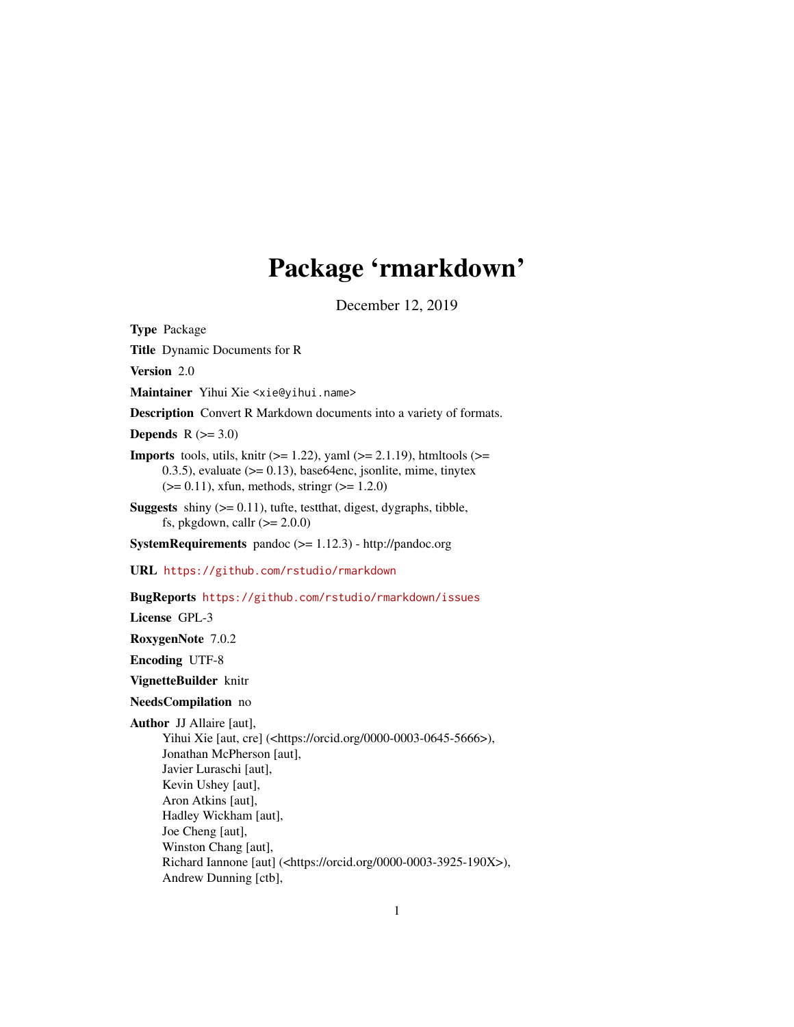# Package 'rmarkdown'

December 12, 2019

<span id="page-0-0"></span>Type Package

Title Dynamic Documents for R

Version 2.0

Maintainer Yihui Xie <xie@yihui.name>

Description Convert R Markdown documents into a variety of formats.

Depends  $R$  ( $>= 3.0$ )

- **Imports** tools, utils, knitr ( $>= 1.22$ ), yaml ( $>= 2.1.19$ ), htmltools ( $>=$ 0.3.5), evaluate  $(>= 0.13)$ , base64enc, jsonlite, mime, tinytex  $(>= 0.11)$ , xfun, methods, stringr  $(>= 1.2.0)$
- **Suggests** shiny  $(>= 0.11)$ , tufte, test that, digest, dygraphs, tibble, fs, pkgdown, callr  $(>= 2.0.0)$

SystemRequirements pandoc (>= 1.12.3) - http://pandoc.org

URL <https://github.com/rstudio/rmarkdown>

BugReports <https://github.com/rstudio/rmarkdown/issues>

License GPL-3

RoxygenNote 7.0.2

Encoding UTF-8

VignetteBuilder knitr

NeedsCompilation no

Author JJ Allaire [aut],

Yihui Xie [aut, cre] (<https://orcid.org/0000-0003-0645-5666>), Jonathan McPherson [aut], Javier Luraschi [aut], Kevin Ushey [aut], Aron Atkins [aut], Hadley Wickham [aut], Joe Cheng [aut], Winston Chang [aut], Richard Iannone [aut] (<https://orcid.org/0000-0003-3925-190X>), Andrew Dunning [ctb],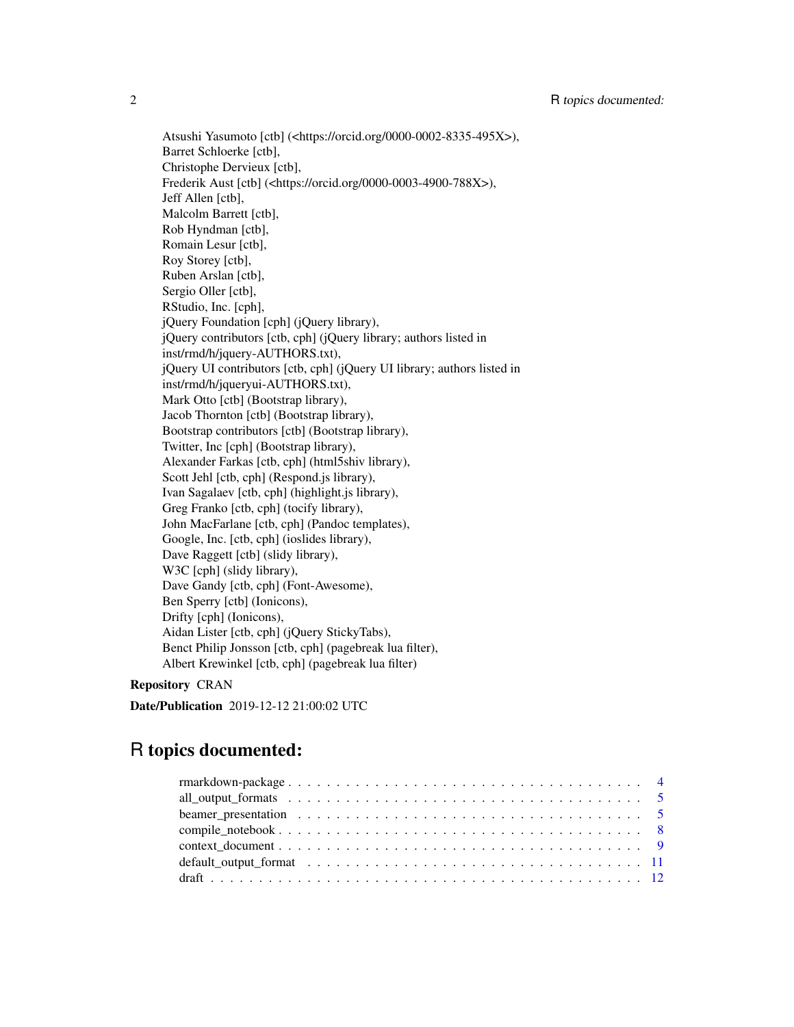Atsushi Yasumoto [ctb] (<https://orcid.org/0000-0002-8335-495X>), Barret Schloerke [ctb], Christophe Dervieux [ctb], Frederik Aust [ctb] (<https://orcid.org/0000-0003-4900-788X>), Jeff Allen [ctb], Malcolm Barrett [ctb], Rob Hyndman [ctb], Romain Lesur [ctb], Roy Storey [ctb], Ruben Arslan [ctb], Sergio Oller [ctb], RStudio, Inc. [cph], jQuery Foundation [cph] (jQuery library), jQuery contributors [ctb, cph] (jQuery library; authors listed in inst/rmd/h/jquery-AUTHORS.txt), jQuery UI contributors [ctb, cph] (jQuery UI library; authors listed in inst/rmd/h/jqueryui-AUTHORS.txt), Mark Otto [ctb] (Bootstrap library), Jacob Thornton [ctb] (Bootstrap library), Bootstrap contributors [ctb] (Bootstrap library), Twitter, Inc [cph] (Bootstrap library), Alexander Farkas [ctb, cph] (html5shiv library), Scott Jehl [ctb, cph] (Respond.js library), Ivan Sagalaev [ctb, cph] (highlight.js library), Greg Franko [ctb, cph] (tocify library), John MacFarlane [ctb, cph] (Pandoc templates), Google, Inc. [ctb, cph] (ioslides library), Dave Raggett [ctb] (slidy library), W3C [cph] (slidy library), Dave Gandy [ctb, cph] (Font-Awesome), Ben Sperry [ctb] (Ionicons), Drifty [cph] (Ionicons), Aidan Lister [ctb, cph] (jQuery StickyTabs), Benct Philip Jonsson [ctb, cph] (pagebreak lua filter), Albert Krewinkel [ctb, cph] (pagebreak lua filter)

# Repository CRAN

Date/Publication 2019-12-12 21:00:02 UTC

# R topics documented: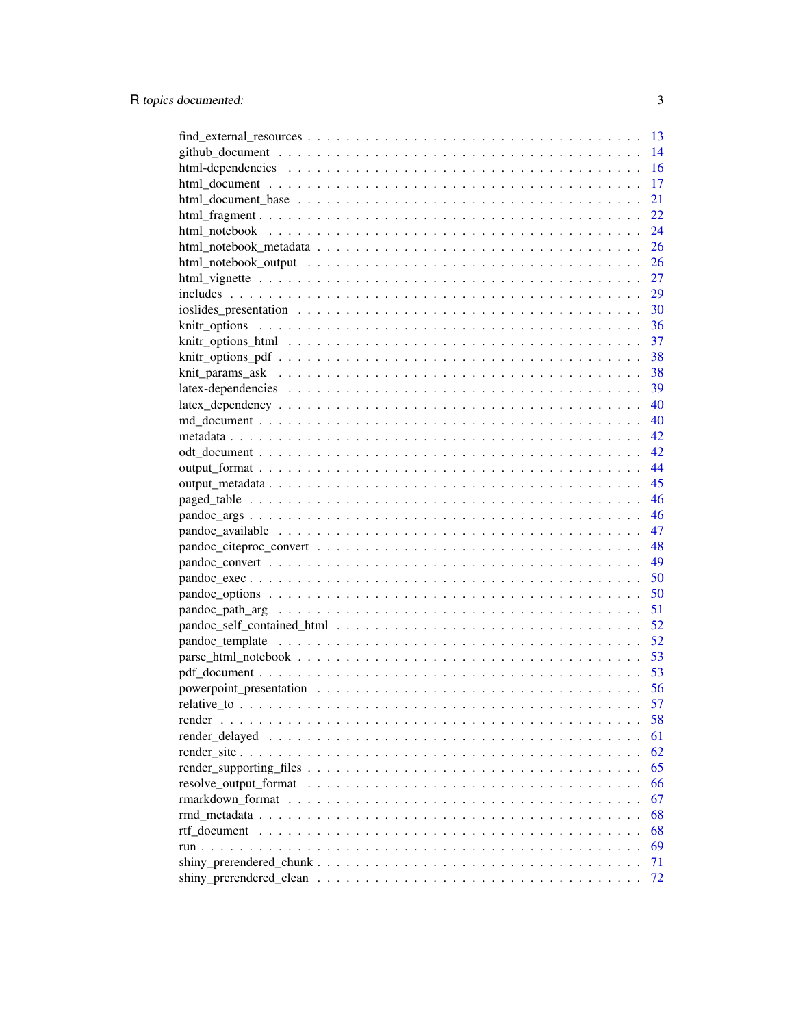|                                                                                                                                                                                                                                | 13 |
|--------------------------------------------------------------------------------------------------------------------------------------------------------------------------------------------------------------------------------|----|
|                                                                                                                                                                                                                                | 14 |
|                                                                                                                                                                                                                                | 16 |
|                                                                                                                                                                                                                                | 17 |
|                                                                                                                                                                                                                                | 21 |
|                                                                                                                                                                                                                                | 22 |
|                                                                                                                                                                                                                                | 24 |
|                                                                                                                                                                                                                                | 26 |
|                                                                                                                                                                                                                                | 26 |
|                                                                                                                                                                                                                                | 27 |
|                                                                                                                                                                                                                                | 29 |
|                                                                                                                                                                                                                                |    |
|                                                                                                                                                                                                                                |    |
|                                                                                                                                                                                                                                |    |
|                                                                                                                                                                                                                                |    |
|                                                                                                                                                                                                                                |    |
|                                                                                                                                                                                                                                |    |
|                                                                                                                                                                                                                                |    |
|                                                                                                                                                                                                                                |    |
|                                                                                                                                                                                                                                |    |
|                                                                                                                                                                                                                                | 42 |
|                                                                                                                                                                                                                                | 44 |
|                                                                                                                                                                                                                                | 45 |
|                                                                                                                                                                                                                                | 46 |
|                                                                                                                                                                                                                                | 46 |
|                                                                                                                                                                                                                                | 47 |
|                                                                                                                                                                                                                                |    |
|                                                                                                                                                                                                                                | 49 |
|                                                                                                                                                                                                                                | 50 |
|                                                                                                                                                                                                                                | 50 |
|                                                                                                                                                                                                                                | 51 |
|                                                                                                                                                                                                                                | 52 |
|                                                                                                                                                                                                                                | 52 |
|                                                                                                                                                                                                                                | 53 |
|                                                                                                                                                                                                                                | 53 |
|                                                                                                                                                                                                                                |    |
|                                                                                                                                                                                                                                | 57 |
| render                                                                                                                                                                                                                         | 58 |
| render delayed responses responses to the contract of the contract of the contract of the contract of the contract of the contract of the contract of the contract of the contract of the contract of the contract of the cont | 61 |
|                                                                                                                                                                                                                                | 62 |
|                                                                                                                                                                                                                                | 65 |
|                                                                                                                                                                                                                                | 66 |
|                                                                                                                                                                                                                                | 67 |
|                                                                                                                                                                                                                                | 68 |
| rtf document                                                                                                                                                                                                                   | 68 |
|                                                                                                                                                                                                                                | 69 |
|                                                                                                                                                                                                                                | 71 |
|                                                                                                                                                                                                                                | 72 |
|                                                                                                                                                                                                                                |    |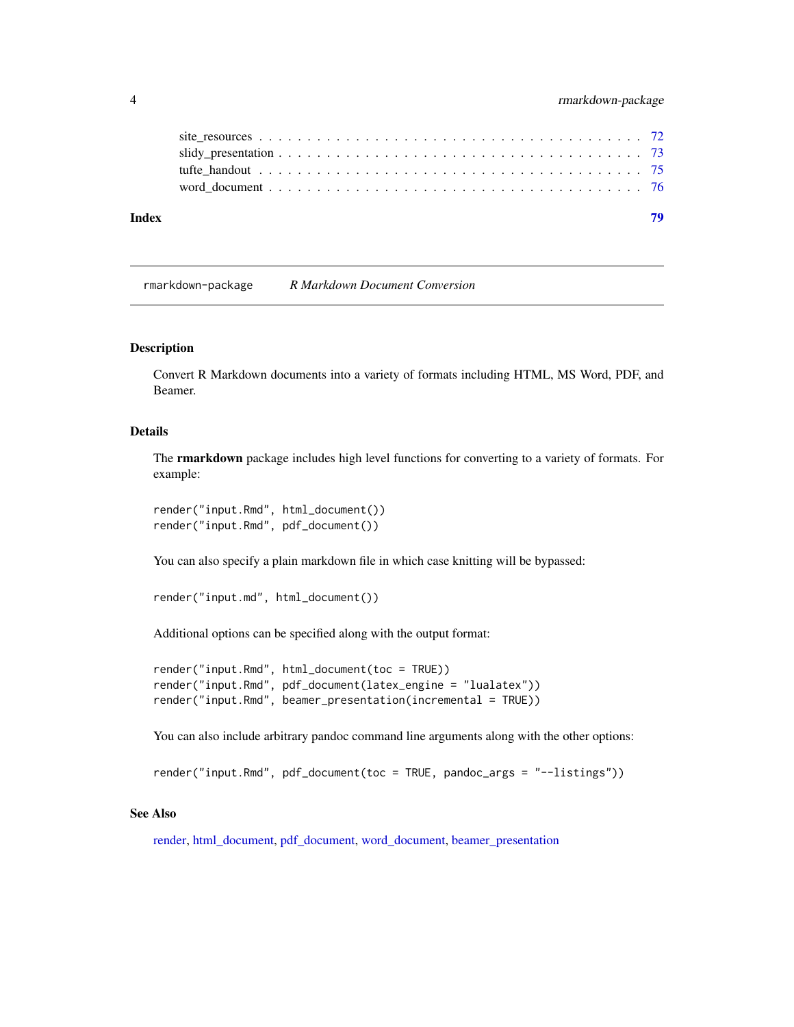<span id="page-3-0"></span>

| Index |  |
|-------|--|
|       |  |
|       |  |
|       |  |
|       |  |

rmarkdown-package *R Markdown Document Conversion*

#### Description

Convert R Markdown documents into a variety of formats including HTML, MS Word, PDF, and Beamer.

#### Details

The **rmarkdown** package includes high level functions for converting to a variety of formats. For example:

render("input.Rmd", html\_document()) render("input.Rmd", pdf\_document())

You can also specify a plain markdown file in which case knitting will be bypassed:

```
render("input.md", html_document())
```
Additional options can be specified along with the output format:

```
render("input.Rmd", html_document(toc = TRUE))
render("input.Rmd", pdf_document(latex_engine = "lualatex"))
render("input.Rmd", beamer_presentation(incremental = TRUE))
```
You can also include arbitrary pandoc command line arguments along with the other options:

render("input.Rmd", pdf\_document(toc = TRUE, pandoc\_args = "--listings"))

#### See Also

[render,](#page-57-1) [html\\_document,](#page-16-1) [pdf\\_document,](#page-52-1) [word\\_document,](#page-75-1) [beamer\\_presentation](#page-4-1)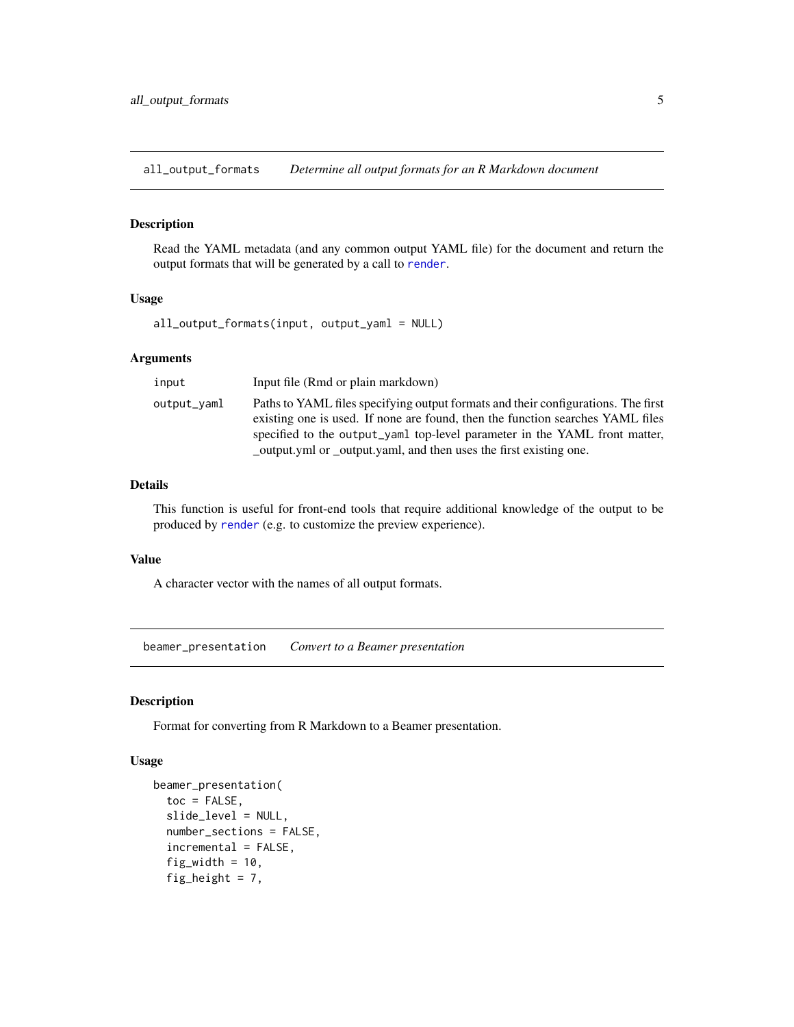<span id="page-4-0"></span>all\_output\_formats *Determine all output formats for an R Markdown document*

#### Description

Read the YAML metadata (and any common output YAML file) for the document and return the output formats that will be generated by a call to [render](#page-57-1).

# Usage

all\_output\_formats(input, output\_yaml = NULL)

#### Arguments

| input       | Input file (Rmd or plain markdown)                                                                                                                                                                                                                |
|-------------|---------------------------------------------------------------------------------------------------------------------------------------------------------------------------------------------------------------------------------------------------|
| output_vaml | Paths to YAML files specifying output formats and their configurations. The first<br>existing one is used. If none are found, then the function searches YAML files<br>specified to the output_yaml top-level parameter in the YAML front matter, |
|             | _output.yml or _output.yaml, and then uses the first existing one.                                                                                                                                                                                |

# Details

This function is useful for front-end tools that require additional knowledge of the output to be produced by [render](#page-57-1) (e.g. to customize the preview experience).

#### Value

A character vector with the names of all output formats.

<span id="page-4-1"></span>beamer\_presentation *Convert to a Beamer presentation*

#### Description

Format for converting from R Markdown to a Beamer presentation.

#### Usage

```
beamer_presentation(
  toc = FALSE,slide_level = NULL,
  number_sections = FALSE,
  incremental = FALSE,
  fig_width = 10,
  fig_height = 7,
```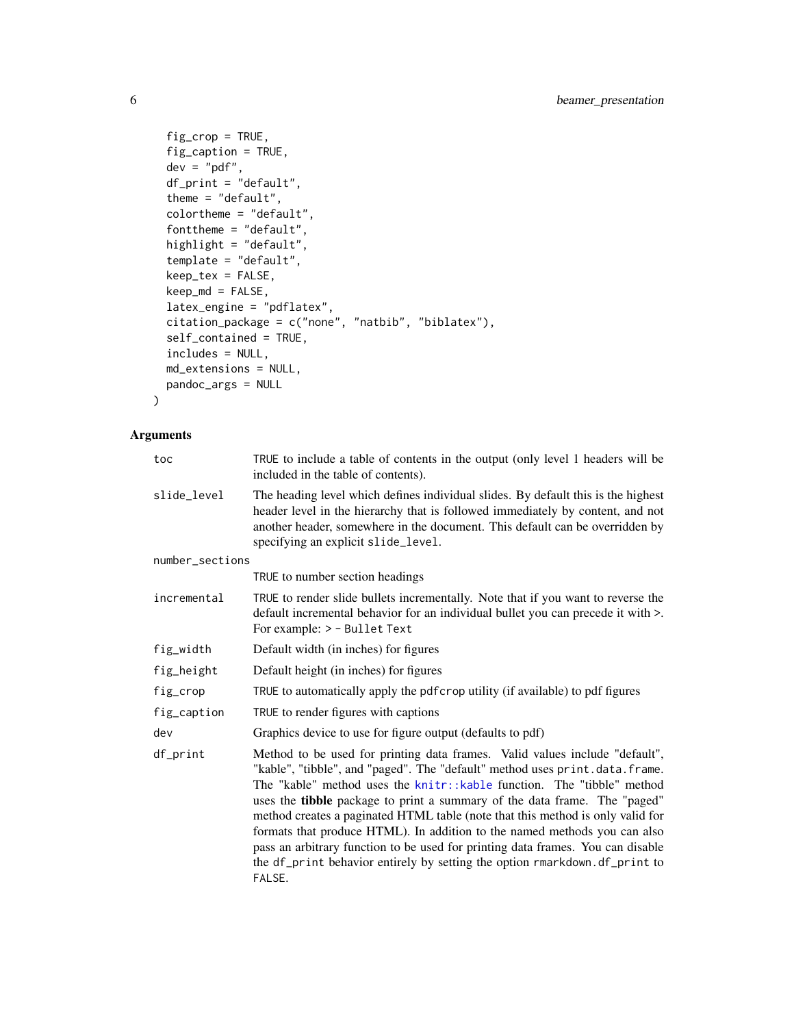```
fig\_crop = TRUE,fig_caption = TRUE,
 dev = "pdf",df_print = "default",
 theme = "default",colortheme = "default",
  fonttheme = "default",
 highlight = "default",
  template = "default",
 keep_tex = FALSE,
 keep\_md = FALSE,latex_engine = "pdflatex",
 citation_package = c("none", "natbib", "biblatex"),
 self_contained = TRUE,
 includes = NULL,
 md_extensions = NULL,
 pandoc_args = NULL
\mathcal{L}
```

| toc             | TRUE to include a table of contents in the output (only level 1 headers will be<br>included in the table of contents).                                                                                                                                                                                                                                                                                                                                                                                                                                                                                                                                      |
|-----------------|-------------------------------------------------------------------------------------------------------------------------------------------------------------------------------------------------------------------------------------------------------------------------------------------------------------------------------------------------------------------------------------------------------------------------------------------------------------------------------------------------------------------------------------------------------------------------------------------------------------------------------------------------------------|
| slide_level     | The heading level which defines individual slides. By default this is the highest<br>header level in the hierarchy that is followed immediately by content, and not<br>another header, somewhere in the document. This default can be overridden by<br>specifying an explicit slide_level.                                                                                                                                                                                                                                                                                                                                                                  |
| number_sections |                                                                                                                                                                                                                                                                                                                                                                                                                                                                                                                                                                                                                                                             |
|                 | TRUE to number section headings                                                                                                                                                                                                                                                                                                                                                                                                                                                                                                                                                                                                                             |
| incremental     | TRUE to render slide bullets incrementally. Note that if you want to reverse the<br>default incremental behavior for an individual bullet you can precede it with >.<br>For example: > - Bullet Text                                                                                                                                                                                                                                                                                                                                                                                                                                                        |
| fig_width       | Default width (in inches) for figures                                                                                                                                                                                                                                                                                                                                                                                                                                                                                                                                                                                                                       |
| fig_height      | Default height (in inches) for figures                                                                                                                                                                                                                                                                                                                                                                                                                                                                                                                                                                                                                      |
| fig_crop        | TRUE to automatically apply the pdf crop utility (if available) to pdf figures                                                                                                                                                                                                                                                                                                                                                                                                                                                                                                                                                                              |
| fig_caption     | TRUE to render figures with captions                                                                                                                                                                                                                                                                                                                                                                                                                                                                                                                                                                                                                        |
| dev             | Graphics device to use for figure output (defaults to pdf)                                                                                                                                                                                                                                                                                                                                                                                                                                                                                                                                                                                                  |
| df_print        | Method to be used for printing data frames. Valid values include "default",<br>"kable", "tibble", and "paged". The "default" method uses print.data.frame.<br>The "kable" method uses the knitr::kable function. The "tibble" method<br>uses the tibble package to print a summary of the data frame. The "paged"<br>method creates a paginated HTML table (note that this method is only valid for<br>formats that produce HTML). In addition to the named methods you can also<br>pass an arbitrary function to be used for printing data frames. You can disable<br>the df_print behavior entirely by setting the option rmarkdown.df_print to<br>FALSE. |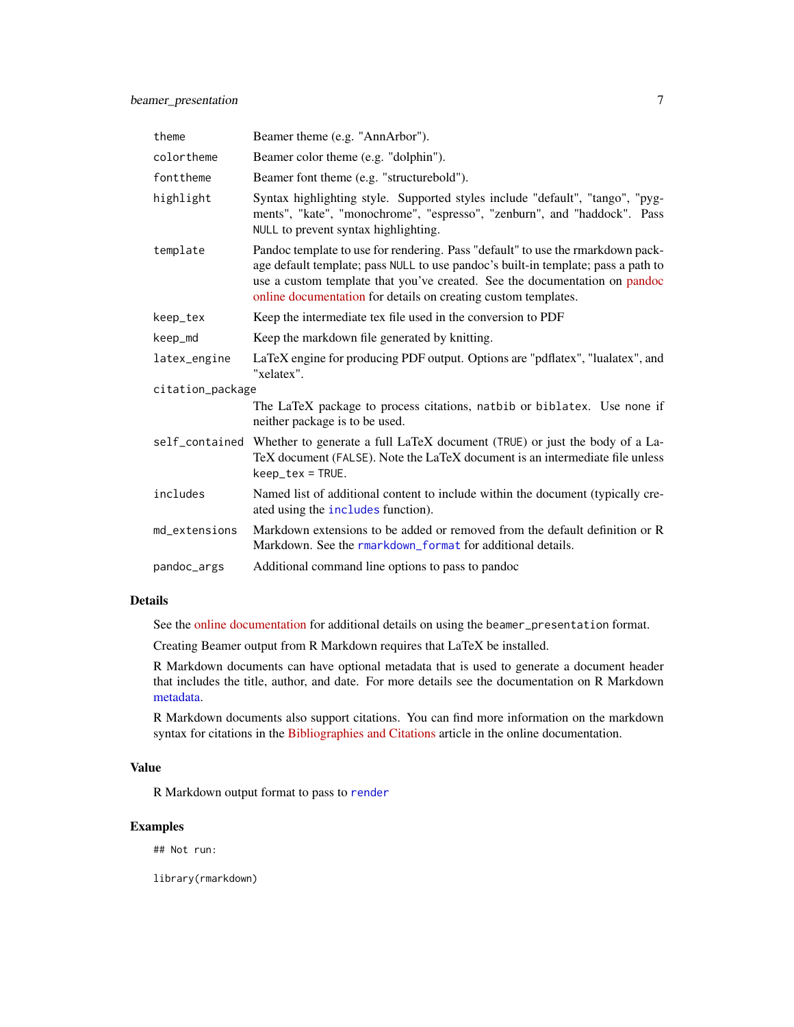| theme            | Beamer theme (e.g. "AnnArbor").                                                                                                                                                                                                                                                                                      |  |
|------------------|----------------------------------------------------------------------------------------------------------------------------------------------------------------------------------------------------------------------------------------------------------------------------------------------------------------------|--|
| colortheme       | Beamer color theme (e.g. "dolphin").                                                                                                                                                                                                                                                                                 |  |
| fonttheme        | Beamer font theme (e.g. "structurebold").                                                                                                                                                                                                                                                                            |  |
| highlight        | Syntax highlighting style. Supported styles include "default", "tango", "pyg-<br>ments", "kate", "monochrome", "espresso", "zenburn", and "haddock". Pass<br>NULL to prevent syntax highlighting.                                                                                                                    |  |
| template         | Pandoc template to use for rendering. Pass "default" to use the rmarkdown pack-<br>age default template; pass NULL to use pandoc's built-in template; pass a path to<br>use a custom template that you've created. See the documentation on pandoc<br>online documentation for details on creating custom templates. |  |
| keep_tex         | Keep the intermediate tex file used in the conversion to PDF                                                                                                                                                                                                                                                         |  |
| keep_md          | Keep the markdown file generated by knitting.                                                                                                                                                                                                                                                                        |  |
| latex_engine     | LaTeX engine for producing PDF output. Options are "pdflatex", "lualatex", and<br>"xelatex".                                                                                                                                                                                                                         |  |
| citation_package |                                                                                                                                                                                                                                                                                                                      |  |
|                  | The LaTeX package to process citations, natbib or biblatex. Use none if<br>neither package is to be used.                                                                                                                                                                                                            |  |
| self_contained   | Whether to generate a full LaTeX document (TRUE) or just the body of a La-<br>TeX document (FALSE). Note the LaTeX document is an intermediate file unless<br>$keep\_tex = TRUE.$                                                                                                                                    |  |
| includes         | Named list of additional content to include within the document (typically cre-<br>ated using the <i>includes</i> function).                                                                                                                                                                                         |  |
| md_extensions    | Markdown extensions to be added or removed from the default definition or R<br>Markdown. See the rmarkdown_format for additional details.                                                                                                                                                                            |  |
| pandoc_args      | Additional command line options to pass to pandoc                                                                                                                                                                                                                                                                    |  |

See the [online documentation](https://rmarkdown.rstudio.com/beamer_presentation_format.html) for additional details on using the beamer\_presentation format.

Creating Beamer output from R Markdown requires that LaTeX be installed.

R Markdown documents can have optional metadata that is used to generate a document header that includes the title, author, and date. For more details see the documentation on R Markdown [metadata.](#page-67-1)

R Markdown documents also support citations. You can find more information on the markdown syntax for citations in the [Bibliographies and Citations](https://rmarkdown.rstudio.com/authoring_bibliographies_and_citations.html) article in the online documentation.

# Value

R Markdown output format to pass to [render](#page-57-1)

# Examples

## Not run:

library(rmarkdown)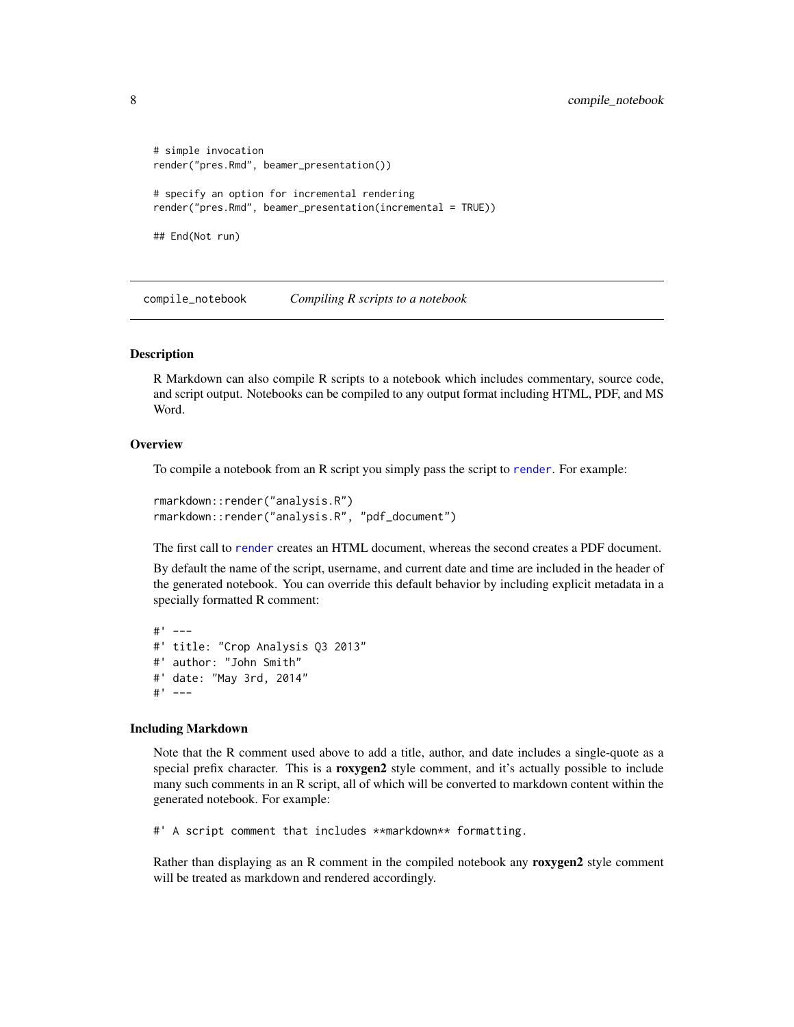```
# simple invocation
render("pres.Rmd", beamer_presentation())
# specify an option for incremental rendering
render("pres.Rmd", beamer_presentation(incremental = TRUE))
## End(Not run)
```
compile\_notebook *Compiling R scripts to a notebook*

#### Description

R Markdown can also compile R scripts to a notebook which includes commentary, source code, and script output. Notebooks can be compiled to any output format including HTML, PDF, and MS Word.

#### **Overview**

To compile a notebook from an R script you simply pass the script to [render](#page-57-1). For example:

```
rmarkdown::render("analysis.R")
rmarkdown::render("analysis.R", "pdf_document")
```
The first call to [render](#page-57-1) creates an HTML document, whereas the second creates a PDF document.

By default the name of the script, username, and current date and time are included in the header of the generated notebook. You can override this default behavior by including explicit metadata in a specially formatted R comment:

```
#' ---
#' title: "Crop Analysis Q3 2013"
#' author: "John Smith"
#' date: "May 3rd, 2014"
#' ---
```
#### Including Markdown

Note that the R comment used above to add a title, author, and date includes a single-quote as a special prefix character. This is a roxygen2 style comment, and it's actually possible to include many such comments in an R script, all of which will be converted to markdown content within the generated notebook. For example:

#' A script comment that includes \*\*markdown\*\* formatting.

Rather than displaying as an R comment in the compiled notebook any roxygen2 style comment will be treated as markdown and rendered accordingly.

<span id="page-7-0"></span>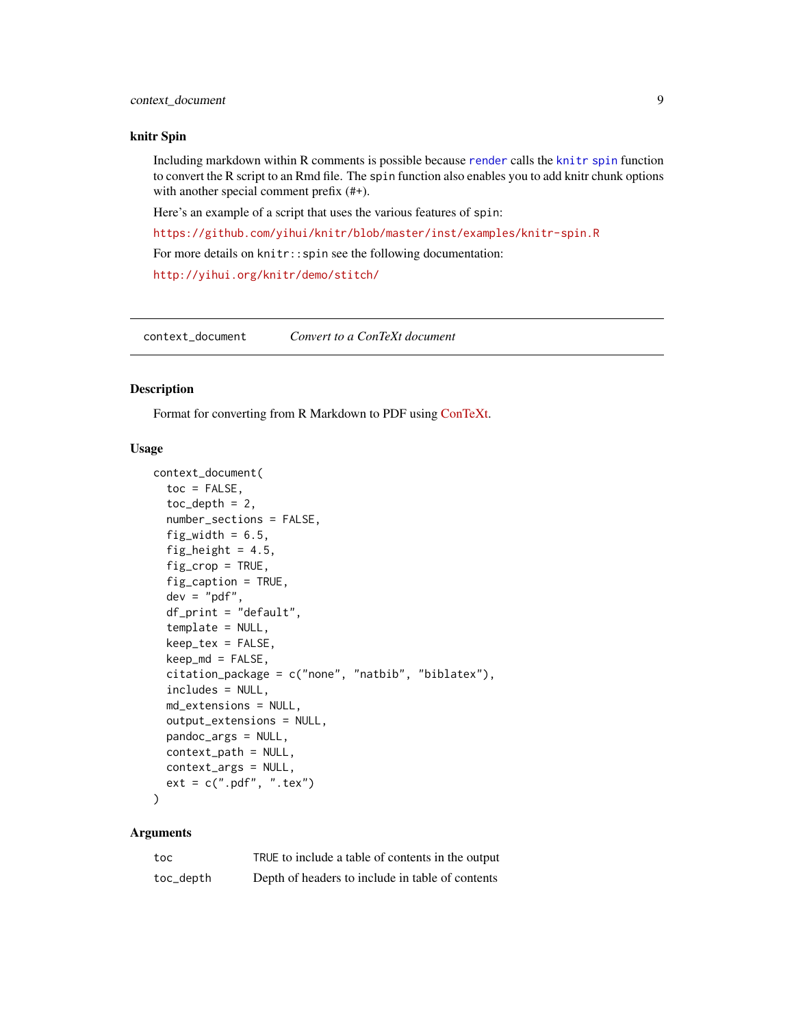#### <span id="page-8-0"></span>knitr Spin

Including markdown within R comments is possible because [render](#page-57-1) calls the [knitr spin](#page-0-0) function to convert the R script to an Rmd file. The spin function also enables you to add knitr chunk options with another special comment prefix  $(#+)$ .

Here's an example of a script that uses the various features of spin:

<https://github.com/yihui/knitr/blob/master/inst/examples/knitr-spin.R>

For more details on knitr:: spin see the following documentation:

<http://yihui.org/knitr/demo/stitch/>

context\_document *Convert to a ConTeXt document*

#### Description

Format for converting from R Markdown to PDF using [ConTeXt.](https://wiki.contextgarden.net/)

#### Usage

```
context_document(
  toc = FALSE,toc\_depth = 2,
  number_sections = FALSE,
  fig\_width = 6.5,fig_height = 4.5,
  fig\_crop = TRUE,fig_caption = TRUE,
  dev = "pdf",df_print = "default",
  template = NULL,
  keep\_tex = FALSE,keep\_md = FALSE,citation_package = c("none", "natbib", "biblatex"),
  includes = NULL,
  md_extensions = NULL,
  output_extensions = NULL,
  pandoc_args = NULL,
  context_path = NULL,
  context_args = NULL,
  ext = c(".pdf", ".text"))
```

| toc       | TRUE to include a table of contents in the output |
|-----------|---------------------------------------------------|
| toc_depth | Depth of headers to include in table of contents  |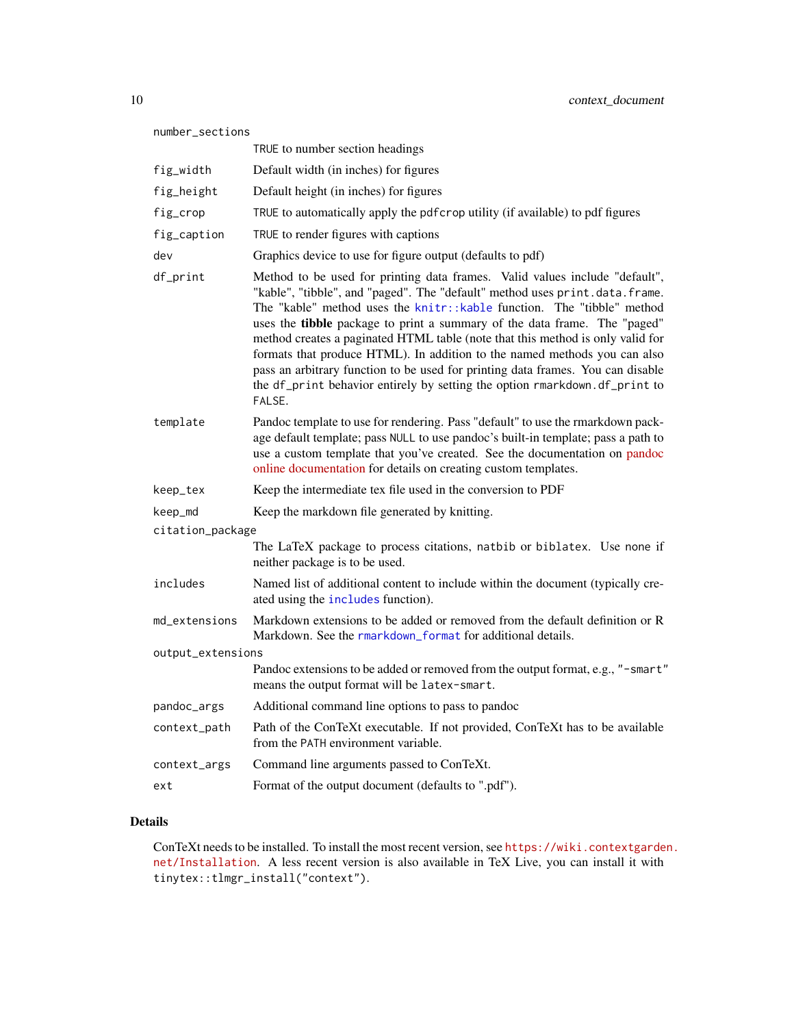| number_sections   |                                                                                                                                                                                                                                                                                                                                                                                                                                                                                                                                                                                                                                                              |  |
|-------------------|--------------------------------------------------------------------------------------------------------------------------------------------------------------------------------------------------------------------------------------------------------------------------------------------------------------------------------------------------------------------------------------------------------------------------------------------------------------------------------------------------------------------------------------------------------------------------------------------------------------------------------------------------------------|--|
|                   | TRUE to number section headings                                                                                                                                                                                                                                                                                                                                                                                                                                                                                                                                                                                                                              |  |
| fig_width         | Default width (in inches) for figures                                                                                                                                                                                                                                                                                                                                                                                                                                                                                                                                                                                                                        |  |
| fig_height        | Default height (in inches) for figures                                                                                                                                                                                                                                                                                                                                                                                                                                                                                                                                                                                                                       |  |
| fig_crop          | TRUE to automatically apply the pdfcrop utility (if available) to pdf figures                                                                                                                                                                                                                                                                                                                                                                                                                                                                                                                                                                                |  |
| fig_caption       | TRUE to render figures with captions                                                                                                                                                                                                                                                                                                                                                                                                                                                                                                                                                                                                                         |  |
| dev               | Graphics device to use for figure output (defaults to pdf)                                                                                                                                                                                                                                                                                                                                                                                                                                                                                                                                                                                                   |  |
| df_print          | Method to be used for printing data frames. Valid values include "default",<br>"kable", "tibble", and "paged". The "default" method uses print.data.frame.<br>The "kable" method uses the knitr:: kable function. The "tibble" method<br>uses the tibble package to print a summary of the data frame. The "paged"<br>method creates a paginated HTML table (note that this method is only valid for<br>formats that produce HTML). In addition to the named methods you can also<br>pass an arbitrary function to be used for printing data frames. You can disable<br>the df_print behavior entirely by setting the option rmarkdown.df_print to<br>FALSE. |  |
| template          | Pandoc template to use for rendering. Pass "default" to use the rmarkdown pack-<br>age default template; pass NULL to use pandoc's built-in template; pass a path to<br>use a custom template that you've created. See the documentation on pandoc<br>online documentation for details on creating custom templates.                                                                                                                                                                                                                                                                                                                                         |  |
| keep_tex          | Keep the intermediate tex file used in the conversion to PDF                                                                                                                                                                                                                                                                                                                                                                                                                                                                                                                                                                                                 |  |
| keep_md           | Keep the markdown file generated by knitting.                                                                                                                                                                                                                                                                                                                                                                                                                                                                                                                                                                                                                |  |
| citation_package  |                                                                                                                                                                                                                                                                                                                                                                                                                                                                                                                                                                                                                                                              |  |
|                   | The LaTeX package to process citations, natbib or biblatex. Use none if<br>neither package is to be used.                                                                                                                                                                                                                                                                                                                                                                                                                                                                                                                                                    |  |
| includes          | Named list of additional content to include within the document (typically cre-<br>ated using the includes function).                                                                                                                                                                                                                                                                                                                                                                                                                                                                                                                                        |  |
| md_extensions     | Markdown extensions to be added or removed from the default definition or R<br>Markdown. See the rmarkdown_format for additional details.                                                                                                                                                                                                                                                                                                                                                                                                                                                                                                                    |  |
| output_extensions |                                                                                                                                                                                                                                                                                                                                                                                                                                                                                                                                                                                                                                                              |  |
|                   | Pandoc extensions to be added or removed from the output format, e.g., "-smart"<br>means the output format will be latex-smart.                                                                                                                                                                                                                                                                                                                                                                                                                                                                                                                              |  |
| pandoc_args       | Additional command line options to pass to pandoc                                                                                                                                                                                                                                                                                                                                                                                                                                                                                                                                                                                                            |  |
| context_path      | Path of the ConTeXt executable. If not provided, ConTeXt has to be available<br>from the PATH environment variable.                                                                                                                                                                                                                                                                                                                                                                                                                                                                                                                                          |  |
| context_args      | Command line arguments passed to ConTeXt.                                                                                                                                                                                                                                                                                                                                                                                                                                                                                                                                                                                                                    |  |
| ext               | Format of the output document (defaults to ".pdf").                                                                                                                                                                                                                                                                                                                                                                                                                                                                                                                                                                                                          |  |

ConTeXt needs to be installed. To install the most recent version, see [https://wiki.contextgarde](https://wiki.contextgarden.net/Installation)n. [net/Installation](https://wiki.contextgarden.net/Installation). A less recent version is also available in TeX Live, you can install it with tinytex::tlmgr\_install("context").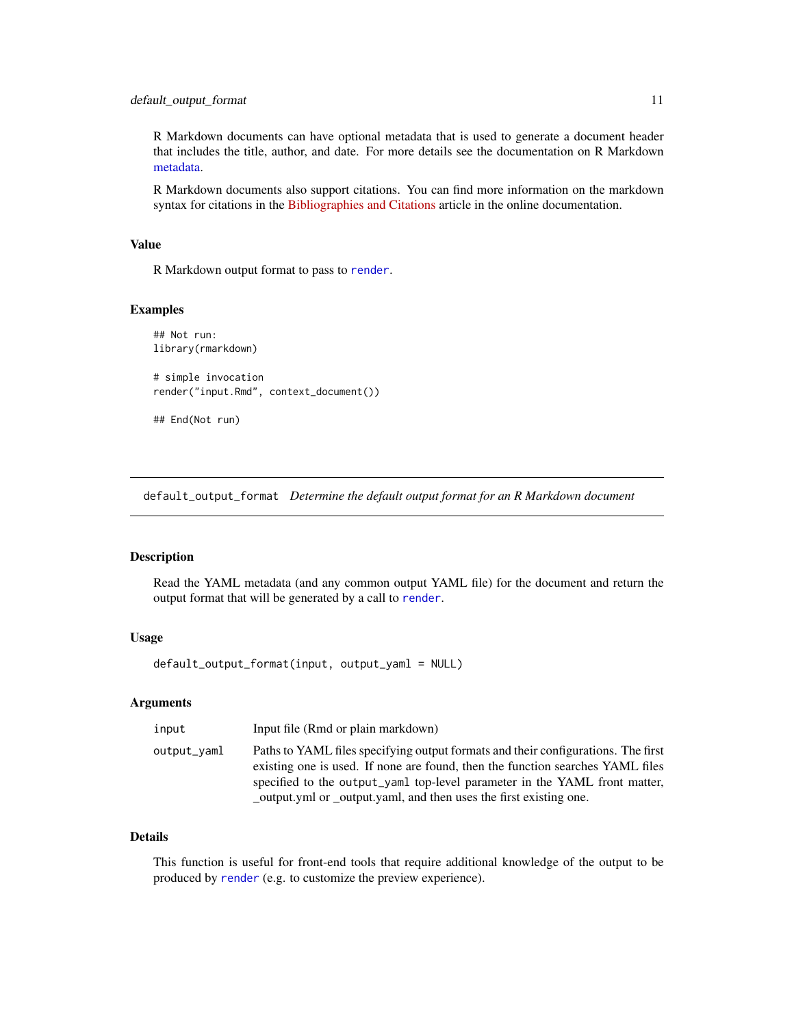<span id="page-10-0"></span>R Markdown documents can have optional metadata that is used to generate a document header that includes the title, author, and date. For more details see the documentation on R Markdown [metadata.](#page-67-1)

R Markdown documents also support citations. You can find more information on the markdown syntax for citations in the [Bibliographies and Citations](https://rmarkdown.rstudio.com/authoring_bibliographies_and_citations.html) article in the online documentation.

# Value

R Markdown output format to pass to [render](#page-57-1).

#### Examples

```
## Not run:
library(rmarkdown)
# simple invocation
render("input.Rmd", context_document())
```
## End(Not run)

default\_output\_format *Determine the default output format for an R Markdown document*

# Description

Read the YAML metadata (and any common output YAML file) for the document and return the output format that will be generated by a call to [render](#page-57-1).

#### Usage

default\_output\_format(input, output\_yaml = NULL)

#### Arguments

| input       | Input file (Rmd or plain markdown)                                                                                                                                                                                                                                                                                    |
|-------------|-----------------------------------------------------------------------------------------------------------------------------------------------------------------------------------------------------------------------------------------------------------------------------------------------------------------------|
| output_vaml | Paths to YAML files specifying output formats and their configurations. The first<br>existing one is used. If none are found, then the function searches YAML files<br>specified to the output_yaml top-level parameter in the YAML front matter,<br>output.yml or output.yaml, and then uses the first existing one. |

### Details

This function is useful for front-end tools that require additional knowledge of the output to be produced by [render](#page-57-1) (e.g. to customize the preview experience).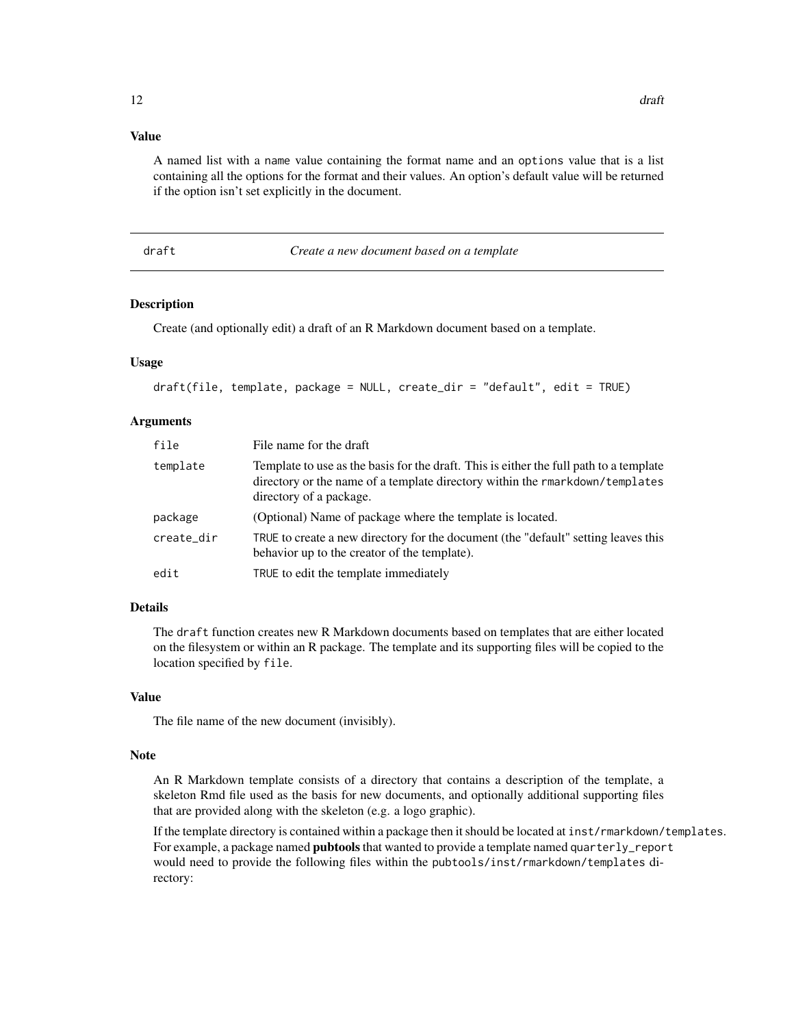# <span id="page-11-0"></span>Value

A named list with a name value containing the format name and an options value that is a list containing all the options for the format and their values. An option's default value will be returned if the option isn't set explicitly in the document.

draft *Create a new document based on a template*

#### Description

Create (and optionally edit) a draft of an R Markdown document based on a template.

### Usage

```
draft(file, template, package = NULL, create_dir = "default", edit = TRUE)
```
#### Arguments

| file       | File name for the draft                                                                                                                                                                           |
|------------|---------------------------------------------------------------------------------------------------------------------------------------------------------------------------------------------------|
| template   | Template to use as the basis for the draft. This is either the full path to a template<br>directory or the name of a template directory within the rmarkdown/templates<br>directory of a package. |
| package    | (Optional) Name of package where the template is located.                                                                                                                                         |
| create_dir | TRUE to create a new directory for the document (the "default" setting leaves this<br>behavior up to the creator of the template).                                                                |
| edit       | TRUE to edit the template immediately                                                                                                                                                             |

# Details

The draft function creates new R Markdown documents based on templates that are either located on the filesystem or within an R package. The template and its supporting files will be copied to the location specified by file.

#### Value

The file name of the new document (invisibly).

#### Note

An R Markdown template consists of a directory that contains a description of the template, a skeleton Rmd file used as the basis for new documents, and optionally additional supporting files that are provided along with the skeleton (e.g. a logo graphic).

If the template directory is contained within a package then it should be located at inst/rmarkdown/templates. For example, a package named **pubtools** that wanted to provide a template named quarterly\_report would need to provide the following files within the pubtools/inst/rmarkdown/templates directory: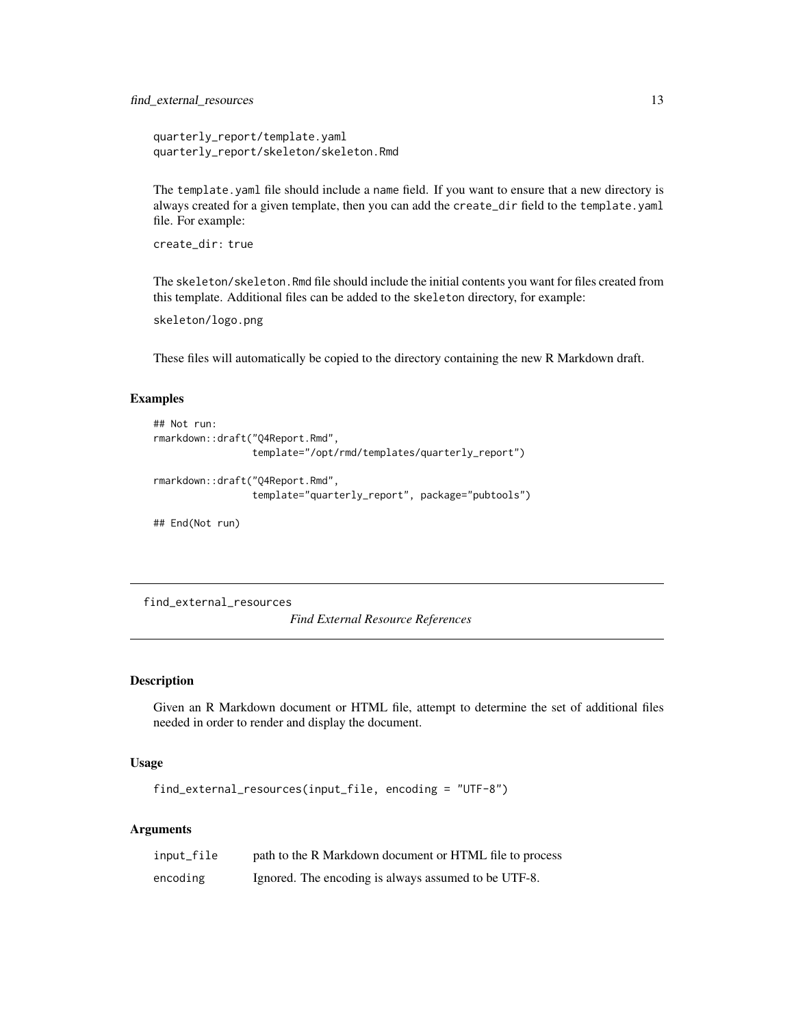<span id="page-12-0"></span>quarterly\_report/template.yaml quarterly\_report/skeleton/skeleton.Rmd

The template.yaml file should include a name field. If you want to ensure that a new directory is always created for a given template, then you can add the create\_dir field to the template.yaml file. For example:

```
create_dir: true
```
The skeleton/skeleton.Rmd file should include the initial contents you want for files created from this template. Additional files can be added to the skeleton directory, for example:

skeleton/logo.png

These files will automatically be copied to the directory containing the new R Markdown draft.

# Examples

```
## Not run:
rmarkdown::draft("Q4Report.Rmd",
                 template="/opt/rmd/templates/quarterly_report")
rmarkdown::draft("Q4Report.Rmd",
                 template="quarterly_report", package="pubtools")
```
## End(Not run)

find\_external\_resources

*Find External Resource References*

#### Description

Given an R Markdown document or HTML file, attempt to determine the set of additional files needed in order to render and display the document.

#### Usage

```
find_external_resources(input_file, encoding = "UTF-8")
```

| input_file | path to the R Markdown document or HTML file to process |
|------------|---------------------------------------------------------|
| encoding   | Ignored. The encoding is always assumed to be UTF-8.    |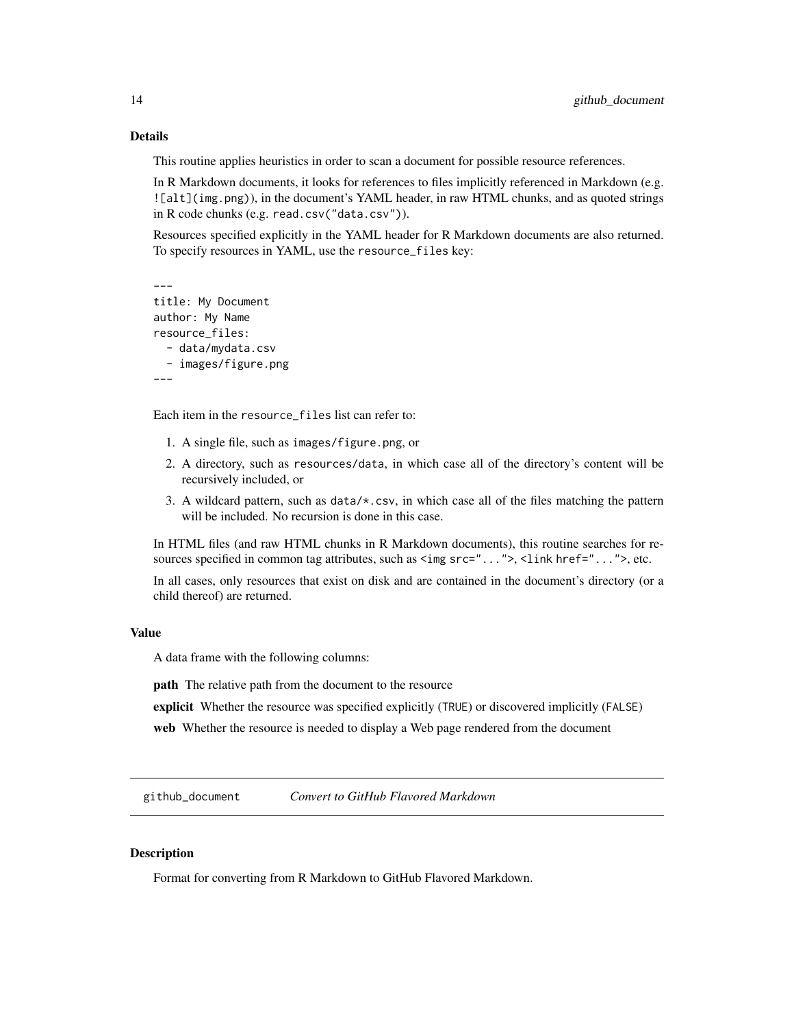<span id="page-13-0"></span>This routine applies heuristics in order to scan a document for possible resource references.

In R Markdown documents, it looks for references to files implicitly referenced in Markdown (e.g. ![alt](img.png)), in the document's YAML header, in raw HTML chunks, and as quoted strings in R code chunks (e.g. read.csv("data.csv")).

Resources specified explicitly in the YAML header for R Markdown documents are also returned. To specify resources in YAML, use the resource\_files key:

```
---
title: My Document
author: My Name
resource_files:
  - data/mydata.csv
  - images/figure.png
---
```
Each item in the resource\_files list can refer to:

- 1. A single file, such as images/figure.png, or
- 2. A directory, such as resources/data, in which case all of the directory's content will be recursively included, or
- 3. A wildcard pattern, such as data/\*.csv, in which case all of the files matching the pattern will be included. No recursion is done in this case.

In HTML files (and raw HTML chunks in R Markdown documents), this routine searches for resources specified in common tag attributes, such as  $\langle \text{img src} = "...", \rangle$ ,  $\langle \text{link href} = "...", \rangle$ , etc.

In all cases, only resources that exist on disk and are contained in the document's directory (or a child thereof) are returned.

#### Value

A data frame with the following columns:

path The relative path from the document to the resource

explicit Whether the resource was specified explicitly (TRUE) or discovered implicitly (FALSE)

web Whether the resource is needed to display a Web page rendered from the document

github\_document *Convert to GitHub Flavored Markdown*

#### **Description**

Format for converting from R Markdown to GitHub Flavored Markdown.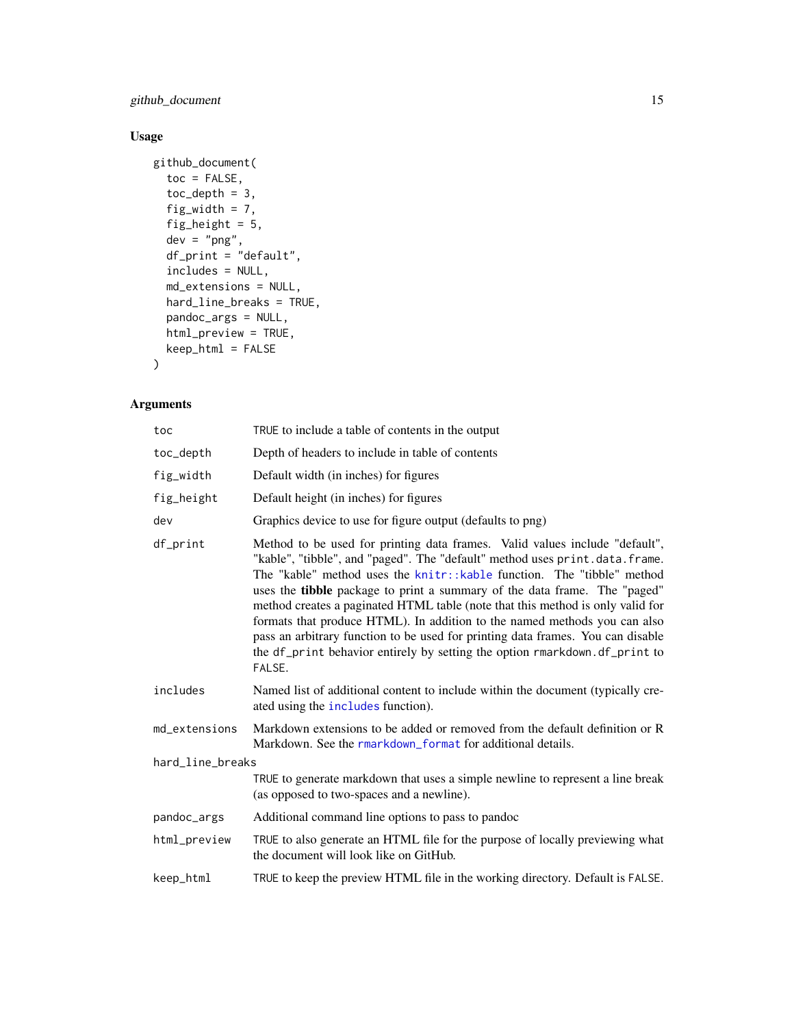github\_document 15

# Usage

```
github_document(
  toc = FALSE,
  toc\_depth = 3,
  fig_width = 7,
  fig_height = 5,
 dev = "png",df_print = "default",
  includes = NULL,
 md_extensions = NULL,
 hard_line_breaks = TRUE,
 pandoc_args = NULL,
 html_preview = TRUE,
 keep_html = FALSE
)
```

| toc              | TRUE to include a table of contents in the output                                                                                                                                                                                                                                                                                                                                                                                                                                                                                                                                                                                                           |
|------------------|-------------------------------------------------------------------------------------------------------------------------------------------------------------------------------------------------------------------------------------------------------------------------------------------------------------------------------------------------------------------------------------------------------------------------------------------------------------------------------------------------------------------------------------------------------------------------------------------------------------------------------------------------------------|
| toc_depth        | Depth of headers to include in table of contents                                                                                                                                                                                                                                                                                                                                                                                                                                                                                                                                                                                                            |
| fig_width        | Default width (in inches) for figures                                                                                                                                                                                                                                                                                                                                                                                                                                                                                                                                                                                                                       |
| fig_height       | Default height (in inches) for figures                                                                                                                                                                                                                                                                                                                                                                                                                                                                                                                                                                                                                      |
| dev              | Graphics device to use for figure output (defaults to png)                                                                                                                                                                                                                                                                                                                                                                                                                                                                                                                                                                                                  |
| df_print         | Method to be used for printing data frames. Valid values include "default",<br>"kable", "tibble", and "paged". The "default" method uses print.data.frame.<br>The "kable" method uses the knitr::kable function. The "tibble" method<br>uses the tibble package to print a summary of the data frame. The "paged"<br>method creates a paginated HTML table (note that this method is only valid for<br>formats that produce HTML). In addition to the named methods you can also<br>pass an arbitrary function to be used for printing data frames. You can disable<br>the df_print behavior entirely by setting the option rmarkdown.df_print to<br>FALSE. |
| includes         | Named list of additional content to include within the document (typically cre-<br>ated using the <i>includes</i> function).                                                                                                                                                                                                                                                                                                                                                                                                                                                                                                                                |
| md_extensions    | Markdown extensions to be added or removed from the default definition or R<br>Markdown. See the rmarkdown_format for additional details.                                                                                                                                                                                                                                                                                                                                                                                                                                                                                                                   |
| hard_line_breaks |                                                                                                                                                                                                                                                                                                                                                                                                                                                                                                                                                                                                                                                             |
|                  | TRUE to generate markdown that uses a simple newline to represent a line break<br>(as opposed to two-spaces and a newline).                                                                                                                                                                                                                                                                                                                                                                                                                                                                                                                                 |
| pandoc_args      | Additional command line options to pass to pandoc                                                                                                                                                                                                                                                                                                                                                                                                                                                                                                                                                                                                           |
| html_preview     | TRUE to also generate an HTML file for the purpose of locally previewing what<br>the document will look like on GitHub.                                                                                                                                                                                                                                                                                                                                                                                                                                                                                                                                     |
| keep_html        | TRUE to keep the preview HTML file in the working directory. Default is FALSE.                                                                                                                                                                                                                                                                                                                                                                                                                                                                                                                                                                              |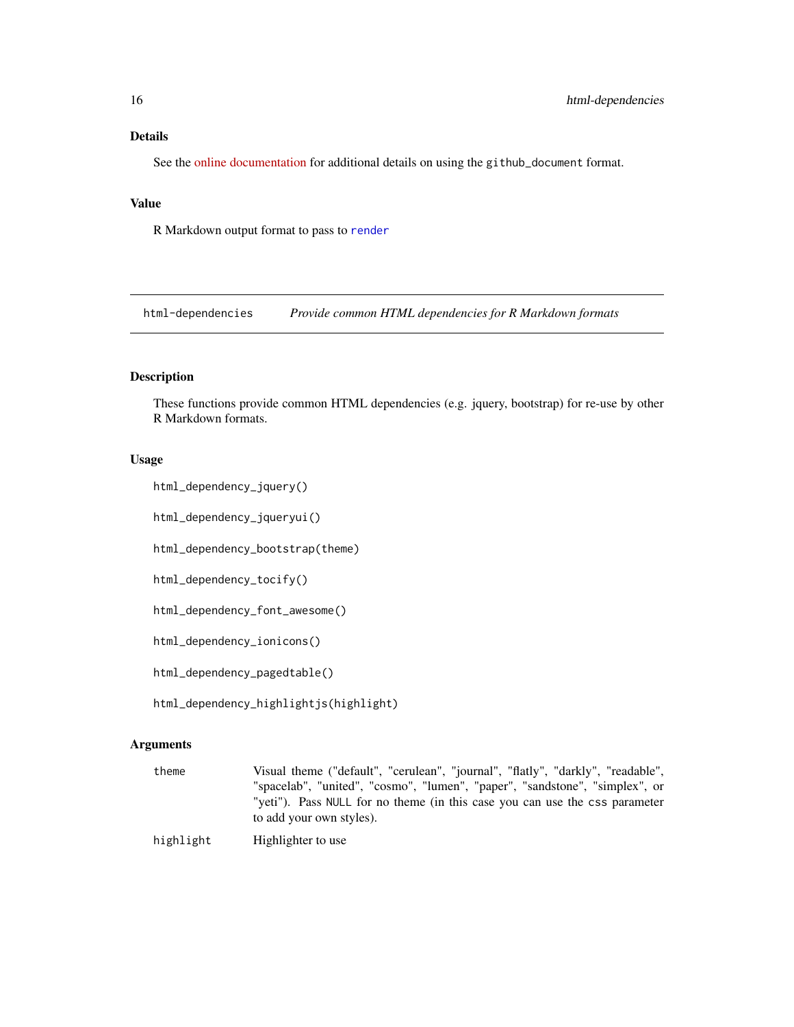<span id="page-15-0"></span>See the [online documentation](https://rmarkdown.rstudio.com/github_document_format.html) for additional details on using the github\_document format.

# Value

R Markdown output format to pass to [render](#page-57-1)

html-dependencies *Provide common HTML dependencies for R Markdown formats*

# Description

These functions provide common HTML dependencies (e.g. jquery, bootstrap) for re-use by other R Markdown formats.

#### Usage

```
html_dependency_jquery()
```
html\_dependency\_jqueryui()

html\_dependency\_bootstrap(theme)

html\_dependency\_tocify()

html\_dependency\_font\_awesome()

html\_dependency\_ionicons()

html\_dependency\_pagedtable()

html\_dependency\_highlightjs(highlight)

#### Arguments

theme Visual theme ("default", "cerulean", "journal", "flatly", "darkly", "readable", "spacelab", "united", "cosmo", "lumen", "paper", "sandstone", "simplex", or "yeti"). Pass NULL for no theme (in this case you can use the css parameter to add your own styles).

highlight Highlighter to use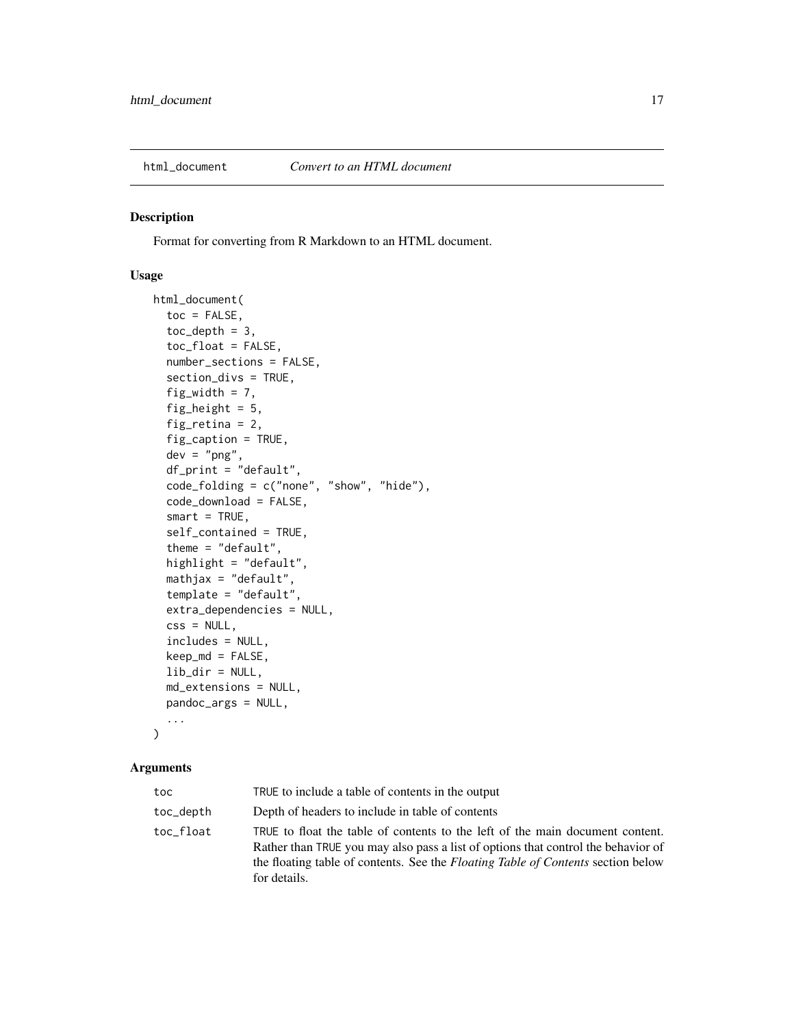<span id="page-16-1"></span><span id="page-16-0"></span>

#### Description

Format for converting from R Markdown to an HTML document.

#### Usage

```
html_document(
  toc = FALSE,toc\_depth = 3,
  toc_float = FALSE,
  number_sections = FALSE,
  section_divs = TRUE,
  fig\_width = 7,fig_height = 5,
  fig_retina = 2,
  fig_caption = TRUE,
  dev = "png",df_print = "default",
  code_folding = c("none", "show", "hide"),
  code_download = FALSE,
  smart = TRUE,self_contained = TRUE,
  theme = "default",
  highlight = "default",
  mathjax = "default",
  template = "default",
  extra_dependencies = NULL,
  \text{css} = \text{NULL},
  includes = NULL,
  keep_md = FALSE,
  lib\_dir = NULL,md_extensions = NULL,
 pandoc_args = NULL,
  ...
)
```

| toc       | TRUE to include a table of contents in the output                                                                                                                                                                                                                             |
|-----------|-------------------------------------------------------------------------------------------------------------------------------------------------------------------------------------------------------------------------------------------------------------------------------|
| toc_depth | Depth of headers to include in table of contents                                                                                                                                                                                                                              |
| toc float | TRUE to float the table of contents to the left of the main document content.<br>Rather than TRUE you may also pass a list of options that control the behavior of<br>the floating table of contents. See the <i>Floating Table of Contents</i> section below<br>for details. |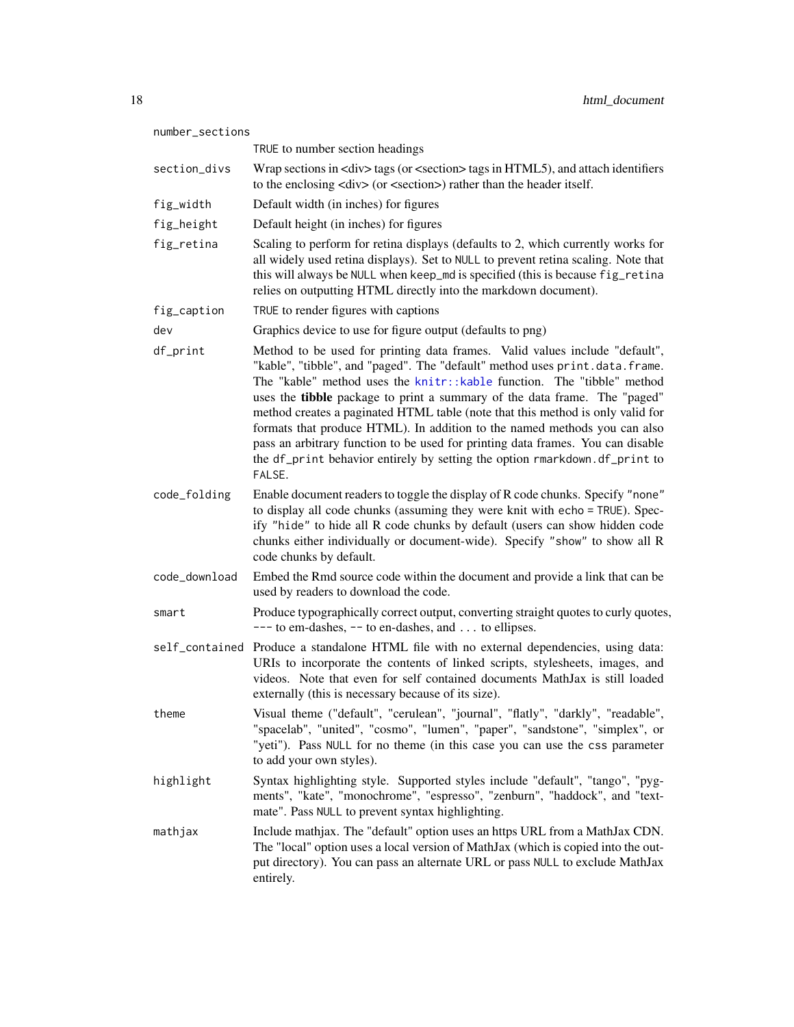| number_sections |                                                                                                                                                                                                                                                                                                                                                                                                                                                                                                                                                                                                                                                             |
|-----------------|-------------------------------------------------------------------------------------------------------------------------------------------------------------------------------------------------------------------------------------------------------------------------------------------------------------------------------------------------------------------------------------------------------------------------------------------------------------------------------------------------------------------------------------------------------------------------------------------------------------------------------------------------------------|
|                 | TRUE to number section headings                                                                                                                                                                                                                                                                                                                                                                                                                                                                                                                                                                                                                             |
| section_divs    | Wrap sections in <div> tags (or <section> tags in HTML5), and attach identifiers<br/>to the enclosing <div> (or <section>) rather than the header itself.</section></div></section></div>                                                                                                                                                                                                                                                                                                                                                                                                                                                                   |
| fig_width       | Default width (in inches) for figures                                                                                                                                                                                                                                                                                                                                                                                                                                                                                                                                                                                                                       |
| fig_height      | Default height (in inches) for figures                                                                                                                                                                                                                                                                                                                                                                                                                                                                                                                                                                                                                      |
| fig_retina      | Scaling to perform for retina displays (defaults to 2, which currently works for<br>all widely used retina displays). Set to NULL to prevent retina scaling. Note that<br>this will always be NULL when keep_md is specified (this is because fig_retina<br>relies on outputting HTML directly into the markdown document).                                                                                                                                                                                                                                                                                                                                 |
| fig_caption     | TRUE to render figures with captions                                                                                                                                                                                                                                                                                                                                                                                                                                                                                                                                                                                                                        |
| dev             | Graphics device to use for figure output (defaults to png)                                                                                                                                                                                                                                                                                                                                                                                                                                                                                                                                                                                                  |
| df_print        | Method to be used for printing data frames. Valid values include "default",<br>"kable", "tibble", and "paged". The "default" method uses print.data.frame.<br>The "kable" method uses the knitr::kable function. The "tibble" method<br>uses the tibble package to print a summary of the data frame. The "paged"<br>method creates a paginated HTML table (note that this method is only valid for<br>formats that produce HTML). In addition to the named methods you can also<br>pass an arbitrary function to be used for printing data frames. You can disable<br>the df_print behavior entirely by setting the option rmarkdown.df_print to<br>FALSE. |
| code_folding    | Enable document readers to toggle the display of R code chunks. Specify "none"<br>to display all code chunks (assuming they were knit with echo = TRUE). Spec-<br>ify "hide" to hide all R code chunks by default (users can show hidden code<br>chunks either individually or document-wide). Specify "show" to show all R<br>code chunks by default.                                                                                                                                                                                                                                                                                                      |
| code_download   | Embed the Rmd source code within the document and provide a link that can be<br>used by readers to download the code.                                                                                                                                                                                                                                                                                                                                                                                                                                                                                                                                       |
| smart           | Produce typographically correct output, converting straight quotes to curly quotes,<br>$---$ to em-dashes, $---$ to en-dashes, and  to ellipses.                                                                                                                                                                                                                                                                                                                                                                                                                                                                                                            |
|                 | self_contained Produce a standalone HTML file with no external dependencies, using data:<br>URIs to incorporate the contents of linked scripts, stylesheets, images, and<br>videos. Note that even for self contained documents MathJax is still loaded<br>externally (this is necessary because of its size).                                                                                                                                                                                                                                                                                                                                              |
| theme           | Visual theme ("default", "cerulean", "journal", "flatly", "darkly", "readable",<br>"spacelab", "united", "cosmo", "lumen", "paper", "sandstone", "simplex", or<br>"yeti"). Pass NULL for no theme (in this case you can use the css parameter<br>to add your own styles).                                                                                                                                                                                                                                                                                                                                                                                   |
| highlight       | Syntax highlighting style. Supported styles include "default", "tango", "pyg-<br>ments", "kate", "monochrome", "espresso", "zenburn", "haddock", and "text-<br>mate". Pass NULL to prevent syntax highlighting.                                                                                                                                                                                                                                                                                                                                                                                                                                             |
| mathjax         | Include mathjax. The "default" option uses an https URL from a MathJax CDN.<br>The "local" option uses a local version of MathJax (which is copied into the out-<br>put directory). You can pass an alternate URL or pass NULL to exclude MathJax<br>entirely.                                                                                                                                                                                                                                                                                                                                                                                              |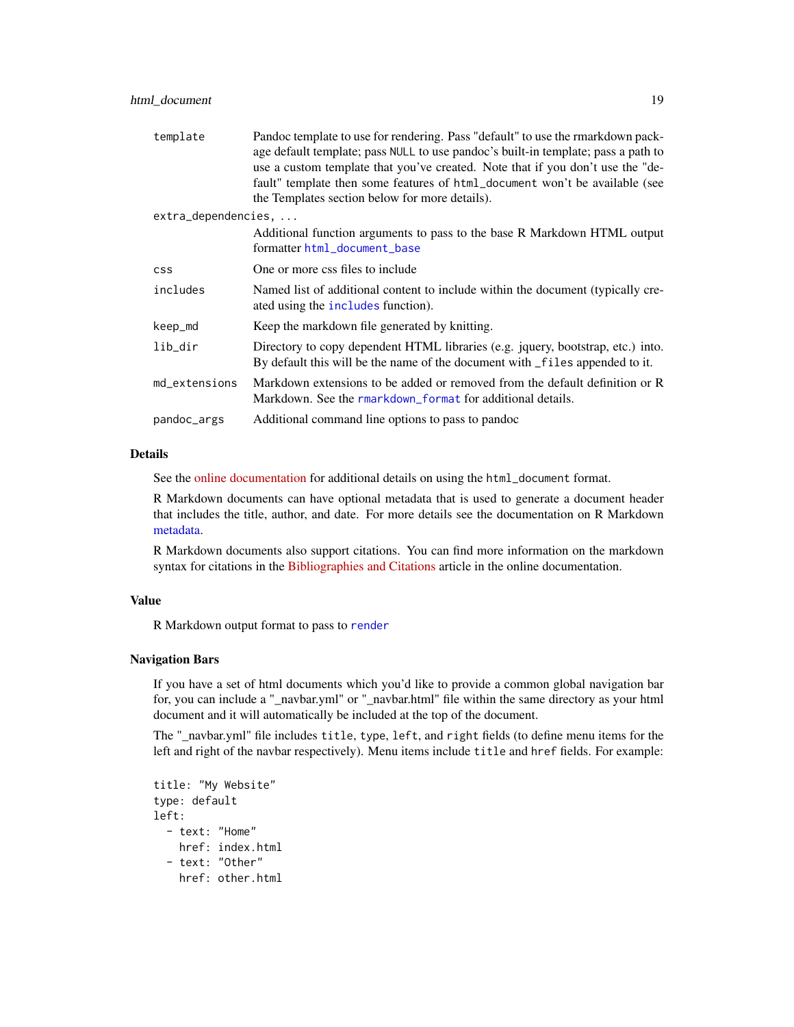| template            | Pandoc template to use for rendering. Pass "default" to use the rmarkdown pack-<br>age default template; pass NULL to use pandoc's built-in template; pass a path to<br>use a custom template that you've created. Note that if you don't use the "de-<br>fault" template then some features of html_document won't be available (see<br>the Templates section below for more details). |
|---------------------|-----------------------------------------------------------------------------------------------------------------------------------------------------------------------------------------------------------------------------------------------------------------------------------------------------------------------------------------------------------------------------------------|
| extra_dependencies, |                                                                                                                                                                                                                                                                                                                                                                                         |
|                     | Additional function arguments to pass to the base R Markdown HTML output<br>formatter html_document_base                                                                                                                                                                                                                                                                                |
| <b>CSS</b>          | One or more css files to include                                                                                                                                                                                                                                                                                                                                                        |
| includes            | Named list of additional content to include within the document (typically cre-<br>ated using the includes function).                                                                                                                                                                                                                                                                   |
| keep_md             | Keep the markdown file generated by knitting.                                                                                                                                                                                                                                                                                                                                           |
| lib_dir             | Directory to copy dependent HTML libraries (e.g. jquery, bootstrap, etc.) into.<br>By default this will be the name of the document with _files appended to it.                                                                                                                                                                                                                         |
| md_extensions       | Markdown extensions to be added or removed from the default definition or R<br>Markdown. See the rmarkdown format for additional details.                                                                                                                                                                                                                                               |
| pandoc_args         | Additional command line options to pass to pandoc                                                                                                                                                                                                                                                                                                                                       |

See the [online documentation](https://rmarkdown.rstudio.com/html_document_format.html) for additional details on using the html\_document format.

R Markdown documents can have optional metadata that is used to generate a document header that includes the title, author, and date. For more details see the documentation on R Markdown [metadata.](#page-67-1)

R Markdown documents also support citations. You can find more information on the markdown syntax for citations in the [Bibliographies and Citations](https://rmarkdown.rstudio.com/authoring_bibliographies_and_citations.html) article in the online documentation.

# Value

R Markdown output format to pass to [render](#page-57-1)

#### Navigation Bars

If you have a set of html documents which you'd like to provide a common global navigation bar for, you can include a "\_navbar.yml" or "\_navbar.html" file within the same directory as your html document and it will automatically be included at the top of the document.

The "\_navbar.yml" file includes title, type, left, and right fields (to define menu items for the left and right of the navbar respectively). Menu items include title and href fields. For example:

```
title: "My Website"
type: default
left:
  - text: "Home"
   href: index.html
  - text: "Other"
    href: other.html
```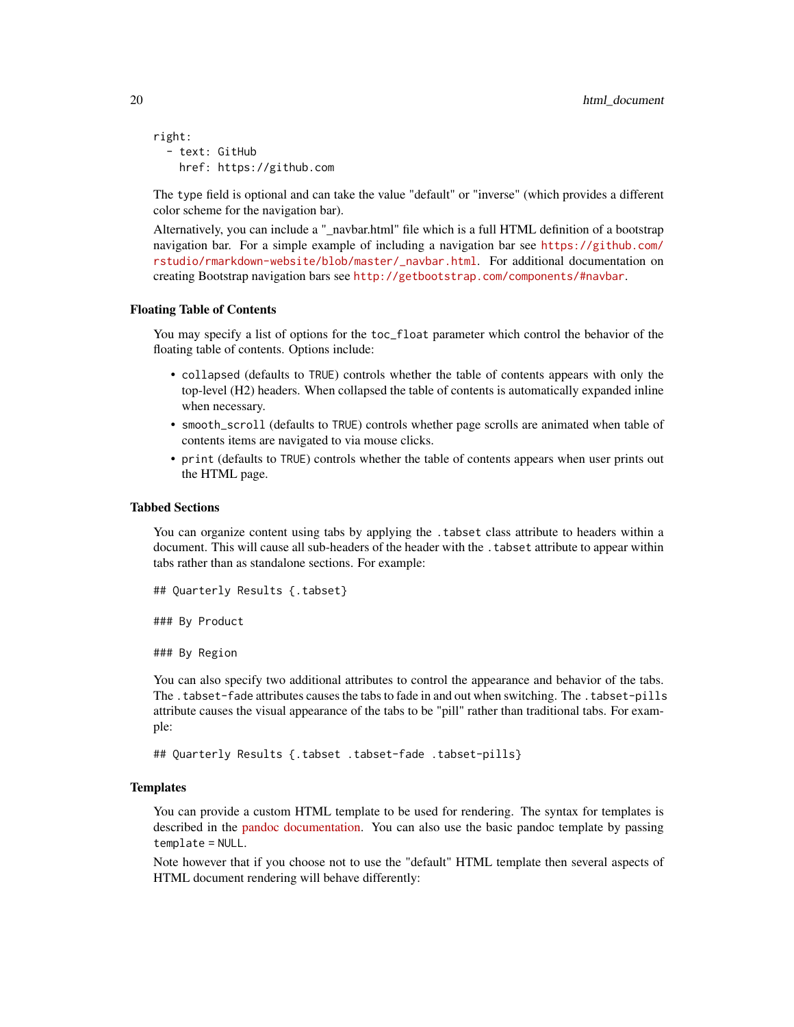```
right:
  - text: GitHub
   href: https://github.com
```
The type field is optional and can take the value "default" or "inverse" (which provides a different color scheme for the navigation bar).

Alternatively, you can include a "\_navbar.html" file which is a full HTML definition of a bootstrap navigation bar. For a simple example of including a navigation bar see [https://github.com/](https://github.com/rstudio/rmarkdown-website/blob/master/_navbar.html) [rstudio/rmarkdown-website/blob/master/\\_navbar.html](https://github.com/rstudio/rmarkdown-website/blob/master/_navbar.html). For additional documentation on creating Bootstrap navigation bars see <http://getbootstrap.com/components/#navbar>.

# Floating Table of Contents

You may specify a list of options for the toc\_float parameter which control the behavior of the floating table of contents. Options include:

- collapsed (defaults to TRUE) controls whether the table of contents appears with only the top-level (H2) headers. When collapsed the table of contents is automatically expanded inline when necessary.
- smooth\_scroll (defaults to TRUE) controls whether page scrolls are animated when table of contents items are navigated to via mouse clicks.
- print (defaults to TRUE) controls whether the table of contents appears when user prints out the HTML page.

# Tabbed Sections

You can organize content using tabs by applying the .tabset class attribute to headers within a document. This will cause all sub-headers of the header with the .tabset attribute to appear within tabs rather than as standalone sections. For example:

```
## Quarterly Results {.tabset}
```
### By Product

### By Region

You can also specify two additional attributes to control the appearance and behavior of the tabs. The .tabset-fade attributes causes the tabs to fade in and out when switching. The .tabset-pills attribute causes the visual appearance of the tabs to be "pill" rather than traditional tabs. For example:

## Quarterly Results {.tabset .tabset-fade .tabset-pills}

#### **Templates**

You can provide a custom HTML template to be used for rendering. The syntax for templates is described in the [pandoc documentation.](http://pandoc.org/README.html) You can also use the basic pandoc template by passing template = NULL.

Note however that if you choose not to use the "default" HTML template then several aspects of HTML document rendering will behave differently: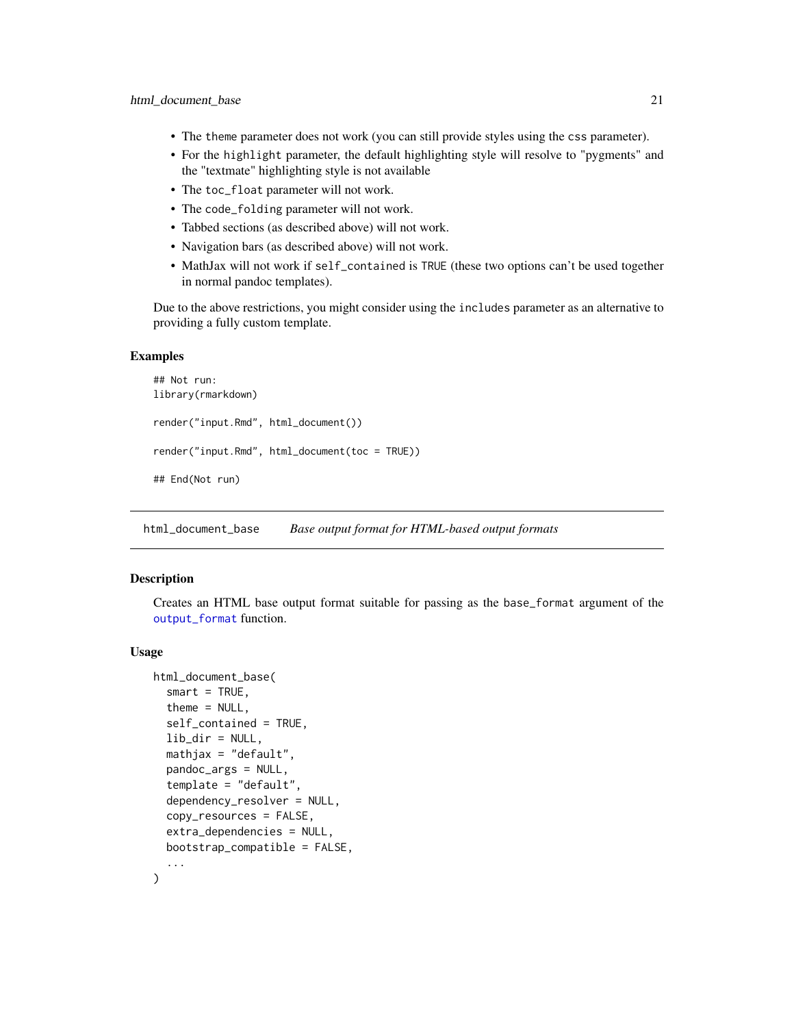- <span id="page-20-0"></span>• The theme parameter does not work (you can still provide styles using the css parameter).
- For the highlight parameter, the default highlighting style will resolve to "pygments" and the "textmate" highlighting style is not available
- The toc\_float parameter will not work.
- The code\_folding parameter will not work.
- Tabbed sections (as described above) will not work.
- Navigation bars (as described above) will not work.
- MathJax will not work if self\_contained is TRUE (these two options can't be used together in normal pandoc templates).

Due to the above restrictions, you might consider using the includes parameter as an alternative to providing a fully custom template.

# Examples

```
## Not run:
library(rmarkdown)
render("input.Rmd", html_document())
render("input.Rmd", html_document(toc = TRUE))
## End(Not run)
```
<span id="page-20-1"></span>html\_document\_base *Base output format for HTML-based output formats*

#### Description

Creates an HTML base output format suitable for passing as the base\_format argument of the [output\\_format](#page-43-1) function.

#### Usage

```
html_document_base(
  smart = TRUE,theme = NULL,
  self_contained = TRUE,
  lib\_dir = NULL,mathjax = "default",
  pandoc_args = NULL,
  template = "default",
  dependency_resolver = NULL,
  copy_resources = FALSE,
  extra_dependencies = NULL,
 bootstrap_compatible = FALSE,
  ...
)
```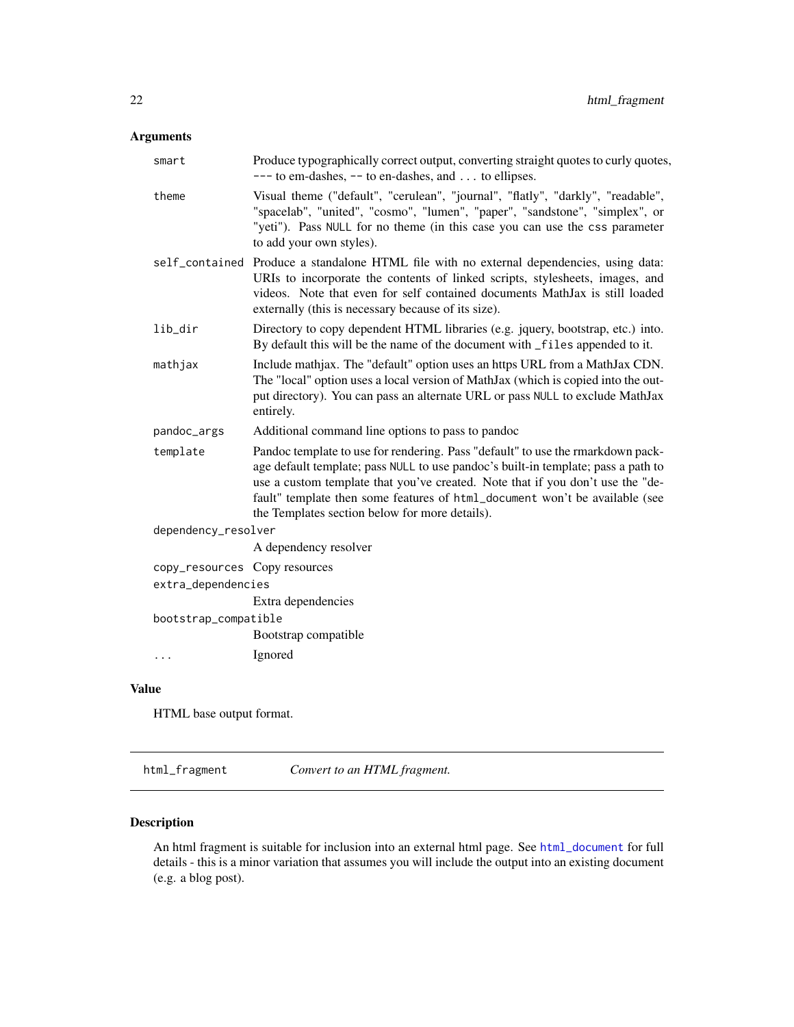# <span id="page-21-0"></span>Arguments

| Produce typographically correct output, converting straight quotes to curly quotes,<br>$---$ to em-dashes, $--$ to en-dashes, and  to ellipses.                                                                                                                                                                                                                                         |
|-----------------------------------------------------------------------------------------------------------------------------------------------------------------------------------------------------------------------------------------------------------------------------------------------------------------------------------------------------------------------------------------|
| Visual theme ("default", "cerulean", "journal", "flatly", "darkly", "readable",<br>"spacelab", "united", "cosmo", "lumen", "paper", "sandstone", "simplex", or<br>"yeti"). Pass NULL for no theme (in this case you can use the css parameter<br>to add your own styles).                                                                                                               |
| self_contained Produce a standalone HTML file with no external dependencies, using data:<br>URIs to incorporate the contents of linked scripts, stylesheets, images, and<br>videos. Note that even for self contained documents MathJax is still loaded<br>externally (this is necessary because of its size).                                                                          |
| Directory to copy dependent HTML libraries (e.g. jquery, bootstrap, etc.) into.<br>By default this will be the name of the document with _files appended to it.                                                                                                                                                                                                                         |
| Include mathjax. The "default" option uses an https URL from a MathJax CDN.<br>The "local" option uses a local version of MathJax (which is copied into the out-<br>put directory). You can pass an alternate URL or pass NULL to exclude MathJax<br>entirely.                                                                                                                          |
| Additional command line options to pass to pandoc                                                                                                                                                                                                                                                                                                                                       |
| Pandoc template to use for rendering. Pass "default" to use the rmarkdown pack-<br>age default template; pass NULL to use pandoc's built-in template; pass a path to<br>use a custom template that you've created. Note that if you don't use the "de-<br>fault" template then some features of html_document won't be available (see<br>the Templates section below for more details). |
| dependency_resolver                                                                                                                                                                                                                                                                                                                                                                     |
| A dependency resolver                                                                                                                                                                                                                                                                                                                                                                   |
| copy_resources Copy resources<br>extra_dependencies                                                                                                                                                                                                                                                                                                                                     |
| Extra dependencies                                                                                                                                                                                                                                                                                                                                                                      |
| bootstrap_compatible                                                                                                                                                                                                                                                                                                                                                                    |
| Bootstrap compatible                                                                                                                                                                                                                                                                                                                                                                    |
| Ignored                                                                                                                                                                                                                                                                                                                                                                                 |
|                                                                                                                                                                                                                                                                                                                                                                                         |

# Value

HTML base output format.

html\_fragment *Convert to an HTML fragment.*

# Description

An html fragment is suitable for inclusion into an external html page. See [html\\_document](#page-16-1) for full details - this is a minor variation that assumes you will include the output into an existing document (e.g. a blog post).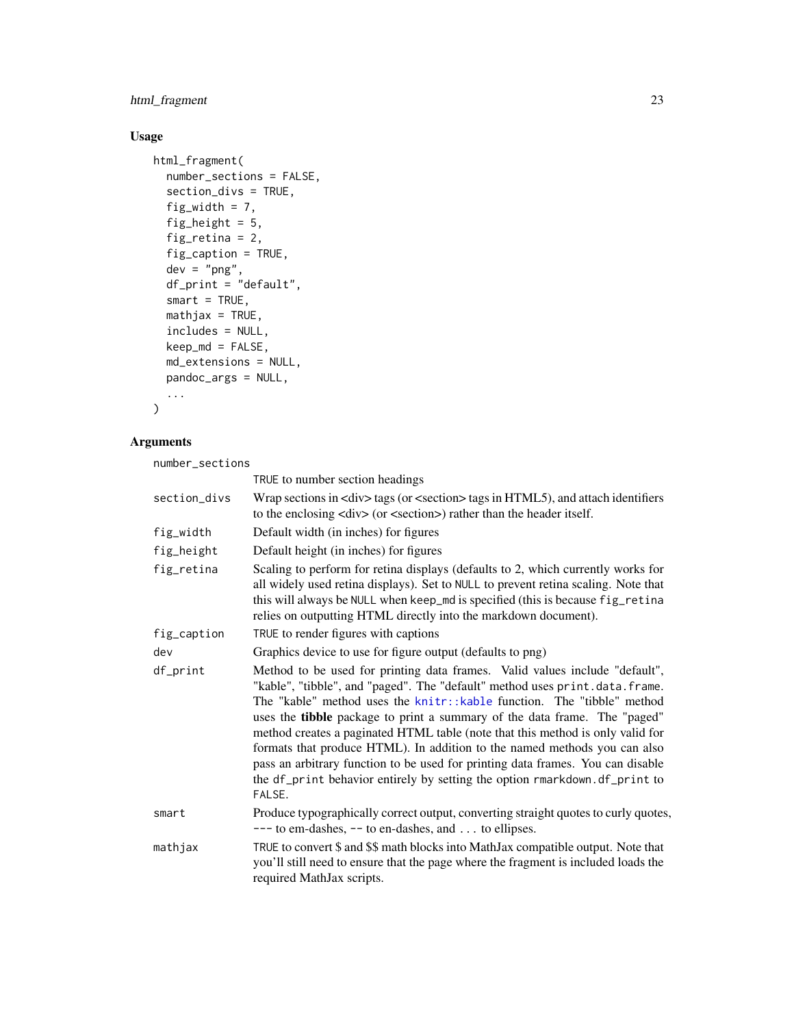# html\_fragment 23

# Usage

```
html_fragment(
 number_sections = FALSE,
  section_divs = TRUE,
  fig_width = 7,
  fig_height = 5,
  fig_retina = 2,
  fig_caption = TRUE,
  dev = "png",df_print = "default",
  smart = TRUE,mathis = TRUE,
 includes = NULL,
 keep\_md = FALSE,md_extensions = NULL,
 pandoc_args = NULL,
  ...
\mathcal{L}
```
# Arguments

number\_sections

|              | TRUE to number section headings                                                                                                                                                                                                                                                                                                                                                                                                                                                                                                                                                                                                                                    |
|--------------|--------------------------------------------------------------------------------------------------------------------------------------------------------------------------------------------------------------------------------------------------------------------------------------------------------------------------------------------------------------------------------------------------------------------------------------------------------------------------------------------------------------------------------------------------------------------------------------------------------------------------------------------------------------------|
| section_divs | Wrap sections in <div> tags (or <section> tags in HTML5), and attach identifiers<br/>to the enclosing <div> (or <section>) rather than the header itself.</section></div></section></div>                                                                                                                                                                                                                                                                                                                                                                                                                                                                          |
| fig_width    | Default width (in inches) for figures                                                                                                                                                                                                                                                                                                                                                                                                                                                                                                                                                                                                                              |
| fig_height   | Default height (in inches) for figures                                                                                                                                                                                                                                                                                                                                                                                                                                                                                                                                                                                                                             |
| fig_retina   | Scaling to perform for retina displays (defaults to 2, which currently works for<br>all widely used retina displays). Set to NULL to prevent retina scaling. Note that<br>this will always be NULL when keep_md is specified (this is because fig_retina<br>relies on outputting HTML directly into the markdown document).                                                                                                                                                                                                                                                                                                                                        |
| fig_caption  | TRUE to render figures with captions                                                                                                                                                                                                                                                                                                                                                                                                                                                                                                                                                                                                                               |
| dev          | Graphics device to use for figure output (defaults to png)                                                                                                                                                                                                                                                                                                                                                                                                                                                                                                                                                                                                         |
| df_print     | Method to be used for printing data frames. Valid values include "default",<br>"kable", "tibble", and "paged". The "default" method uses print.data.frame.<br>The "kable" method uses the knitr::kable function. The "tibble" method<br>uses the <b>tibble</b> package to print a summary of the data frame. The "paged"<br>method creates a paginated HTML table (note that this method is only valid for<br>formats that produce HTML). In addition to the named methods you can also<br>pass an arbitrary function to be used for printing data frames. You can disable<br>the df_print behavior entirely by setting the option rmarkdown.df_print to<br>FALSE. |
| smart        | Produce typographically correct output, converting straight quotes to curly quotes,<br>$---$ to em-dashes, $--$ to en-dashes, and  to ellipses.                                                                                                                                                                                                                                                                                                                                                                                                                                                                                                                    |
| mathjax      | TRUE to convert \$ and \$\$ math blocks into MathJax compatible output. Note that<br>you'll still need to ensure that the page where the fragment is included loads the<br>required MathJax scripts.                                                                                                                                                                                                                                                                                                                                                                                                                                                               |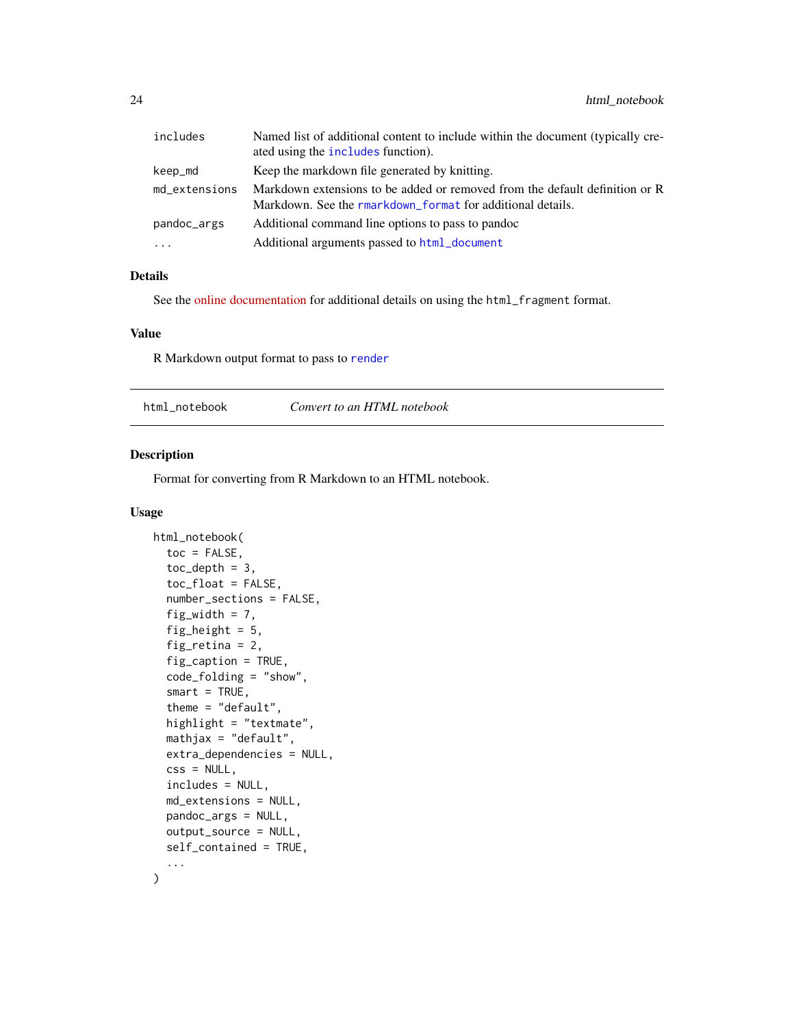<span id="page-23-0"></span>

| includes      | Named list of additional content to include within the document (typically cre-<br>ated using the includes function).                     |
|---------------|-------------------------------------------------------------------------------------------------------------------------------------------|
| keep_md       | Keep the markdown file generated by knitting.                                                                                             |
| md_extensions | Markdown extensions to be added or removed from the default definition or R<br>Markdown. See the rmarkdown format for additional details. |
| pandoc_args   | Additional command line options to pass to pandoc                                                                                         |
| $\cdots$      | Additional arguments passed to html_document                                                                                              |

See the [online documentation](https://rmarkdown.rstudio.com/html_document_format.html) for additional details on using the html\_fragment format.

#### Value

R Markdown output format to pass to [render](#page-57-1)

html\_notebook *Convert to an HTML notebook*

#### Description

Format for converting from R Markdown to an HTML notebook.

#### Usage

```
html_notebook(
  toc = FALSE,toc\_depth = 3,
  toc_float = FALSE,
  number_sections = FALSE,
  fig\_width = 7,fig_height = 5,
  fig_retina = 2,
  fig_caption = TRUE,
  code_folding = "show",
  smart = TRUE,
  theme = "default",highlight = "textmate",
  mathjax = "default",
  extra_dependencies = NULL,
  \text{css} = \text{NULL},
  includes = NULL,
  md_extensions = NULL,
  pandoc_args = NULL,
  output_source = NULL,
  self_contained = TRUE,
  ...
\mathcal{L}
```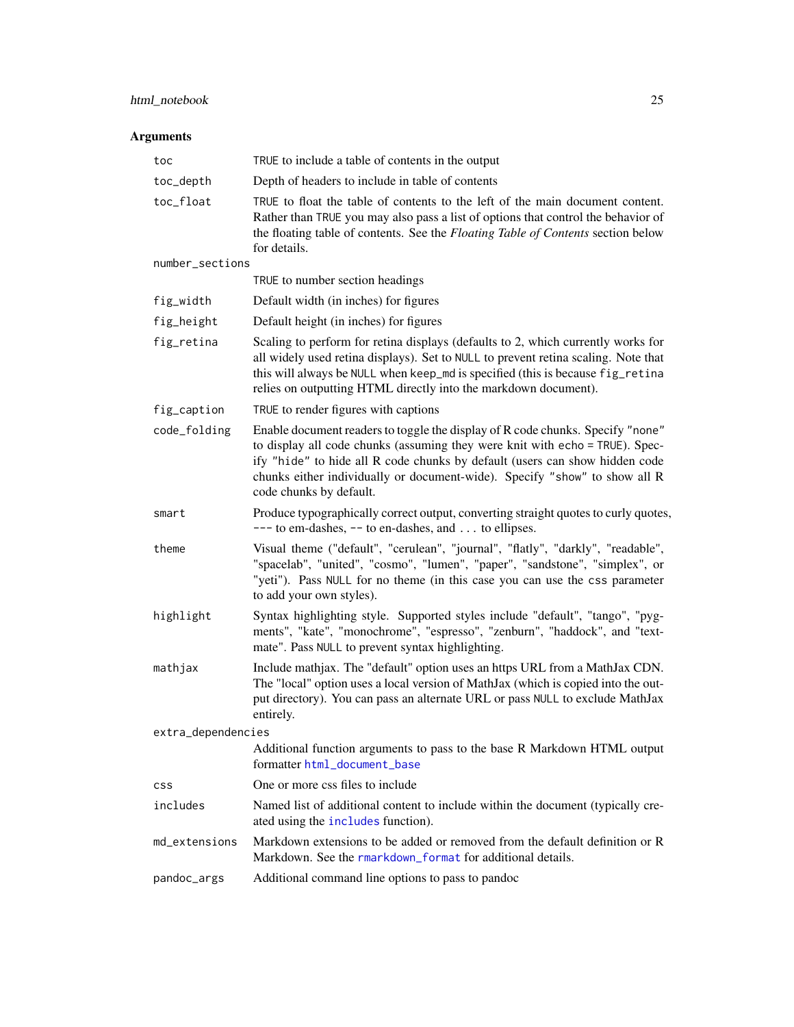# html\_notebook 25

| toc                | TRUE to include a table of contents in the output                                                                                                                                                                                                                                                                                                      |
|--------------------|--------------------------------------------------------------------------------------------------------------------------------------------------------------------------------------------------------------------------------------------------------------------------------------------------------------------------------------------------------|
| toc_depth          | Depth of headers to include in table of contents                                                                                                                                                                                                                                                                                                       |
| toc_float          | TRUE to float the table of contents to the left of the main document content.<br>Rather than TRUE you may also pass a list of options that control the behavior of<br>the floating table of contents. See the Floating Table of Contents section below<br>for details.                                                                                 |
| number_sections    |                                                                                                                                                                                                                                                                                                                                                        |
|                    | TRUE to number section headings                                                                                                                                                                                                                                                                                                                        |
| fig_width          | Default width (in inches) for figures                                                                                                                                                                                                                                                                                                                  |
| fig_height         | Default height (in inches) for figures                                                                                                                                                                                                                                                                                                                 |
| fig_retina         | Scaling to perform for retina displays (defaults to 2, which currently works for<br>all widely used retina displays). Set to NULL to prevent retina scaling. Note that<br>this will always be NULL when keep_md is specified (this is because fig_retina<br>relies on outputting HTML directly into the markdown document).                            |
| fig_caption        | TRUE to render figures with captions                                                                                                                                                                                                                                                                                                                   |
| code_folding       | Enable document readers to toggle the display of R code chunks. Specify "none"<br>to display all code chunks (assuming they were knit with echo = TRUE). Spec-<br>ify "hide" to hide all R code chunks by default (users can show hidden code<br>chunks either individually or document-wide). Specify "show" to show all R<br>code chunks by default. |
| smart              | Produce typographically correct output, converting straight quotes to curly quotes,<br>$---$ to em-dashes, $--$ to en-dashes, and  to ellipses.                                                                                                                                                                                                        |
| theme              | Visual theme ("default", "cerulean", "journal", "flatly", "darkly", "readable",<br>"spacelab", "united", "cosmo", "lumen", "paper", "sandstone", "simplex", or<br>"yeti"). Pass NULL for no theme (in this case you can use the css parameter<br>to add your own styles).                                                                              |
| highlight          | Syntax highlighting style. Supported styles include "default", "tango", "pyg-<br>ments", "kate", "monochrome", "espresso", "zenburn", "haddock", and "text-<br>mate". Pass NULL to prevent syntax highlighting.                                                                                                                                        |
| mathjax            | Include mathjax. The "default" option uses an https URL from a MathJax CDN.<br>The "local" option uses a local version of MathJax (which is copied into the out-<br>put directory). You can pass an alternate URL or pass NULL to exclude MathJax<br>entirely.                                                                                         |
| extra_dependencies |                                                                                                                                                                                                                                                                                                                                                        |
|                    | Additional function arguments to pass to the base R Markdown HTML output<br>formatter html_document_base                                                                                                                                                                                                                                               |
| <b>CSS</b>         | One or more css files to include                                                                                                                                                                                                                                                                                                                       |
| includes           | Named list of additional content to include within the document (typically cre-<br>ated using the includes function).                                                                                                                                                                                                                                  |
| md_extensions      | Markdown extensions to be added or removed from the default definition or R<br>Markdown. See the rmarkdown_format for additional details.                                                                                                                                                                                                              |
| pandoc_args        | Additional command line options to pass to pandoc                                                                                                                                                                                                                                                                                                      |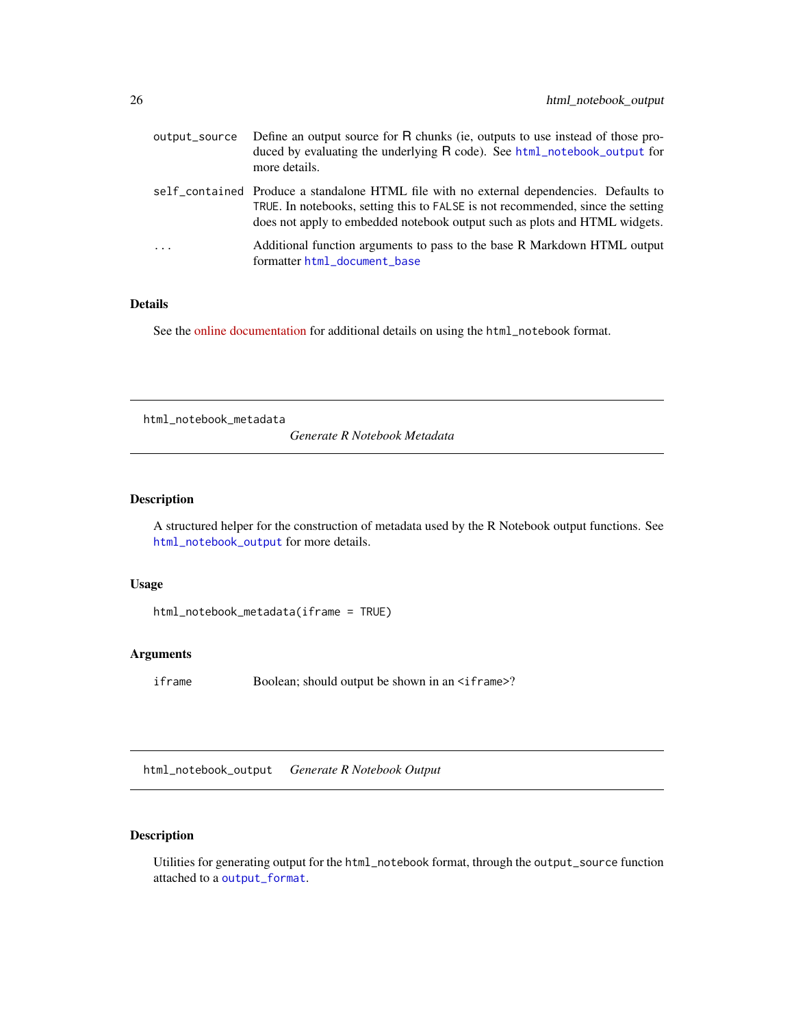<span id="page-25-0"></span>

| output_source           | Define an output source for R chunks (ie, outputs to use instead of those pro-<br>duced by evaluating the underlying R code). See html_notebook_output for<br>more details.                                                                               |
|-------------------------|-----------------------------------------------------------------------------------------------------------------------------------------------------------------------------------------------------------------------------------------------------------|
|                         | self_contained Produce a standalone HTML file with no external dependencies. Defaults to<br>TRUE. In notebooks, setting this to FALSE is not recommended, since the setting<br>does not apply to embedded notebook output such as plots and HTML widgets. |
| $\cdot$ $\cdot$ $\cdot$ | Additional function arguments to pass to the base R Markdown HTML output<br>formatter html_document_base                                                                                                                                                  |

See the [online documentation](https://rmarkdown.rstudio.com/r_notebook_format.html) for additional details on using the html\_notebook format.

html\_notebook\_metadata

*Generate R Notebook Metadata*

# Description

A structured helper for the construction of metadata used by the R Notebook output functions. See [html\\_notebook\\_output](#page-25-1) for more details.

# Usage

```
html_notebook_metadata(iframe = TRUE)
```
#### Arguments

iframe Boolean; should output be shown in an <iframe>?

<span id="page-25-1"></span>html\_notebook\_output *Generate R Notebook Output*

# Description

Utilities for generating output for the html\_notebook format, through the output\_source function attached to a [output\\_format](#page-43-1).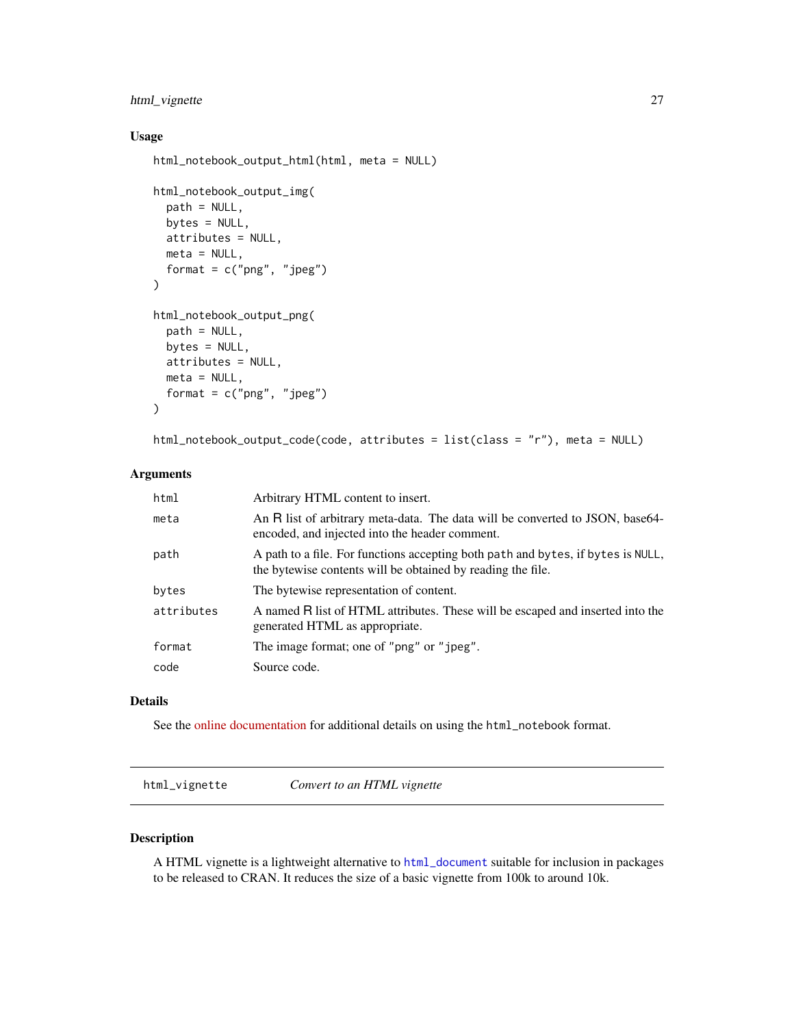# <span id="page-26-0"></span>html\_vignette 27

# Usage

```
html_notebook_output_html(html, meta = NULL)
html_notebook_output_img(
  path = NULL,
 bytes = NULL,attributes = NULL,
 meta = NULL,
  format = c("png", "jpeg")\mathcal{L}html_notebook_output_png(
 path = NULL,
 bytes = NULL,
  attributes = NULL,
```

```
meta = NULL,
format = c("png", "jpeg")
```
html\_notebook\_output\_code(code, attributes = list(class = "r"), meta = NULL)

# Arguments

 $\mathcal{L}$ 

| html       | Arbitrary HTML content to insert.                                                                                                               |
|------------|-------------------------------------------------------------------------------------------------------------------------------------------------|
| meta       | An R list of arbitrary meta-data. The data will be converted to JSON, base64-<br>encoded, and injected into the header comment.                 |
| path       | A path to a file. For functions accepting both path and bytes, if bytes is NULL,<br>the bytewise contents will be obtained by reading the file. |
| bytes      | The bytewise representation of content.                                                                                                         |
| attributes | A named R list of HTML attributes. These will be escaped and inserted into the<br>generated HTML as appropriate.                                |
| format     | The image format; one of "png" or "jpeg".                                                                                                       |
| code       | Source code.                                                                                                                                    |

#### Details

See the [online documentation](https://rmarkdown.rstudio.com/r_notebook_format.html) for additional details on using the html\_notebook format.

html\_vignette *Convert to an HTML vignette*

## Description

A HTML vignette is a lightweight alternative to [html\\_document](#page-16-1) suitable for inclusion in packages to be released to CRAN. It reduces the size of a basic vignette from 100k to around 10k.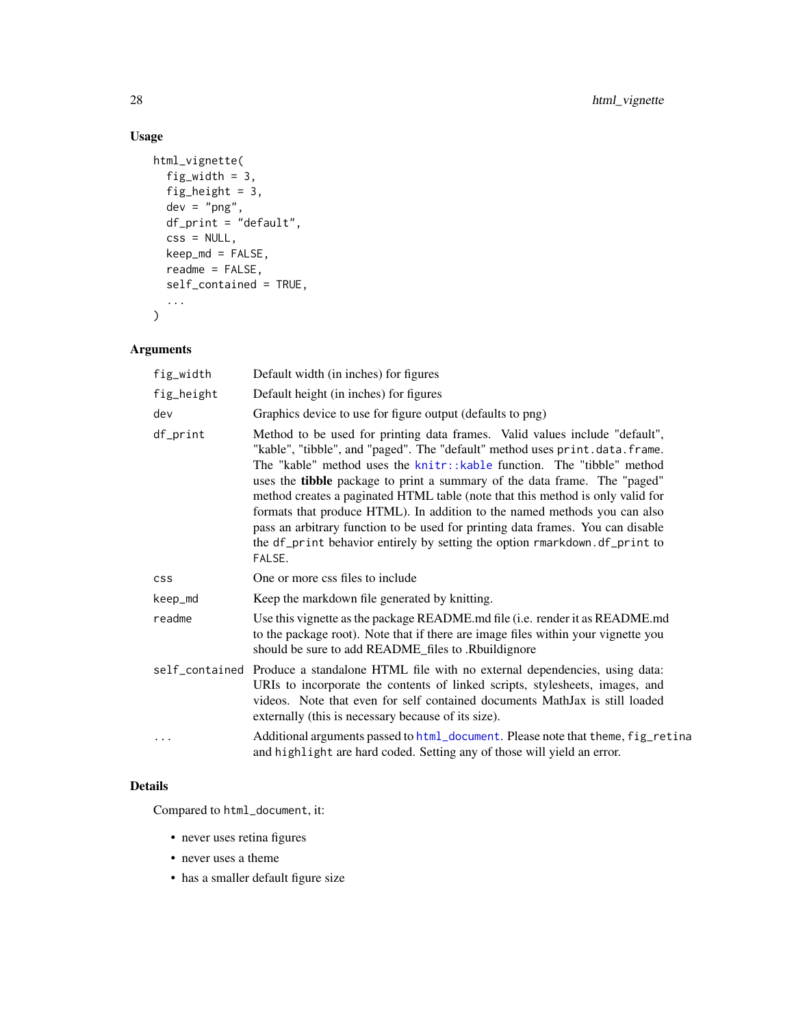# Usage

```
html_vignette(
  fig_width = 3,
  fig_height = 3,
  dev = "png",df_print = "default",
  \text{css} = \text{NULL},
  keep_md = FALSE,
  readme = FALSE,
  self_contained = TRUE,
  ...
)
```
# Arguments

| fig_width  | Default width (in inches) for figures                                                                                                                                                                                                                                                                                                                                                                                                                                                                                                                                                                                                                              |
|------------|--------------------------------------------------------------------------------------------------------------------------------------------------------------------------------------------------------------------------------------------------------------------------------------------------------------------------------------------------------------------------------------------------------------------------------------------------------------------------------------------------------------------------------------------------------------------------------------------------------------------------------------------------------------------|
| fig_height | Default height (in inches) for figures                                                                                                                                                                                                                                                                                                                                                                                                                                                                                                                                                                                                                             |
| dev        | Graphics device to use for figure output (defaults to png)                                                                                                                                                                                                                                                                                                                                                                                                                                                                                                                                                                                                         |
| df_print   | Method to be used for printing data frames. Valid values include "default",<br>"kable", "tibble", and "paged". The "default" method uses print.data.frame.<br>The "kable" method uses the knitr::kable function. The "tibble" method<br>uses the <b>tibble</b> package to print a summary of the data frame. The "paged"<br>method creates a paginated HTML table (note that this method is only valid for<br>formats that produce HTML). In addition to the named methods you can also<br>pass an arbitrary function to be used for printing data frames. You can disable<br>the df_print behavior entirely by setting the option rmarkdown.df_print to<br>FALSE. |
| <b>CSS</b> | One or more css files to include                                                                                                                                                                                                                                                                                                                                                                                                                                                                                                                                                                                                                                   |
| keep_md    | Keep the markdown file generated by knitting.                                                                                                                                                                                                                                                                                                                                                                                                                                                                                                                                                                                                                      |
| readme     | Use this vignette as the package README.md file (i.e. render it as README.md<br>to the package root). Note that if there are image files within your vignette you<br>should be sure to add README_files to .Rbuildignore                                                                                                                                                                                                                                                                                                                                                                                                                                           |
|            | self_contained Produce a standalone HTML file with no external dependencies, using data:<br>URIs to incorporate the contents of linked scripts, stylesheets, images, and<br>videos. Note that even for self contained documents MathJax is still loaded<br>externally (this is necessary because of its size).                                                                                                                                                                                                                                                                                                                                                     |
| .          | Additional arguments passed to html_document. Please note that theme, fig_retina<br>and highlight are hard coded. Setting any of those will yield an error.                                                                                                                                                                                                                                                                                                                                                                                                                                                                                                        |

# Details

Compared to html\_document, it:

- never uses retina figures
- never uses a theme
- has a smaller default figure size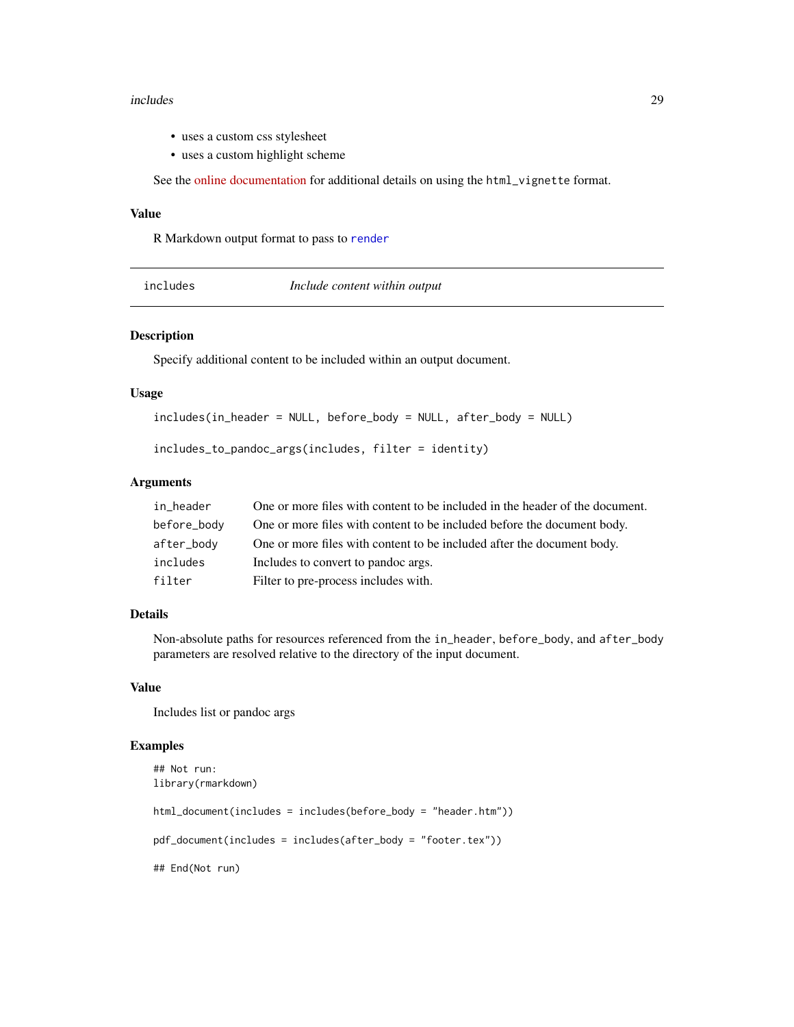#### <span id="page-28-0"></span>includes 29

- uses a custom css stylesheet
- uses a custom highlight scheme

See the [online documentation](https://rmarkdown.rstudio.com/package_vignette_format.html) for additional details on using the html\_vignette format.

#### Value

R Markdown output format to pass to [render](#page-57-1)

<span id="page-28-1"></span>includes *Include content within output*

# Description

Specify additional content to be included within an output document.

#### Usage

```
includes(in_header = NULL, before_body = NULL, after_body = NULL)
```

```
includes_to_pandoc_args(includes, filter = identity)
```
### Arguments

| in header   | One or more files with content to be included in the header of the document. |
|-------------|------------------------------------------------------------------------------|
| before_body | One or more files with content to be included before the document body.      |
| after_body  | One or more files with content to be included after the document body.       |
| includes    | Includes to convert to pandoc args.                                          |
| filter      | Filter to pre-process includes with.                                         |

# Details

Non-absolute paths for resources referenced from the in\_header, before\_body, and after\_body parameters are resolved relative to the directory of the input document.

#### Value

Includes list or pandoc args

#### Examples

```
## Not run:
library(rmarkdown)
html_document(includes = includes(before_body = "header.htm"))
pdf_document(includes = includes(after_body = "footer.tex"))
## End(Not run)
```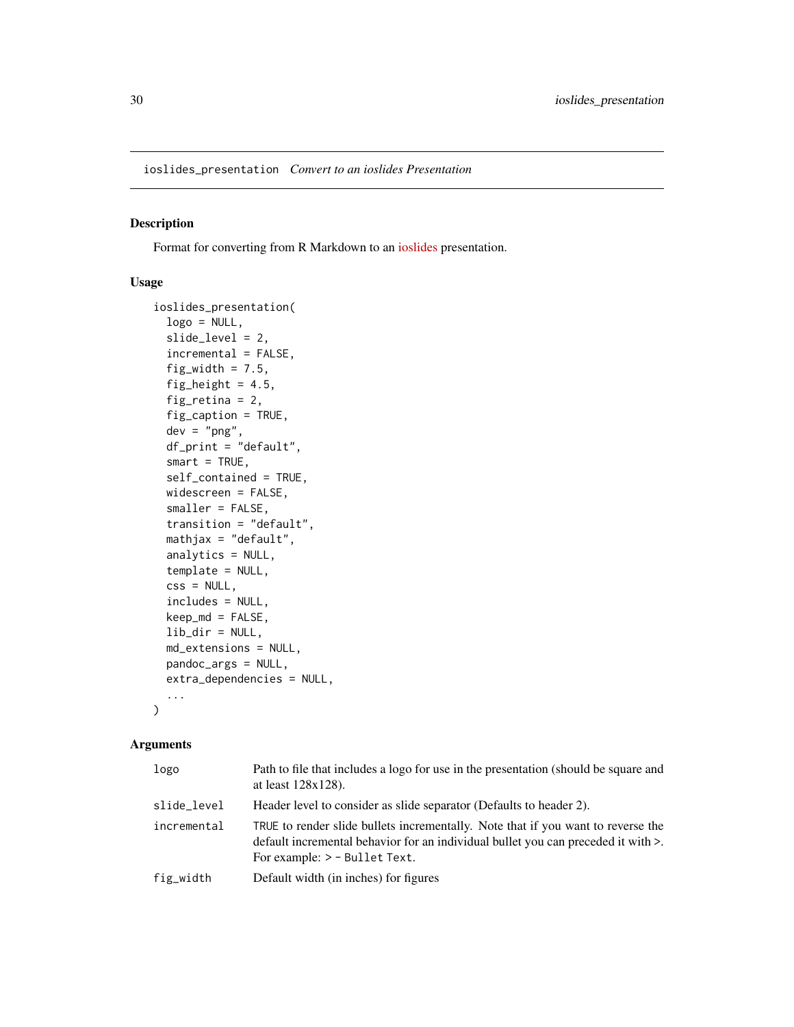# <span id="page-29-0"></span>Description

Format for converting from R Markdown to an [ioslides](https://code.google.com/p/io-2012-slides/) presentation.

#### Usage

```
ioslides_presentation(
  logo = NULL,slide_level = 2,
  incremental = FALSE,
  fig_width = 7.5,
  fig_height = 4.5,
  fig_retina = 2,
  fig_caption = TRUE,
  dev = "png",df_print = "default",
  smart = TRUE,self_contained = TRUE,
 widescreen = FALSE,
  smaller = FALSE,
  transition = "default",
 mathjax = "default",
  analytics = NULL,
  template = NULL,
  \text{css} = \text{NULL},
  includes = NULL,
 keep_md = FALSE,
  lib\_dir = NULL,md_extensions = NULL,
 pandoc_args = NULL,
 extra_dependencies = NULL,
  ...
\mathcal{L}
```

| logo        | Path to file that includes a logo for use in the presentation (should be square and<br>at least $128x128$ ).                                                                                                  |
|-------------|---------------------------------------------------------------------------------------------------------------------------------------------------------------------------------------------------------------|
| slide_level | Header level to consider as slide separator (Defaults to header 2).                                                                                                                                           |
| incremental | TRUE to render slide bullets incrementally. Note that if you want to reverse the<br>default incremental behavior for an individual bullet you can preceded it with $\ge$ .<br>For example: $>$ - Bullet Text. |
| fig_width   | Default width (in inches) for figures                                                                                                                                                                         |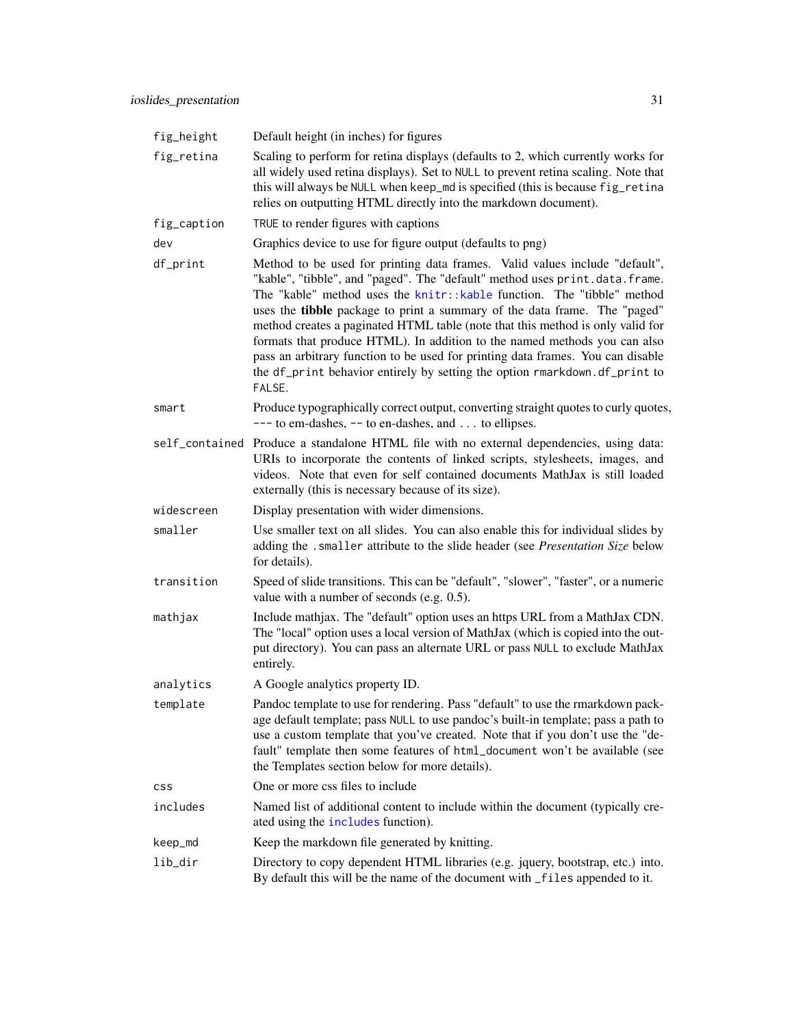| fig_height     | Default height (in inches) for figures                                                                                                                                                                                                                                                                                                                                                                                                                                                                                                                                                                                                                       |
|----------------|--------------------------------------------------------------------------------------------------------------------------------------------------------------------------------------------------------------------------------------------------------------------------------------------------------------------------------------------------------------------------------------------------------------------------------------------------------------------------------------------------------------------------------------------------------------------------------------------------------------------------------------------------------------|
| fig_retina     | Scaling to perform for retina displays (defaults to 2, which currently works for<br>all widely used retina displays). Set to NULL to prevent retina scaling. Note that<br>this will always be NULL when keep_md is specified (this is because fig_retina<br>relies on outputting HTML directly into the markdown document).                                                                                                                                                                                                                                                                                                                                  |
| fig_caption    | TRUE to render figures with captions                                                                                                                                                                                                                                                                                                                                                                                                                                                                                                                                                                                                                         |
| dev            | Graphics device to use for figure output (defaults to png)                                                                                                                                                                                                                                                                                                                                                                                                                                                                                                                                                                                                   |
| df_print       | Method to be used for printing data frames. Valid values include "default",<br>"kable", "tibble", and "paged". The "default" method uses print.data.frame.<br>The "kable" method uses the knitr:: kable function. The "tibble" method<br>uses the tibble package to print a summary of the data frame. The "paged"<br>method creates a paginated HTML table (note that this method is only valid for<br>formats that produce HTML). In addition to the named methods you can also<br>pass an arbitrary function to be used for printing data frames. You can disable<br>the df_print behavior entirely by setting the option rmarkdown.df_print to<br>FALSE. |
| smart          | Produce typographically correct output, converting straight quotes to curly quotes,<br>$---$ to em-dashes, $--$ to en-dashes, and  to ellipses.                                                                                                                                                                                                                                                                                                                                                                                                                                                                                                              |
| self_contained | Produce a standalone HTML file with no external dependencies, using data:<br>URIs to incorporate the contents of linked scripts, stylesheets, images, and<br>videos. Note that even for self contained documents MathJax is still loaded<br>externally (this is necessary because of its size).                                                                                                                                                                                                                                                                                                                                                              |
| widescreen     | Display presentation with wider dimensions.                                                                                                                                                                                                                                                                                                                                                                                                                                                                                                                                                                                                                  |
| smaller        | Use smaller text on all slides. You can also enable this for individual slides by<br>adding the .smaller attribute to the slide header (see Presentation Size below<br>for details).                                                                                                                                                                                                                                                                                                                                                                                                                                                                         |
| transition     | Speed of slide transitions. This can be "default", "slower", "faster", or a numeric<br>value with a number of seconds (e.g. 0.5).                                                                                                                                                                                                                                                                                                                                                                                                                                                                                                                            |
| mathjax        | Include mathjax. The "default" option uses an https URL from a MathJax CDN.<br>The "local" option uses a local version of MathJax (which is copied into the out-<br>put directory). You can pass an alternate URL or pass NULL to exclude MathJax<br>entirely.                                                                                                                                                                                                                                                                                                                                                                                               |
| analytics      | A Google analytics property ID.                                                                                                                                                                                                                                                                                                                                                                                                                                                                                                                                                                                                                              |
| template       | Pandoc template to use for rendering. Pass "default" to use the rmarkdown pack-<br>age default template; pass NULL to use pandoc's built-in template; pass a path to<br>use a custom template that you've created. Note that if you don't use the "de-<br>fault" template then some features of html_document won't be available (see<br>the Templates section below for more details).                                                                                                                                                                                                                                                                      |
| css            | One or more css files to include                                                                                                                                                                                                                                                                                                                                                                                                                                                                                                                                                                                                                             |
| includes       | Named list of additional content to include within the document (typically cre-<br>ated using the includes function).                                                                                                                                                                                                                                                                                                                                                                                                                                                                                                                                        |
| keep_md        | Keep the markdown file generated by knitting.                                                                                                                                                                                                                                                                                                                                                                                                                                                                                                                                                                                                                |
| lib_dir        | Directory to copy dependent HTML libraries (e.g. jquery, bootstrap, etc.) into.<br>By default this will be the name of the document with _files appended to it.                                                                                                                                                                                                                                                                                                                                                                                                                                                                                              |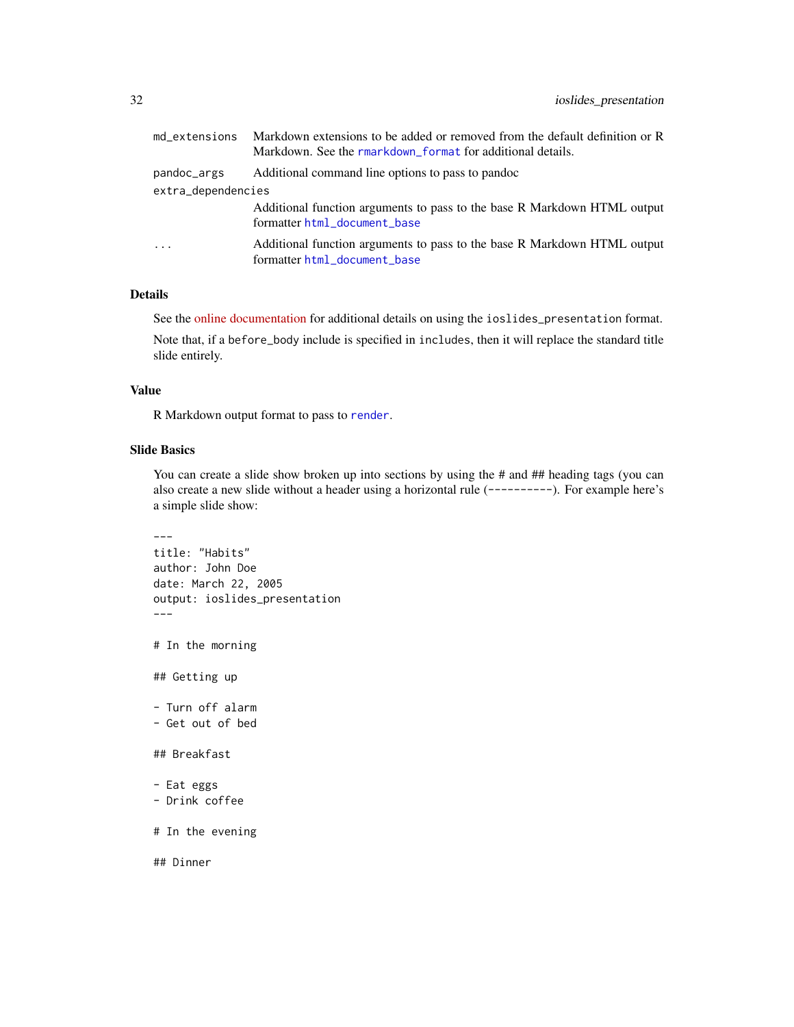| md extensions      | Markdown extensions to be added or removed from the default definition or R<br>Markdown. See the rmarkdown format for additional details. |  |
|--------------------|-------------------------------------------------------------------------------------------------------------------------------------------|--|
| pandoc_args        | Additional command line options to pass to pandoc                                                                                         |  |
| extra_dependencies |                                                                                                                                           |  |
|                    | Additional function arguments to pass to the base R Markdown HTML output<br>formatter html_document_base                                  |  |
| $\cdot$            | Additional function arguments to pass to the base R Markdown HTML output<br>formatter html_document_base                                  |  |

See the [online documentation](http://rmarkdown.rstudio.com/ioslides_presentation_format.html) for additional details on using the ioslides\_presentation format.

Note that, if a before\_body include is specified in includes, then it will replace the standard title slide entirely.

#### Value

R Markdown output format to pass to [render](#page-57-1).

# Slide Basics

You can create a slide show broken up into sections by using the # and ## heading tags (you can also create a new slide without a header using a horizontal rule (----------). For example here's a simple slide show:

```
---
title: "Habits"
author: John Doe
date: March 22, 2005
output: ioslides_presentation
---
# In the morning
## Getting up
- Turn off alarm
- Get out of bed
## Breakfast
- Eat eggs
- Drink coffee
# In the evening
## Dinner
```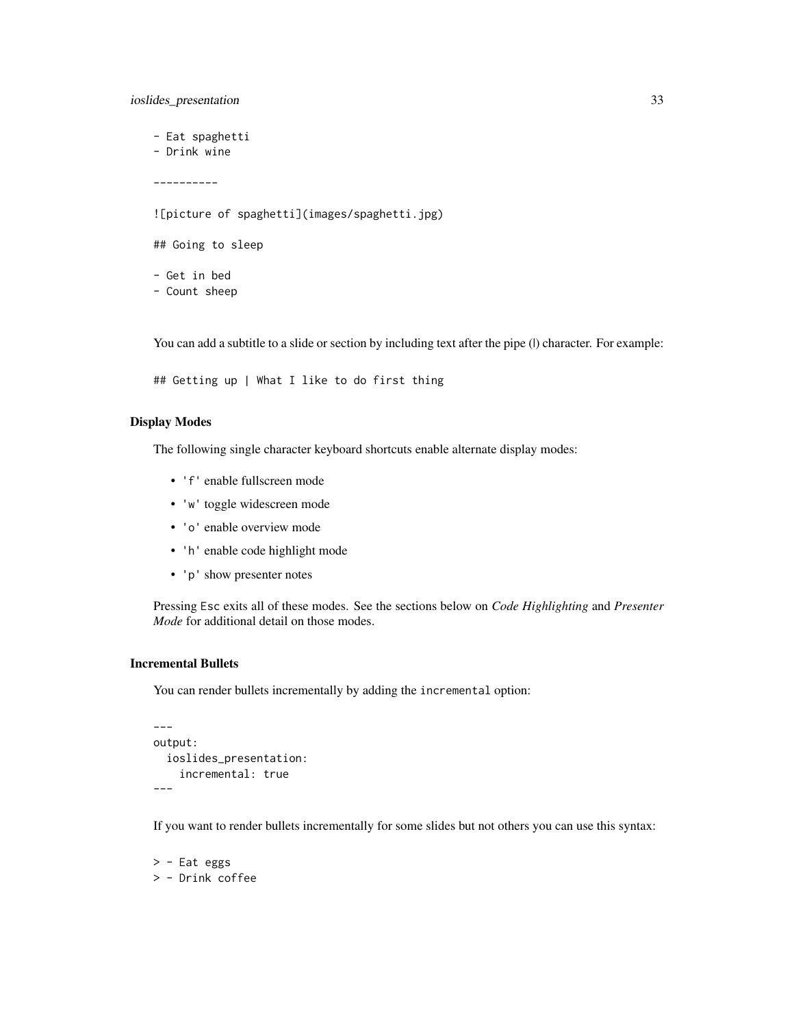ioslides\_presentation 33

- Eat spaghetti

- Drink wine

----------

![picture of spaghetti](images/spaghetti.jpg)

## Going to sleep

- Get in bed - Count sheep

You can add a subtitle to a slide or section by including text after the pipe (I) character. For example:

```
## Getting up | What I like to do first thing
```
# Display Modes

The following single character keyboard shortcuts enable alternate display modes:

- 'f' enable fullscreen mode
- 'w' toggle widescreen mode
- 'o' enable overview mode
- 'h' enable code highlight mode
- 'p' show presenter notes

Pressing Esc exits all of these modes. See the sections below on *Code Highlighting* and *Presenter Mode* for additional detail on those modes.

# Incremental Bullets

You can render bullets incrementally by adding the incremental option:

```
---
output:
  ioslides_presentation:
    incremental: true
---
```
If you want to render bullets incrementally for some slides but not others you can use this syntax:

> - Eat eggs > - Drink coffee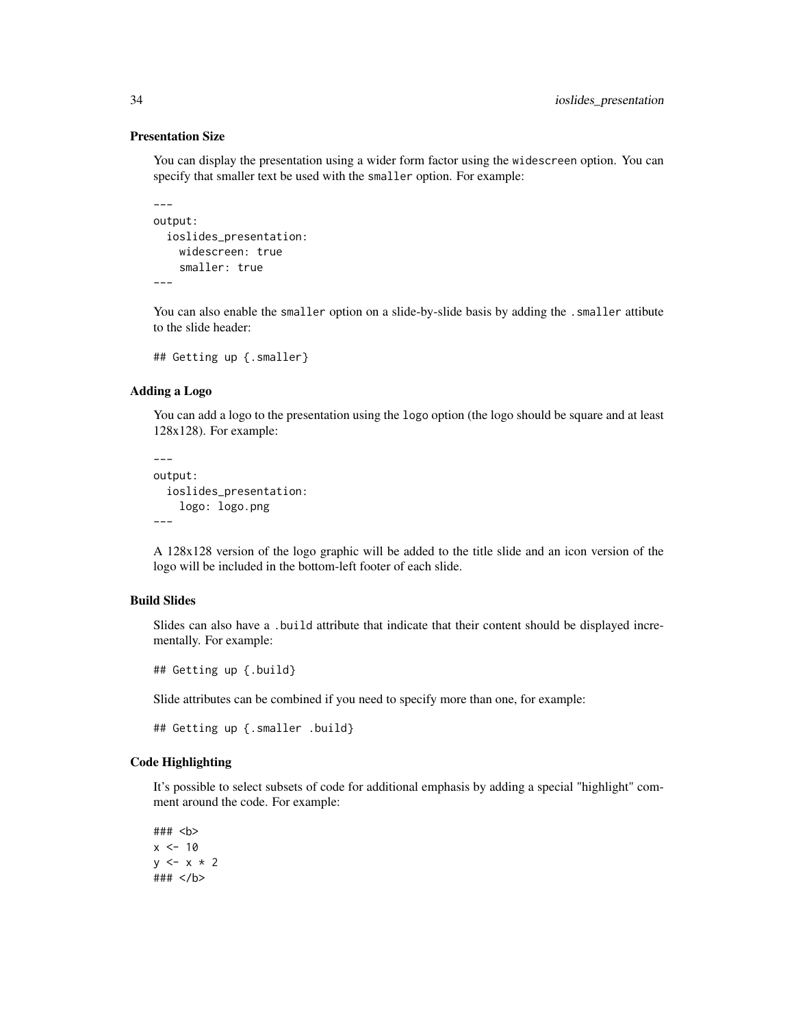#### Presentation Size

You can display the presentation using a wider form factor using the widescreen option. You can specify that smaller text be used with the smaller option. For example:

```
---output:
  ioslides_presentation:
    widescreen: true
    smaller: true
---
```
You can also enable the smaller option on a slide-by-slide basis by adding the . smaller attibute to the slide header:

```
## Getting up {.smaller}
```
#### Adding a Logo

You can add a logo to the presentation using the logo option (the logo should be square and at least 128x128). For example:

```
---
output:
  ioslides_presentation:
    logo: logo.png
---
```
A 128x128 version of the logo graphic will be added to the title slide and an icon version of the logo will be included in the bottom-left footer of each slide.

# Build Slides

Slides can also have a .build attribute that indicate that their content should be displayed incrementally. For example:

## Getting up {.build}

Slide attributes can be combined if you need to specify more than one, for example:

```
## Getting up {.smaller .build}
```
# Code Highlighting

It's possible to select subsets of code for additional emphasis by adding a special "highlight" comment around the code. For example:

### <b>  $x < -10$  $y \leq -x \times 2$ ### </b>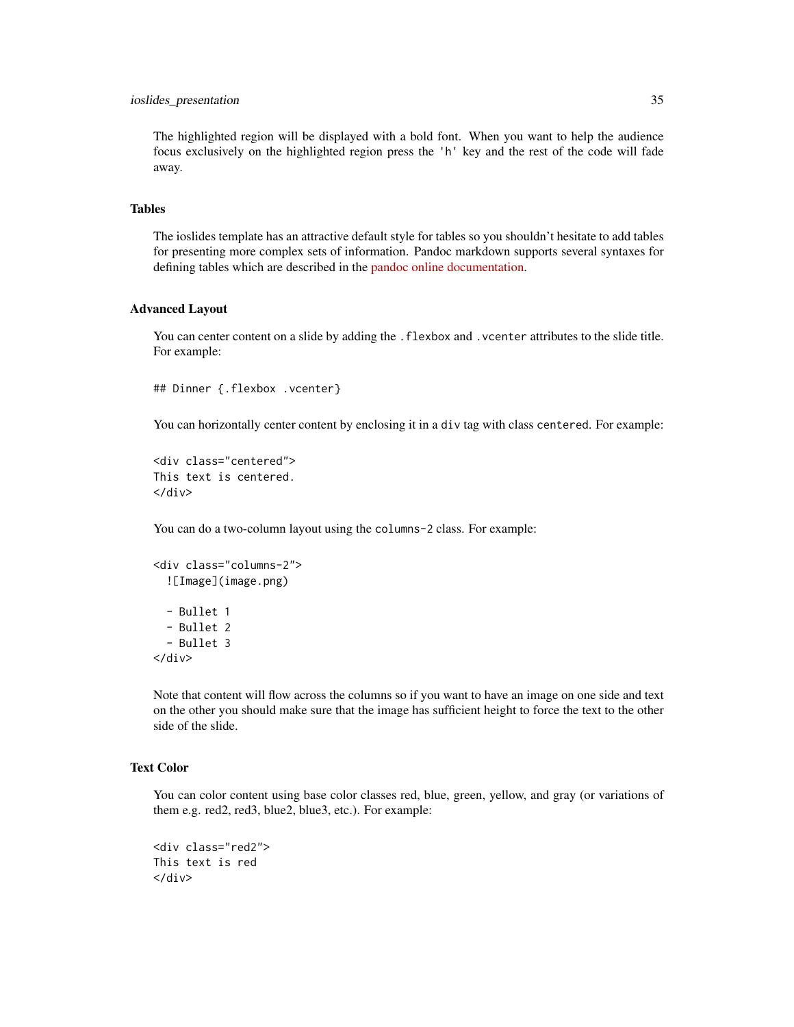#### ioslides\_presentation 35

The highlighted region will be displayed with a bold font. When you want to help the audience focus exclusively on the highlighted region press the 'h' key and the rest of the code will fade away.

## Tables

The ioslides template has an attractive default style for tables so you shouldn't hesitate to add tables for presenting more complex sets of information. Pandoc markdown supports several syntaxes for defining tables which are described in the [pandoc online documentation.](http://pandoc.org/README.html)

#### Advanced Layout

You can center content on a slide by adding the . flexbox and . vcenter attributes to the slide title. For example:

```
## Dinner {.flexbox .vcenter}
```
You can horizontally center content by enclosing it in a div tag with class centered. For example:

```
<div class="centered">
This text is centered.
</div>
```
You can do a two-column layout using the columns-2 class. For example:

```
<div class="columns-2">
  ![Image](image.png)
  - Bullet 1
  - Bullet 2
  - Bullet 3
\langle/div\rangle
```
Note that content will flow across the columns so if you want to have an image on one side and text on the other you should make sure that the image has sufficient height to force the text to the other side of the slide.

# Text Color

You can color content using base color classes red, blue, green, yellow, and gray (or variations of them e.g. red2, red3, blue2, blue3, etc.). For example:

```
<div class="red2">
This text is red
\langlediv\rangle
```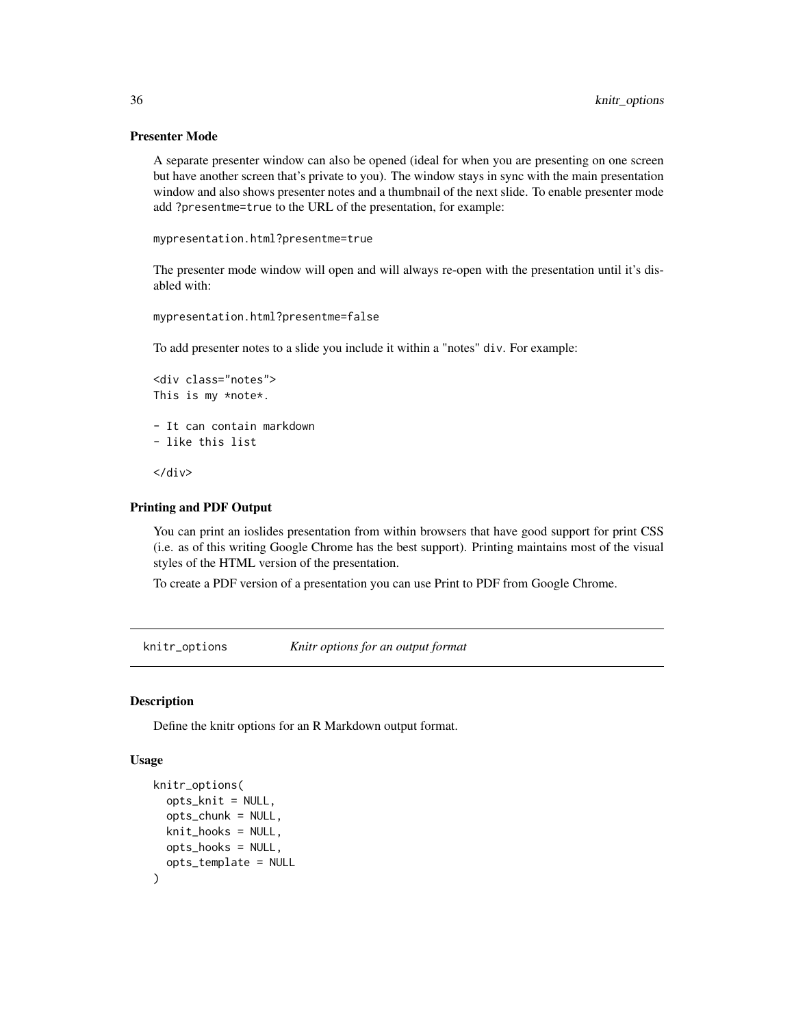# Presenter Mode

A separate presenter window can also be opened (ideal for when you are presenting on one screen but have another screen that's private to you). The window stays in sync with the main presentation window and also shows presenter notes and a thumbnail of the next slide. To enable presenter mode add ?presentme=true to the URL of the presentation, for example:

```
mypresentation.html?presentme=true
```
The presenter mode window will open and will always re-open with the presentation until it's disabled with:

```
mypresentation.html?presentme=false
```
To add presenter notes to a slide you include it within a "notes" div. For example:

```
<div class="notes">
This is my *note*.
- It can contain markdown
- like this list
```
</div>

# Printing and PDF Output

You can print an ioslides presentation from within browsers that have good support for print CSS (i.e. as of this writing Google Chrome has the best support). Printing maintains most of the visual styles of the HTML version of the presentation.

To create a PDF version of a presentation you can use Print to PDF from Google Chrome.

knitr\_options *Knitr options for an output format*

#### **Description**

Define the knitr options for an R Markdown output format.

#### Usage

```
knitr_options(
  opts_knit = NULL,
  opts_chunk = NULL,
 knit_hooks = NULL,
 opts_hooks = NULL,
  opts_template = NULL
)
```
<span id="page-35-0"></span>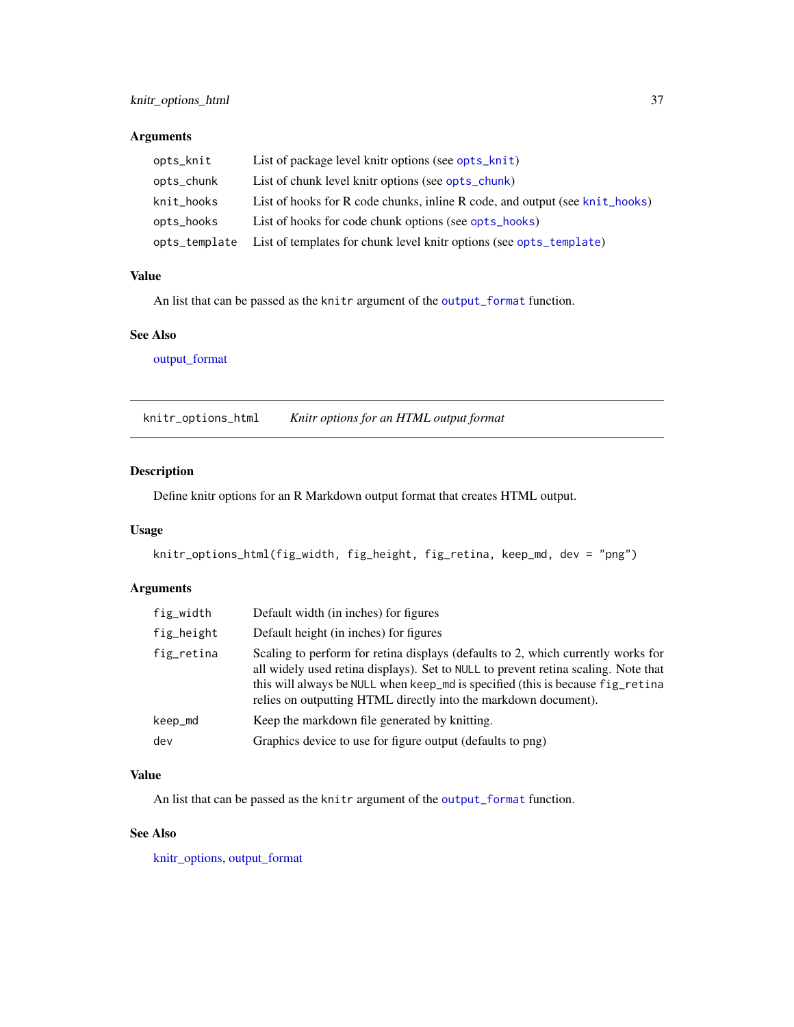# Arguments

| opts_knit     | List of package level knitr options (see opts_knit)                         |
|---------------|-----------------------------------------------------------------------------|
| opts_chunk    | List of chunk level knitr options (see opts_chunk)                          |
| knit_hooks    | List of hooks for R code chunks, inline R code, and output (see knit_hooks) |
| opts_hooks    | List of hooks for code chunk options (see opts_hooks)                       |
| opts_template | List of templates for chunk level knitr options (see opts_template)         |

### Value

An list that can be passed as the knitr argument of the [output\\_format](#page-43-0) function.

### See Also

[output\\_format](#page-43-0)

knitr\_options\_html *Knitr options for an HTML output format*

# Description

Define knitr options for an R Markdown output format that creates HTML output.

## Usage

knitr\_options\_html(fig\_width, fig\_height, fig\_retina, keep\_md, dev = "png")

# Arguments

| fig_width  | Default width (in inches) for figures                                                                                                                                                                                                                                                                                       |
|------------|-----------------------------------------------------------------------------------------------------------------------------------------------------------------------------------------------------------------------------------------------------------------------------------------------------------------------------|
| fig_height | Default height (in inches) for figures                                                                                                                                                                                                                                                                                      |
| fig_retina | Scaling to perform for retina displays (defaults to 2, which currently works for<br>all widely used retina displays). Set to NULL to prevent retina scaling. Note that<br>this will always be NULL when keep_md is specified (this is because fig_retina<br>relies on outputting HTML directly into the markdown document). |
| keep_md    | Keep the markdown file generated by knitting.                                                                                                                                                                                                                                                                               |
| dev        | Graphics device to use for figure output (defaults to png)                                                                                                                                                                                                                                                                  |

# Value

An list that can be passed as the knitr argument of the [output\\_format](#page-43-0) function.

# See Also

[knitr\\_options,](#page-35-0) [output\\_format](#page-43-0)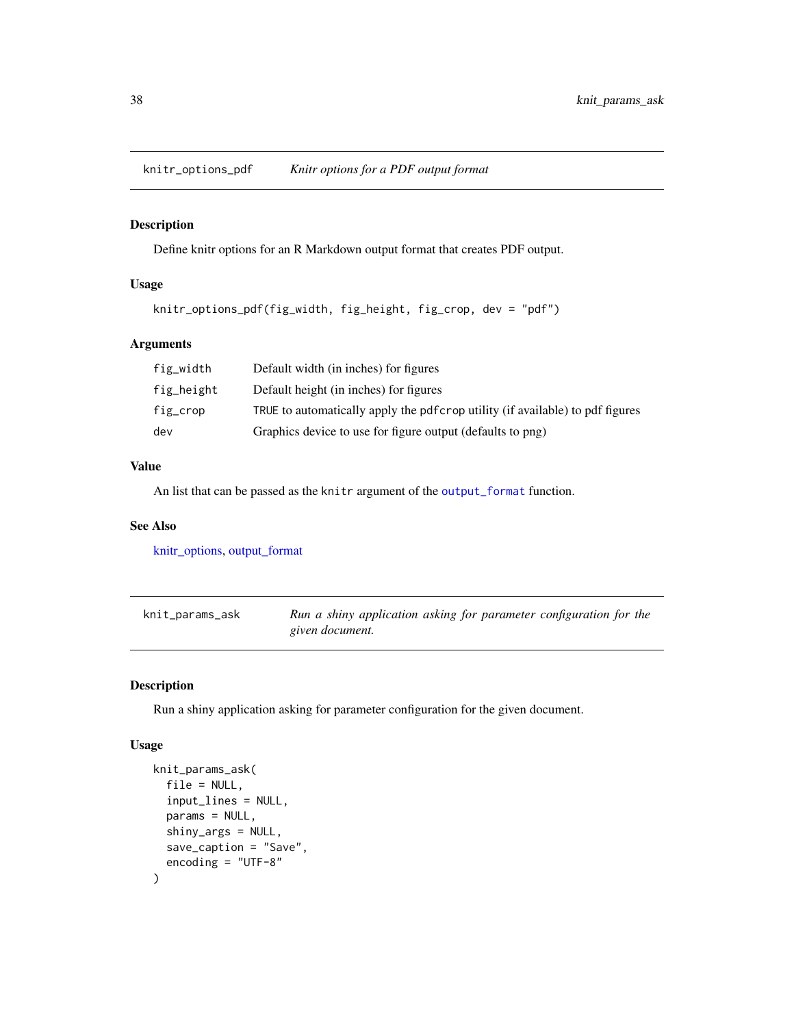knitr\_options\_pdf *Knitr options for a PDF output format*

# Description

Define knitr options for an R Markdown output format that creates PDF output.

# Usage

```
knitr_options_pdf(fig_width, fig_height, fig_crop, dev = "pdf")
```
## Arguments

| fig_width  | Default width (in inches) for figures                                          |
|------------|--------------------------------------------------------------------------------|
| fig_height | Default height (in inches) for figures                                         |
| fig_crop   | TRUE to automatically apply the pdf crop utility (if available) to pdf figures |
| dev        | Graphics device to use for figure output (defaults to png)                     |

### Value

An list that can be passed as the knitr argument of the [output\\_format](#page-43-0) function.

## See Also

[knitr\\_options,](#page-35-0) [output\\_format](#page-43-0)

| knit_params_ask | Run a shiny application asking for parameter configuration for the |
|-----------------|--------------------------------------------------------------------|
|                 | given document.                                                    |

# Description

Run a shiny application asking for parameter configuration for the given document.

```
knit_params_ask(
  file = NULL,
  input_lines = NULL,
  params = NULL,
  shiny_args = NULL,
  save_caption = "Save",
  encoding = "UTF-8"
\mathcal{E}
```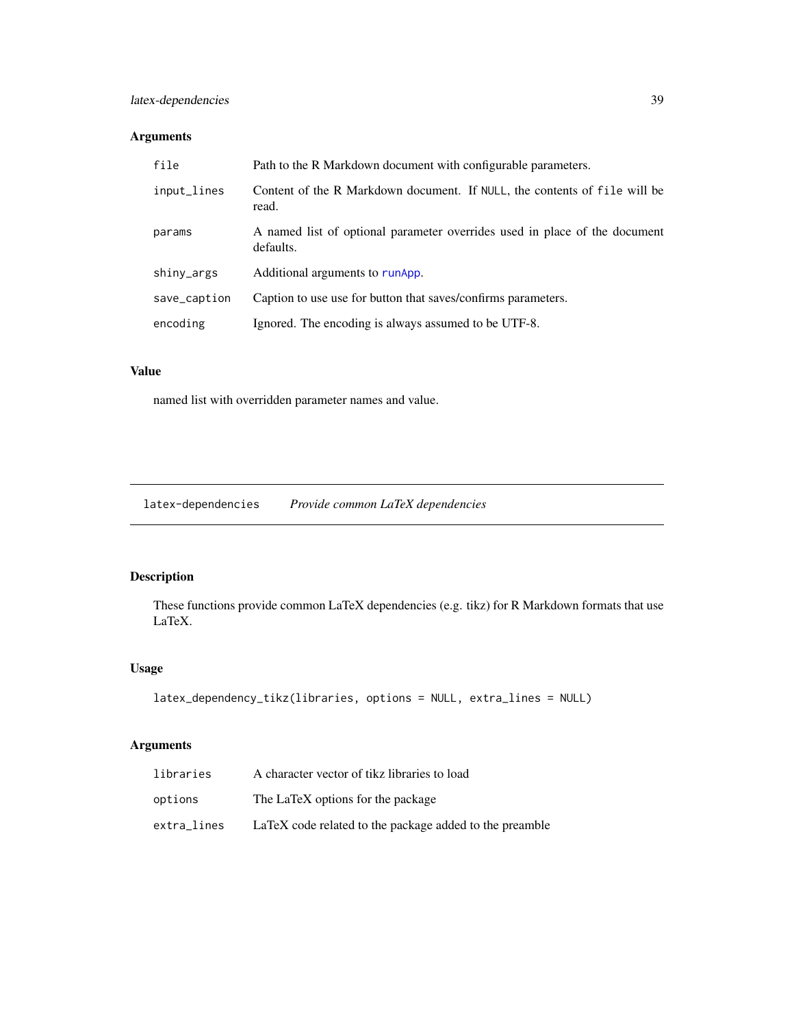# latex-dependencies 39

# Arguments

| file         | Path to the R Markdown document with configurable parameters.                           |
|--------------|-----------------------------------------------------------------------------------------|
| input_lines  | Content of the R Markdown document. If NULL, the contents of file will be<br>read.      |
| params       | A named list of optional parameter overrides used in place of the document<br>defaults. |
| shiny_args   | Additional arguments to runApp.                                                         |
| save_caption | Caption to use use for button that saves/confirms parameters.                           |
| encoding     | Ignored. The encoding is always assumed to be UTF-8.                                    |
|              |                                                                                         |

# Value

named list with overridden parameter names and value.

latex-dependencies *Provide common LaTeX dependencies*

# Description

These functions provide common LaTeX dependencies (e.g. tikz) for R Markdown formats that use LaTeX.

# Usage

```
latex_dependency_tikz(libraries, options = NULL, extra_lines = NULL)
```

| libraries   | A character vector of tikz libraries to load            |
|-------------|---------------------------------------------------------|
| options     | The LaTeX options for the package                       |
| extra_lines | LaTeX code related to the package added to the preamble |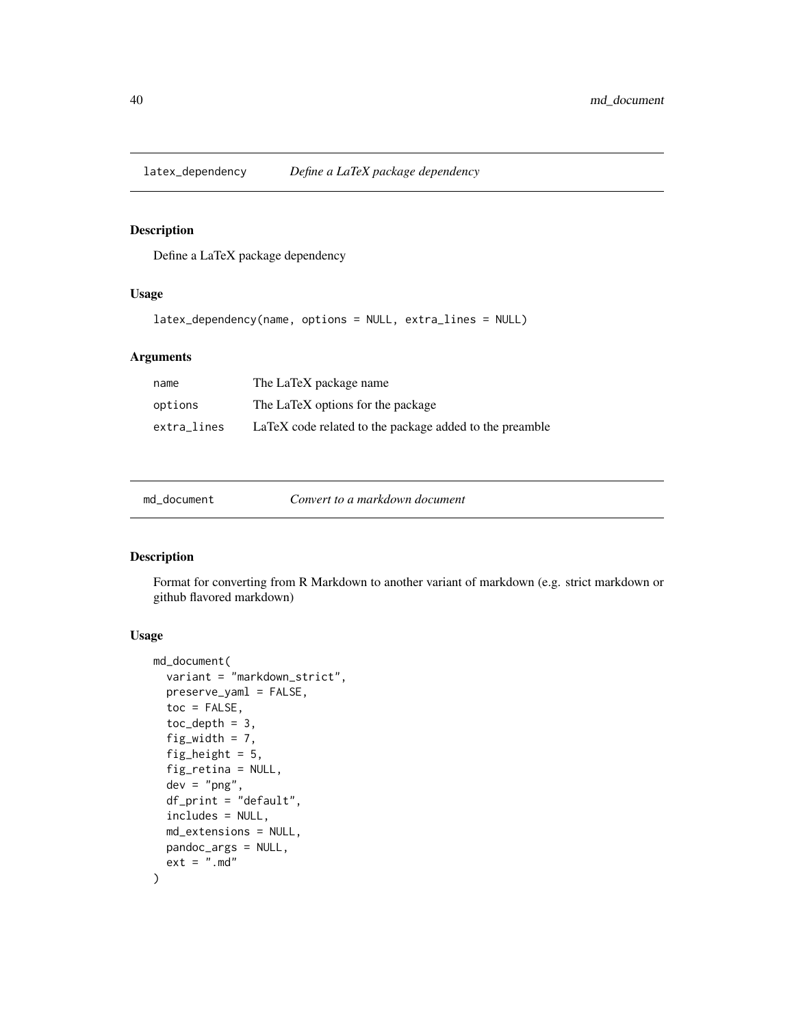latex\_dependency *Define a LaTeX package dependency*

### Description

Define a LaTeX package dependency

# Usage

```
latex_dependency(name, options = NULL, extra_lines = NULL)
```
## Arguments

| name        | The LaTeX package name                                  |
|-------------|---------------------------------------------------------|
| options     | The LaTeX options for the package                       |
| extra_lines | LaTeX code related to the package added to the preamble |

| md document | Convert to a markdown document |  |
|-------------|--------------------------------|--|
|-------------|--------------------------------|--|

# Description

Format for converting from R Markdown to another variant of markdown (e.g. strict markdown or github flavored markdown)

```
md_document(
  variant = "markdown_strict",
 preserve_yaml = FALSE,
  toc = FALSE,toc\_depth = 3,
  fig_width = 7,
  fig_height = 5,
  fig_retina = NULL,
  dev = "png",df<sub>-print</sub> = "default",
  includes = NULL,
 md_extensions = NULL,
 pandoc_args = NULL,
  ext = " . md")
```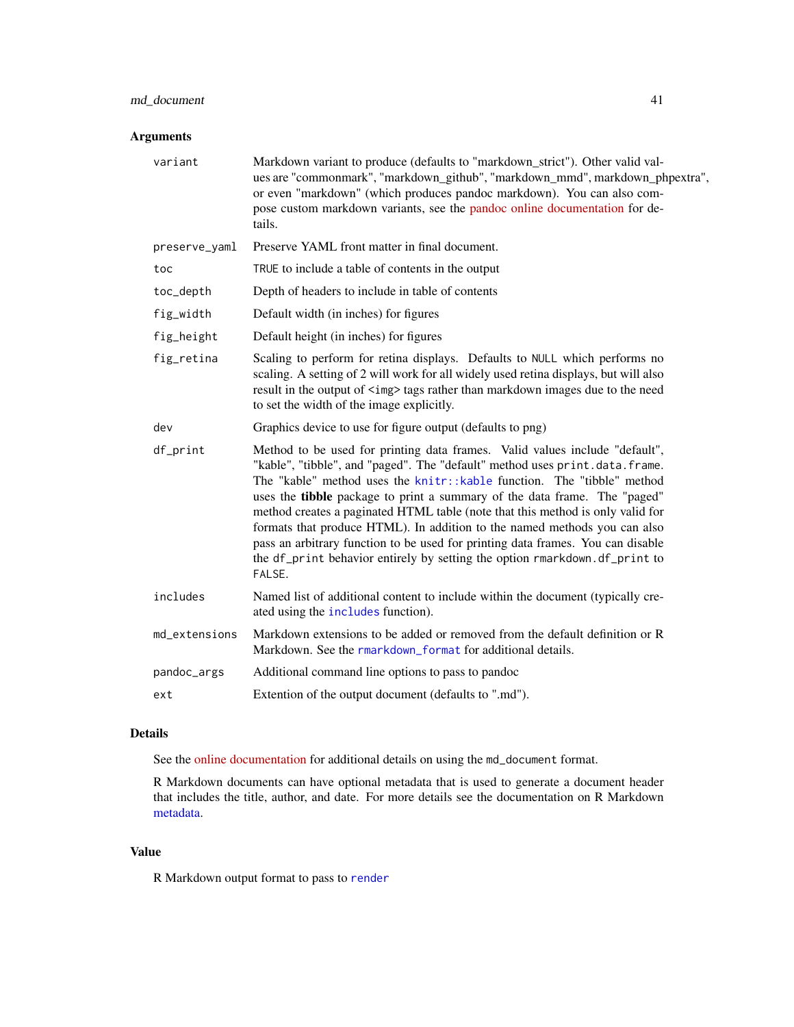# md\_document 41

# Arguments

| variant       | Markdown variant to produce (defaults to "markdown_strict"). Other valid val-<br>ues are "commonmark", "markdown_github", "markdown_mmd", markdown_phpextra",<br>or even "markdown" (which produces pandoc markdown). You can also com-<br>pose custom markdown variants, see the pandoc online documentation for de-<br>tails.                                                                                                                                                                                                                                                                                                                                    |
|---------------|--------------------------------------------------------------------------------------------------------------------------------------------------------------------------------------------------------------------------------------------------------------------------------------------------------------------------------------------------------------------------------------------------------------------------------------------------------------------------------------------------------------------------------------------------------------------------------------------------------------------------------------------------------------------|
| preserve_yaml | Preserve YAML front matter in final document.                                                                                                                                                                                                                                                                                                                                                                                                                                                                                                                                                                                                                      |
| toc           | TRUE to include a table of contents in the output                                                                                                                                                                                                                                                                                                                                                                                                                                                                                                                                                                                                                  |
| toc_depth     | Depth of headers to include in table of contents                                                                                                                                                                                                                                                                                                                                                                                                                                                                                                                                                                                                                   |
| fig_width     | Default width (in inches) for figures                                                                                                                                                                                                                                                                                                                                                                                                                                                                                                                                                                                                                              |
| fig_height    | Default height (in inches) for figures                                                                                                                                                                                                                                                                                                                                                                                                                                                                                                                                                                                                                             |
| fig_retina    | Scaling to perform for retina displays. Defaults to NULL which performs no<br>scaling. A setting of 2 will work for all widely used retina displays, but will also<br>result in the output of <img/> tags rather than markdown images due to the need<br>to set the width of the image explicitly.                                                                                                                                                                                                                                                                                                                                                                 |
| dev           | Graphics device to use for figure output (defaults to png)                                                                                                                                                                                                                                                                                                                                                                                                                                                                                                                                                                                                         |
| df_print      | Method to be used for printing data frames. Valid values include "default",<br>"kable", "tibble", and "paged". The "default" method uses print.data.frame.<br>The "kable" method uses the knitr::kable function. The "tibble" method<br>uses the <b>tibble</b> package to print a summary of the data frame. The "paged"<br>method creates a paginated HTML table (note that this method is only valid for<br>formats that produce HTML). In addition to the named methods you can also<br>pass an arbitrary function to be used for printing data frames. You can disable<br>the df_print behavior entirely by setting the option rmarkdown.df_print to<br>FALSE. |
| includes      | Named list of additional content to include within the document (typically cre-<br>ated using the includes function).                                                                                                                                                                                                                                                                                                                                                                                                                                                                                                                                              |
| md_extensions | Markdown extensions to be added or removed from the default definition or R<br>Markdown. See the rmarkdown_format for additional details.                                                                                                                                                                                                                                                                                                                                                                                                                                                                                                                          |
| pandoc_args   | Additional command line options to pass to pandoc                                                                                                                                                                                                                                                                                                                                                                                                                                                                                                                                                                                                                  |
| ext           | Extention of the output document (defaults to ".md").                                                                                                                                                                                                                                                                                                                                                                                                                                                                                                                                                                                                              |

## Details

See the [online documentation](http://rmarkdown.rstudio.com/markdown_document_format.html) for additional details on using the md\_document format.

R Markdown documents can have optional metadata that is used to generate a document header that includes the title, author, and date. For more details see the documentation on R Markdown [metadata.](#page-67-0)

# Value

R Markdown output format to pass to [render](#page-57-0)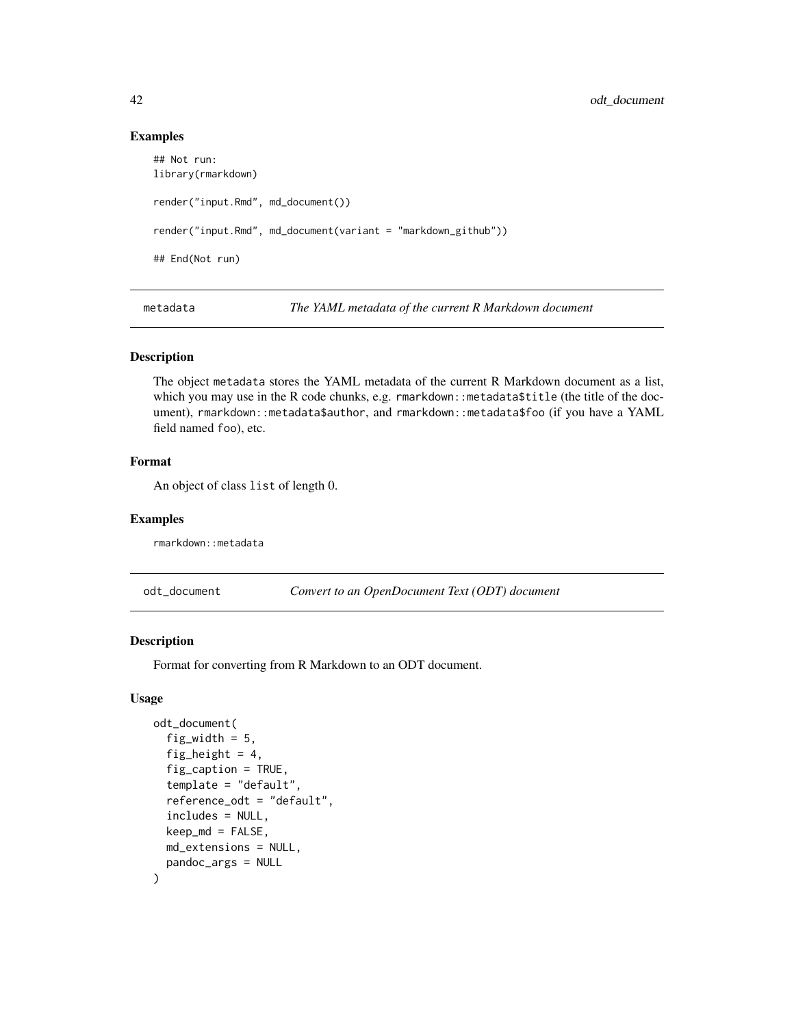### Examples

```
## Not run:
library(rmarkdown)
render("input.Rmd", md_document())
render("input.Rmd", md_document(variant = "markdown_github"))
## End(Not run)
```
metadata *The YAML metadata of the current R Markdown document*

# Description

The object metadata stores the YAML metadata of the current R Markdown document as a list, which you may use in the R code chunks, e.g. rmarkdown: : metadata\$title (the title of the document), rmarkdown::metadata\$author, and rmarkdown::metadata\$foo (if you have a YAML field named foo), etc.

### Format

An object of class list of length 0.

#### Examples

rmarkdown::metadata

odt\_document *Convert to an OpenDocument Text (ODT) document*

## Description

Format for converting from R Markdown to an ODT document.

```
odt_document(
  fig_width = 5,
  fig_height = 4,
  fig_caption = TRUE,
  template = "default",
  reference_odt = "default",
  includes = NULL,
  keep\_md = FALSE,md_extensions = NULL,
 pandoc_args = NULL
)
```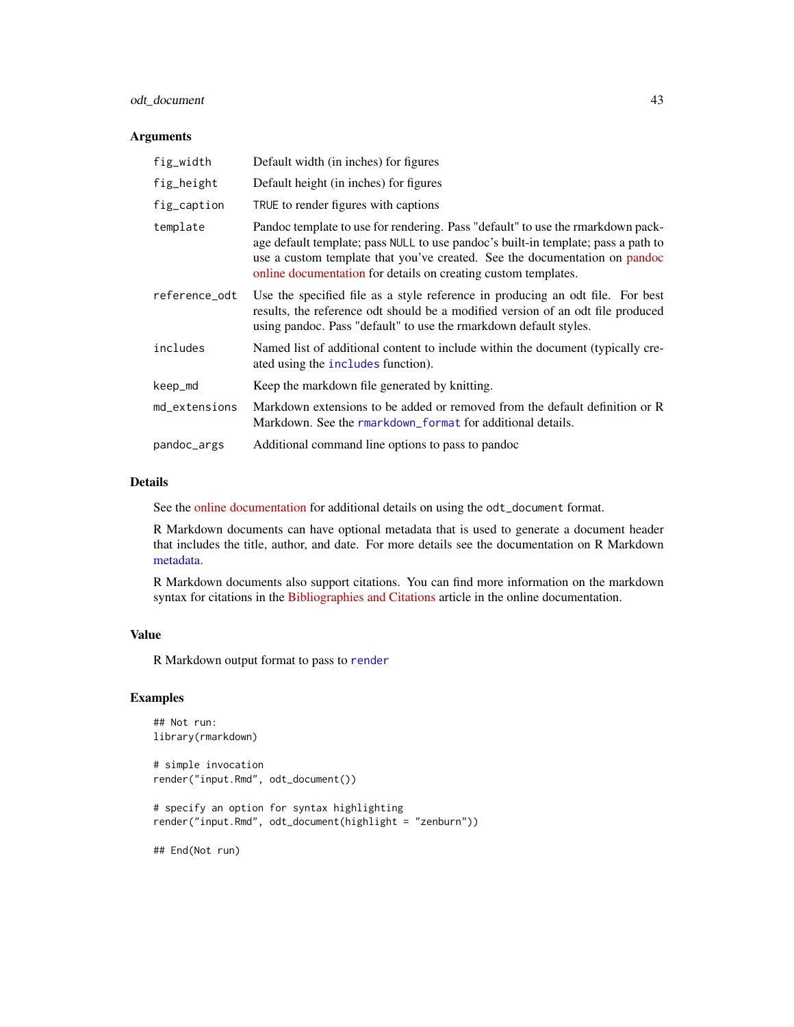# odt\_document 43

### Arguments

| fig_width     | Default width (in inches) for figures                                                                                                                                                                                                                                                                                |
|---------------|----------------------------------------------------------------------------------------------------------------------------------------------------------------------------------------------------------------------------------------------------------------------------------------------------------------------|
| fig_height    | Default height (in inches) for figures                                                                                                                                                                                                                                                                               |
| fig_caption   | TRUE to render figures with captions                                                                                                                                                                                                                                                                                 |
| template      | Pandoc template to use for rendering. Pass "default" to use the rmarkdown pack-<br>age default template; pass NULL to use pandoc's built-in template; pass a path to<br>use a custom template that you've created. See the documentation on pandoc<br>online documentation for details on creating custom templates. |
| reference_odt | Use the specified file as a style reference in producing an odt file. For best<br>results, the reference odt should be a modified version of an odt file produced<br>using pandoc. Pass "default" to use the rmarkdown default styles.                                                                               |
| includes      | Named list of additional content to include within the document (typically cre-<br>ated using the includes function).                                                                                                                                                                                                |
| keep_md       | Keep the markdown file generated by knitting.                                                                                                                                                                                                                                                                        |
| md_extensions | Markdown extensions to be added or removed from the default definition or R<br>Markdown. See the rmarkdown_format for additional details.                                                                                                                                                                            |
| pandoc_args   | Additional command line options to pass to pandoc                                                                                                                                                                                                                                                                    |

#### Details

See the [online documentation](https://rmarkdown.rstudio.com/odt_document_format.html) for additional details on using the odt\_document format.

R Markdown documents can have optional metadata that is used to generate a document header that includes the title, author, and date. For more details see the documentation on R Markdown [metadata.](#page-67-0)

R Markdown documents also support citations. You can find more information on the markdown syntax for citations in the [Bibliographies and Citations](https://rmarkdown.rstudio.com/authoring_bibliographies_and_citations.html) article in the online documentation.

# Value

R Markdown output format to pass to [render](#page-57-0)

### Examples

```
## Not run:
library(rmarkdown)
# simple invocation
render("input.Rmd", odt_document())
# specify an option for syntax highlighting
render("input.Rmd", odt_document(highlight = "zenburn"))
## End(Not run)
```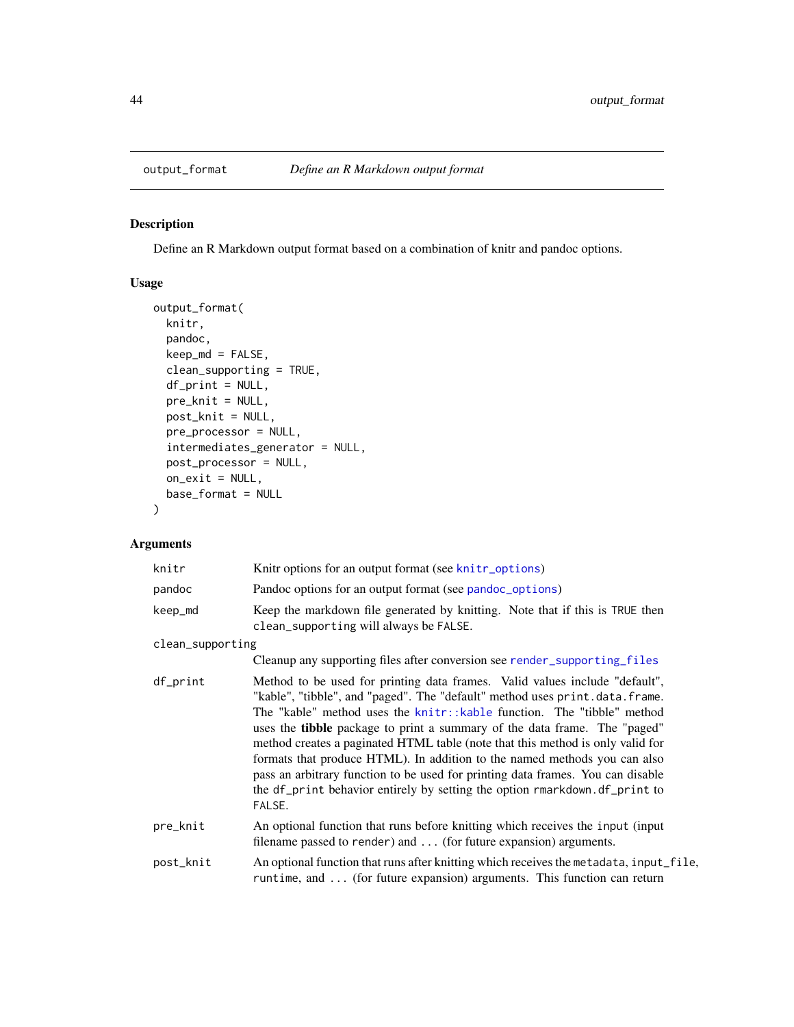<span id="page-43-0"></span>

# Description

Define an R Markdown output format based on a combination of knitr and pandoc options.

# Usage

```
output_format(
 knitr,
 pandoc,
 keep\_md = FALSE,clean_supporting = TRUE,
 df_print = NULL,
 pre_knit = NULL,
 post_knit = NULL,
 pre_processor = NULL,
  intermediates_generator = NULL,
 post_processor = NULL,
 on_exit = NULL,
 base_format = NULL
)
```

| knitr            | Knitr options for an output format (see knitr_options)                                                                                                                                                                                                                                                                                                                                                                                                                                                                                                                                                                                                             |
|------------------|--------------------------------------------------------------------------------------------------------------------------------------------------------------------------------------------------------------------------------------------------------------------------------------------------------------------------------------------------------------------------------------------------------------------------------------------------------------------------------------------------------------------------------------------------------------------------------------------------------------------------------------------------------------------|
| pandoc           | Pandoc options for an output format (see pandoc_options)                                                                                                                                                                                                                                                                                                                                                                                                                                                                                                                                                                                                           |
| keep_md          | Keep the markdown file generated by knitting. Note that if this is TRUE then<br>clean_supporting will always be FALSE.                                                                                                                                                                                                                                                                                                                                                                                                                                                                                                                                             |
| clean_supporting |                                                                                                                                                                                                                                                                                                                                                                                                                                                                                                                                                                                                                                                                    |
|                  | Cleanup any supporting files after conversion see render_supporting_files                                                                                                                                                                                                                                                                                                                                                                                                                                                                                                                                                                                          |
| df_print         | Method to be used for printing data frames. Valid values include "default",<br>"kable", "tibble", and "paged". The "default" method uses print.data.frame.<br>The "kable" method uses the knitr::kable function. The "tibble" method<br>uses the <b>tibble</b> package to print a summary of the data frame. The "paged"<br>method creates a paginated HTML table (note that this method is only valid for<br>formats that produce HTML). In addition to the named methods you can also<br>pass an arbitrary function to be used for printing data frames. You can disable<br>the df_print behavior entirely by setting the option rmarkdown.df_print to<br>FALSE. |
| pre_knit         | An optional function that runs before knitting which receives the input (input<br>filename passed to render) and $\dots$ (for future expansion) arguments.                                                                                                                                                                                                                                                                                                                                                                                                                                                                                                         |
| post_knit        | An optional function that runs after knitting which receives the metadata, input_file,<br>runtime, and  (for future expansion) arguments. This function can return                                                                                                                                                                                                                                                                                                                                                                                                                                                                                                 |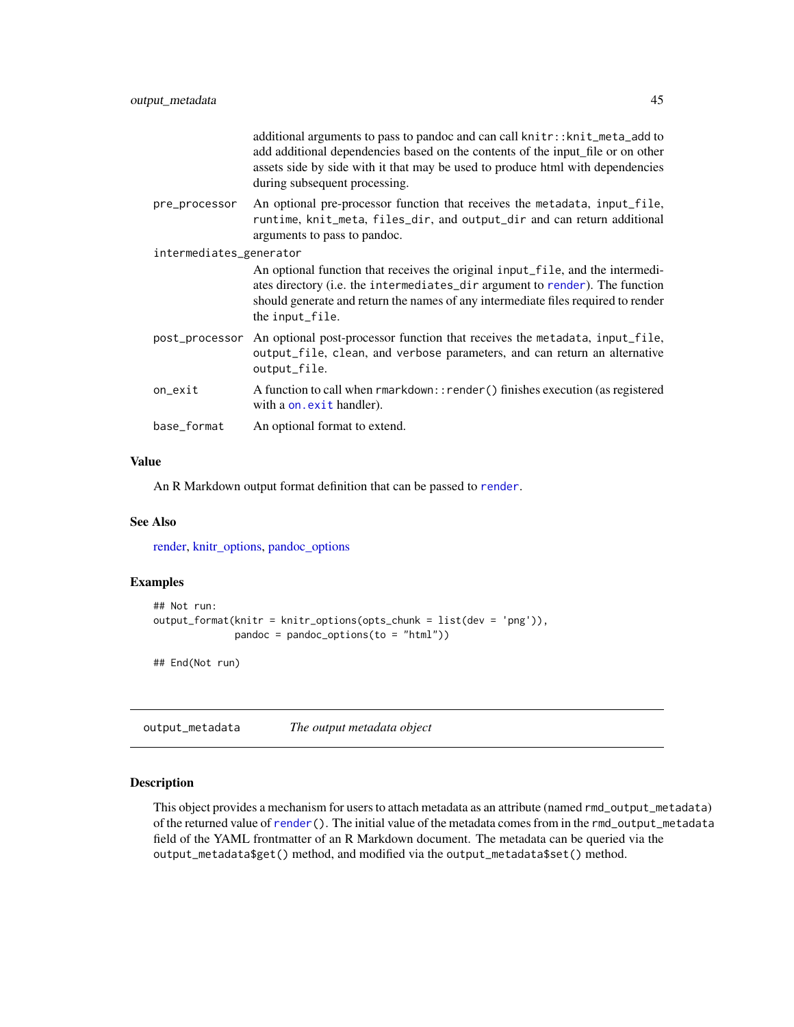|                         | additional arguments to pass to pandoc and can call knitr:: knit_meta_add to<br>add additional dependencies based on the contents of the input file or on other<br>assets side by side with it that may be used to produce html with dependencies<br>during subsequent processing. |
|-------------------------|------------------------------------------------------------------------------------------------------------------------------------------------------------------------------------------------------------------------------------------------------------------------------------|
| pre_processor           | An optional pre-processor function that receives the metadata, input_file,<br>runtime, knit_meta, files_dir, and output_dir and can return additional<br>arguments to pass to pandoc.                                                                                              |
| intermediates_generator |                                                                                                                                                                                                                                                                                    |
|                         | An optional function that receives the original input_file, and the intermedi-<br>ates directory (i.e. the intermediates_dir argument to render). The function<br>should generate and return the names of any intermediate files required to render<br>the input_file.             |
|                         | post_processor An optional post-processor function that receives the metadata, input_file,<br>output_file, clean, and verbose parameters, and can return an alternative<br>output_file.                                                                                            |
| on_exit                 | A function to call when rmarkdown:: render() finishes execution (as registered<br>with a on. exit handler).                                                                                                                                                                        |
| base_format             | An optional format to extend.                                                                                                                                                                                                                                                      |

#### Value

An R Markdown output format definition that can be passed to [render](#page-57-0).

### See Also

[render,](#page-57-0) [knitr\\_options,](#page-35-0) [pandoc\\_options](#page-49-0)

### Examples

```
## Not run:
output_format(knitr = knitr_options(opts_chunk = list(dev = 'png')),
             pandoc = pandoc_options(to = "html"))
```
## End(Not run)

output\_metadata *The output metadata object*

### Description

This object provides a mechanism for users to attach metadata as an attribute (named rmd\_output\_metadata) of the returned value of [render\(](#page-57-0)). The initial value of the metadata comes from in the rmd\_output\_metadata field of the YAML frontmatter of an R Markdown document. The metadata can be queried via the output\_metadata\$get() method, and modified via the output\_metadata\$set() method.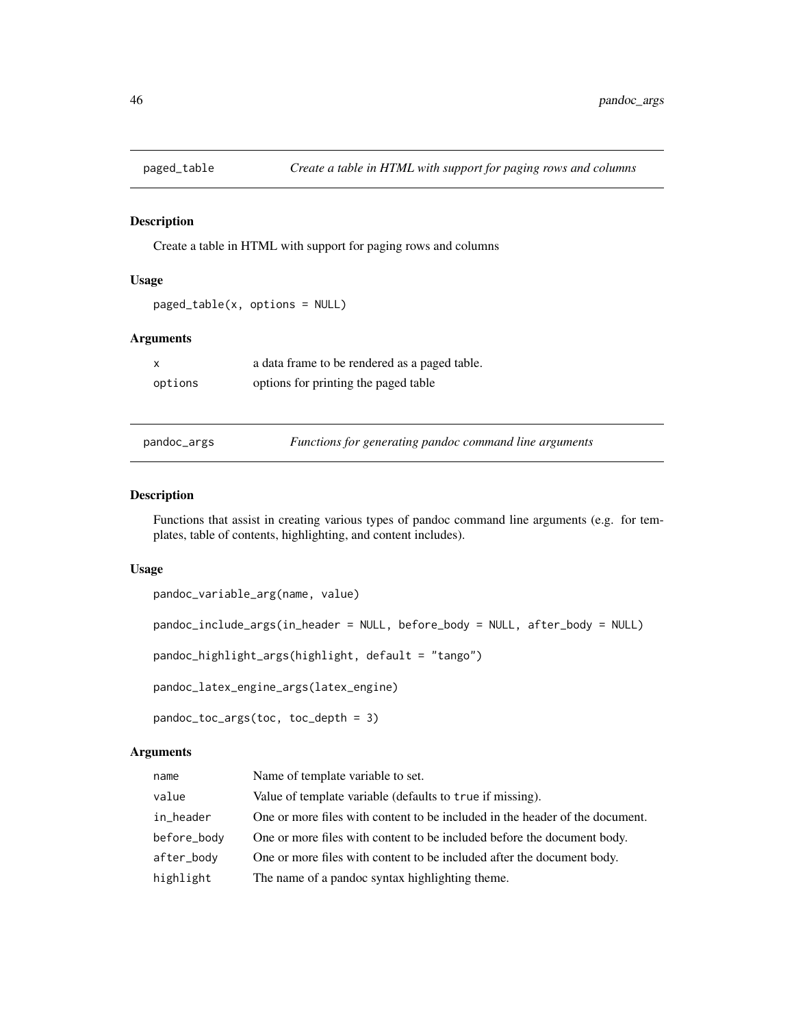### Description

Create a table in HTML with support for paging rows and columns

### Usage

```
paged_table(x, options = NULL)
```
# Arguments

| $\mathsf{x}$ | a data frame to be rendered as a paged table. |
|--------------|-----------------------------------------------|
| options      | options for printing the paged table          |

pandoc\_args *Functions for generating pandoc command line arguments*

#### Description

Functions that assist in creating various types of pandoc command line arguments (e.g. for templates, table of contents, highlighting, and content includes).

### Usage

```
pandoc_variable_arg(name, value)
pandoc_include_args(in_header = NULL, before_body = NULL, after_body = NULL)
pandoc_highlight_args(highlight, default = "tango")
pandoc_latex_engine_args(latex_engine)
```

```
pandoc_toc_args(toc, toc_depth = 3)
```

| name        | Name of template variable to set.                                            |
|-------------|------------------------------------------------------------------------------|
| value       | Value of template variable (defaults to true if missing).                    |
| in_header   | One or more files with content to be included in the header of the document. |
| before_body | One or more files with content to be included before the document body.      |
| after_body  | One or more files with content to be included after the document body.       |
| highlight   | The name of a pandoc syntax highlighting theme.                              |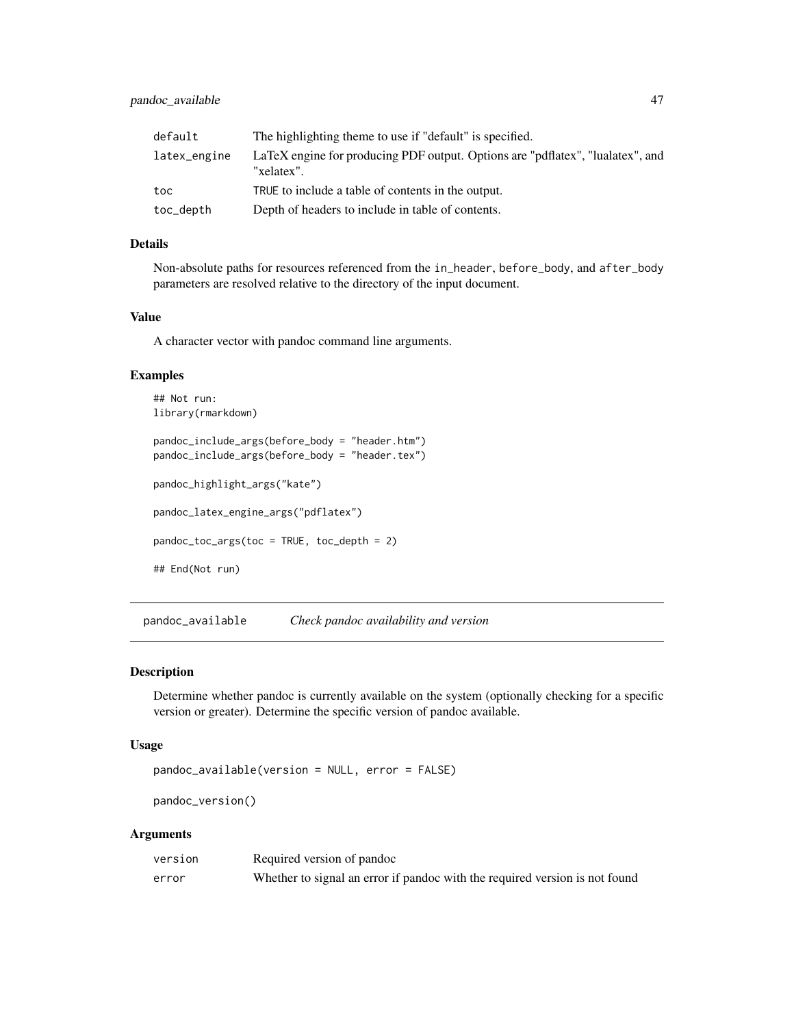| default      | The highlighting theme to use if "default" is specified.                                     |
|--------------|----------------------------------------------------------------------------------------------|
| latex_engine | LaTeX engine for producing PDF output. Options are "pdflatex", "lualatex", and<br>"xelatex". |
| toc          | TRUE to include a table of contents in the output.                                           |
| toc_depth    | Depth of headers to include in table of contents.                                            |

## Details

Non-absolute paths for resources referenced from the in\_header, before\_body, and after\_body parameters are resolved relative to the directory of the input document.

### Value

A character vector with pandoc command line arguments.

#### Examples

```
## Not run:
library(rmarkdown)
pandoc_include_args(before_body = "header.htm")
pandoc_include_args(before_body = "header.tex")
pandoc_highlight_args("kate")
pandoc_latex_engine_args("pdflatex")
pandoc_toc_args(toc = TRUE, toc_depth = 2)
## End(Not run)
```
pandoc\_available *Check pandoc availability and version*

### Description

Determine whether pandoc is currently available on the system (optionally checking for a specific version or greater). Determine the specific version of pandoc available.

#### Usage

```
pandoc_available(version = NULL, error = FALSE)
```
pandoc\_version()

| version | Required version of pandoc                                                  |
|---------|-----------------------------------------------------------------------------|
| error   | Whether to signal an error if pandoc with the required version is not found |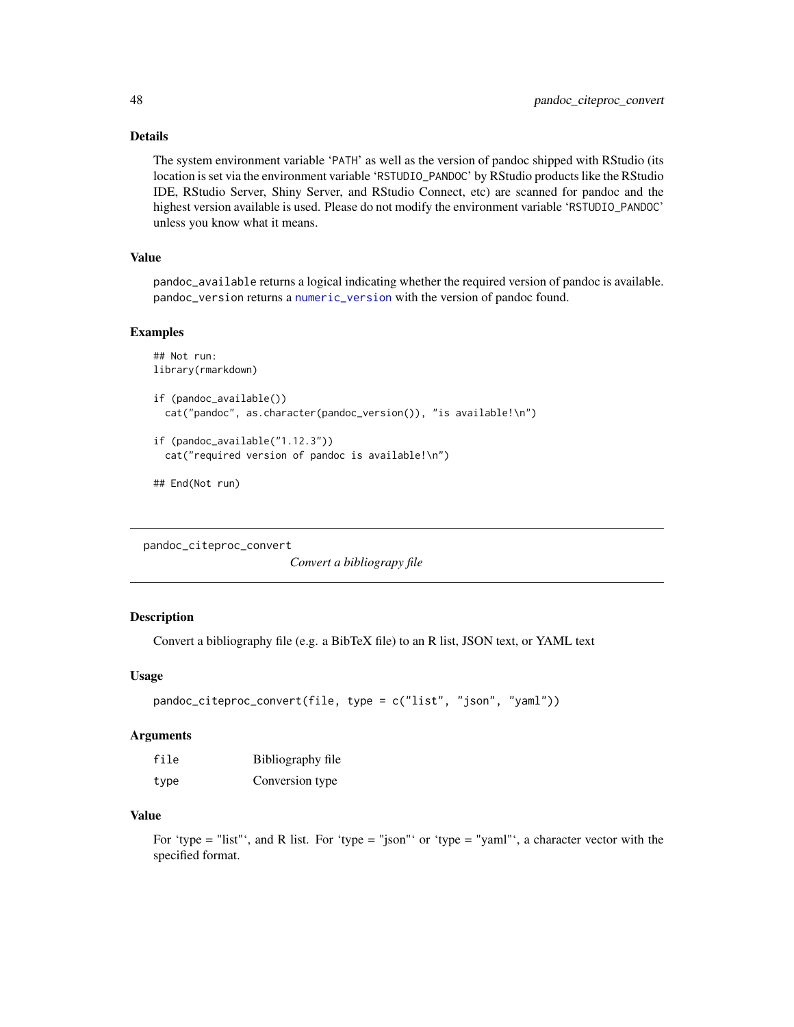## Details

The system environment variable 'PATH' as well as the version of pandoc shipped with RStudio (its location is set via the environment variable 'RSTUDIO\_PANDOC' by RStudio products like the RStudio IDE, RStudio Server, Shiny Server, and RStudio Connect, etc) are scanned for pandoc and the highest version available is used. Please do not modify the environment variable 'RSTUDIO\_PANDOC' unless you know what it means.

## Value

pandoc\_available returns a logical indicating whether the required version of pandoc is available. pandoc\_version returns a [numeric\\_version](#page-0-0) with the version of pandoc found.

#### Examples

```
## Not run:
library(rmarkdown)
```

```
if (pandoc_available())
 cat("pandoc", as.character(pandoc_version()), "is available!\n")
```

```
if (pandoc_available("1.12.3"))
 cat("required version of pandoc is available!\n")
```

```
## End(Not run)
```
pandoc\_citeproc\_convert

*Convert a bibliograpy file*

### Description

Convert a bibliography file (e.g. a BibTeX file) to an R list, JSON text, or YAML text

### Usage

```
pandoc_citeproc_convert(file, type = c("list", "json", "yaml"))
```
#### Arguments

| file | Bibliography file |
|------|-------------------|
| type | Conversion type   |

### Value

For 'type = "list"', and R list. For 'type = "json"' or 'type = "yaml"', a character vector with the specified format.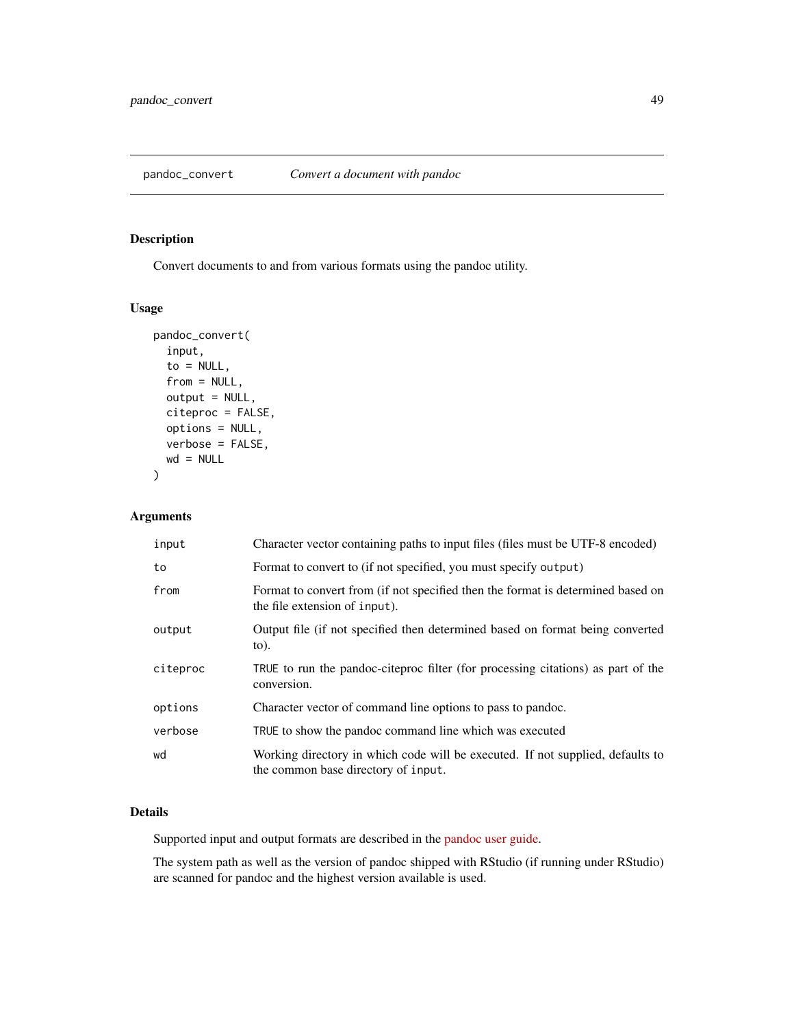# Description

Convert documents to and from various formats using the pandoc utility.

### Usage

```
pandoc_convert(
  input,
  to = NULL,
  from = NULL,
 output = NULL,
  citeproc = FALSE,
 options = NULL,
 verbose = FALSE,
 wd = NULL)
```
# Arguments

| input    | Character vector containing paths to input files (files must be UTF-8 encoded)                                        |
|----------|-----------------------------------------------------------------------------------------------------------------------|
| to       | Format to convert to (if not specified, you must specify output)                                                      |
| from     | Format to convert from (if not specified then the format is determined based on<br>the file extension of input).      |
| output   | Output file (if not specified then determined based on format being converted<br>$\circ$ .                            |
| citeproc | TRUE to run the pandoc-citeproc filter (for processing citations) as part of the<br>conversion.                       |
| options  | Character vector of command line options to pass to pandoc.                                                           |
| verbose  | TRUE to show the pandoc command line which was executed                                                               |
| wd       | Working directory in which code will be executed. If not supplied, defaults to<br>the common base directory of input. |

# Details

Supported input and output formats are described in the [pandoc user guide.](http://johnmacfarlane.net/pandoc/README.html)

The system path as well as the version of pandoc shipped with RStudio (if running under RStudio) are scanned for pandoc and the highest version available is used.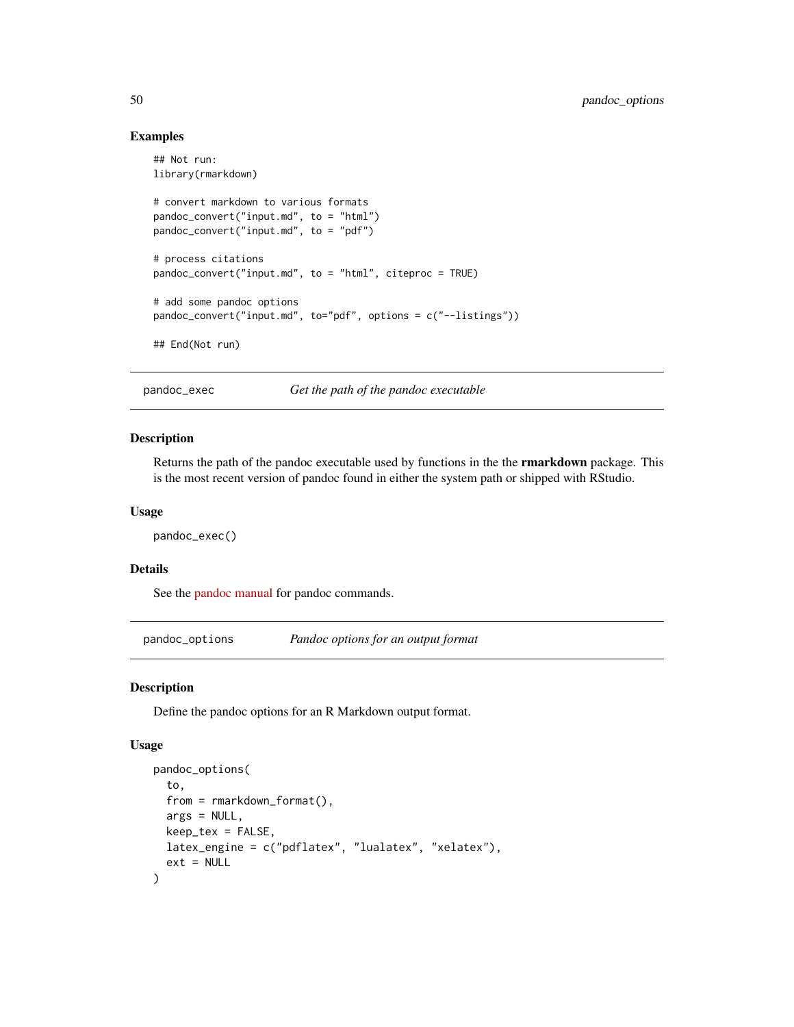### Examples

```
## Not run:
library(rmarkdown)
# convert markdown to various formats
pandoc_convert("input.md", to = "html")
pandoc_convert("input.md", to = "pdf")
# process citations
pandoc_convert("input.md", to = "html", citeproc = TRUE)
# add some pandoc options
pandoc_convert("input.md", to="pdf", options = c("--listings"))
## End(Not run)
```
pandoc\_exec *Get the path of the pandoc executable*

### Description

Returns the path of the pandoc executable used by functions in the the rmarkdown package. This is the most recent version of pandoc found in either the system path or shipped with RStudio.

#### Usage

pandoc\_exec()

#### Details

See the [pandoc manual](http://pandoc.org/MANUAL.html) for pandoc commands.

<span id="page-49-0"></span>pandoc\_options *Pandoc options for an output format*

#### Description

Define the pandoc options for an R Markdown output format.

```
pandoc_options(
  to,
  from = rmarkdown_format(),
 args = NULL,
 keep\_tex = FALSE,latex_engine = c("pdflatex", "lualatex", "xelatex"),
  ext = NULL)
```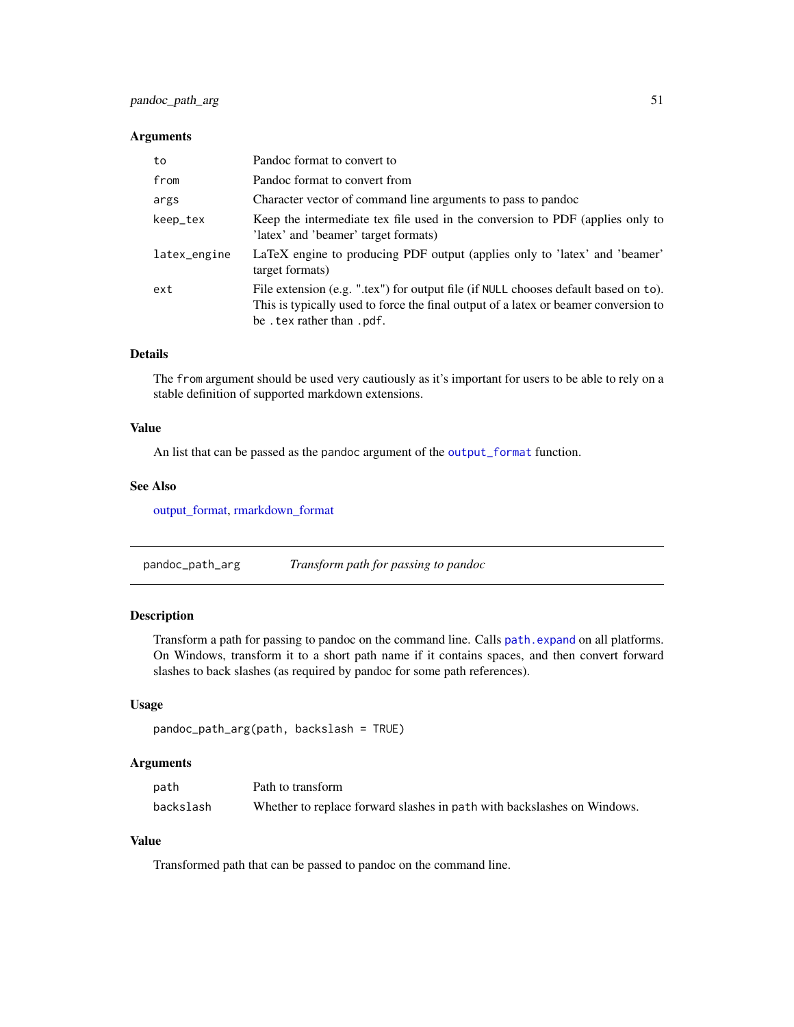### Arguments

| to           | Pandoc format to convert to                                                                                                                                                                               |
|--------------|-----------------------------------------------------------------------------------------------------------------------------------------------------------------------------------------------------------|
| from         | Pandoc format to convert from                                                                                                                                                                             |
| args         | Character vector of command line arguments to pass to pandoc                                                                                                                                              |
| keep_tex     | Keep the intermediate tex file used in the conversion to PDF (applies only to<br>'latex' and 'beamer' target formats)                                                                                     |
| latex_engine | LaTeX engine to producing PDF output (applies only to 'latex' and 'beamer'<br>target formats)                                                                                                             |
| ext          | File extension (e.g. ".tex") for output file (if NULL chooses default based on to).<br>This is typically used to force the final output of a latex or beamer conversion to<br>be . tex rather than . pdf. |

# Details

The from argument should be used very cautiously as it's important for users to be able to rely on a stable definition of supported markdown extensions.

### Value

An list that can be passed as the pandoc argument of the [output\\_format](#page-43-0) function.

#### See Also

[output\\_format,](#page-43-0) [rmarkdown\\_format](#page-66-0)

pandoc\_path\_arg *Transform path for passing to pandoc*

## Description

Transform a path for passing to pandoc on the command line. Calls [path.expand](#page-0-0) on all platforms. On Windows, transform it to a short path name if it contains spaces, and then convert forward slashes to back slashes (as required by pandoc for some path references).

### Usage

```
pandoc_path_arg(path, backslash = TRUE)
```
# Arguments

| path      | Path to transform                                                       |
|-----------|-------------------------------------------------------------------------|
| backslash | Whether to replace forward slashes in path with backslashes on Windows. |

### Value

Transformed path that can be passed to pandoc on the command line.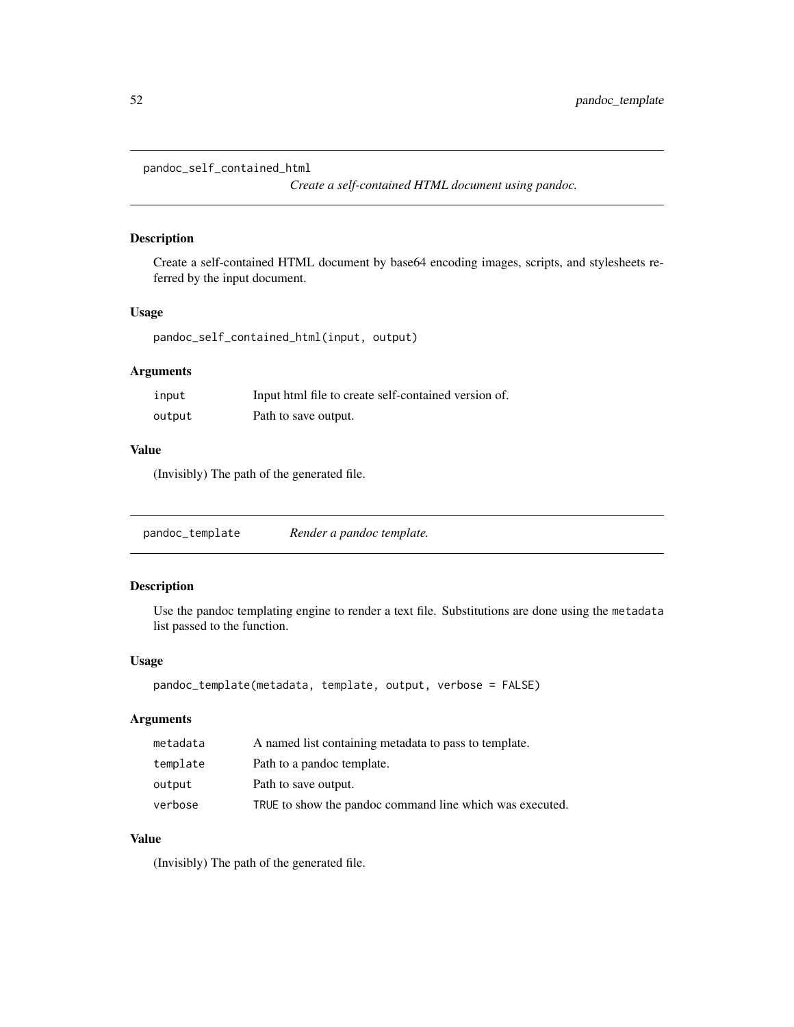pandoc\_self\_contained\_html

*Create a self-contained HTML document using pandoc.*

### Description

Create a self-contained HTML document by base64 encoding images, scripts, and stylesheets referred by the input document.

### Usage

pandoc\_self\_contained\_html(input, output)

# Arguments

| input  | Input html file to create self-contained version of. |
|--------|------------------------------------------------------|
| output | Path to save output.                                 |

# Value

(Invisibly) The path of the generated file.

pandoc\_template *Render a pandoc template.*

### Description

Use the pandoc templating engine to render a text file. Substitutions are done using the metadata list passed to the function.

### Usage

```
pandoc_template(metadata, template, output, verbose = FALSE)
```
# Arguments

| metadata | A named list containing metadata to pass to template.    |
|----------|----------------------------------------------------------|
| template | Path to a pandoc template.                               |
| output   | Path to save output.                                     |
| verbose  | TRUE to show the pandoc command line which was executed. |

### Value

(Invisibly) The path of the generated file.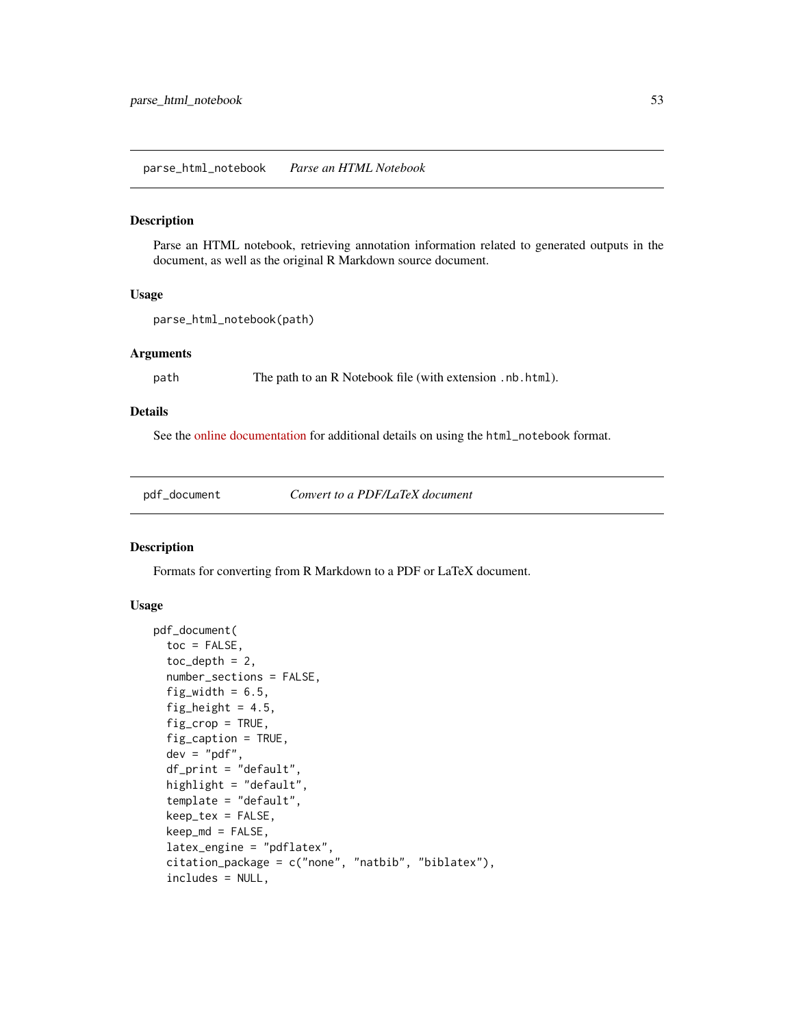parse\_html\_notebook *Parse an HTML Notebook*

# Description

Parse an HTML notebook, retrieving annotation information related to generated outputs in the document, as well as the original R Markdown source document.

### Usage

```
parse_html_notebook(path)
```
### Arguments

path The path to an R Notebook file (with extension .nb.html).

# Details

See the [online documentation](https://rmarkdown.rstudio.com/r_notebook_format.html) for additional details on using the html\_notebook format.

<span id="page-52-0"></span>pdf\_document *Convert to a PDF/LaTeX document*

### Description

Formats for converting from R Markdown to a PDF or LaTeX document.

```
pdf_document(
  toc = FALSE,toc\_depth = 2,
  number_sections = FALSE,
  fig\_width = 6.5,fig_height = 4.5,
  fig\_crop = TRUE,fig_caption = TRUE,
  dev = "pdf",
  df_print = "default",
  highlight = "default",
  template = "default",
  keep_tex = FALSE,
  keep_m d = FALSE,latex_engine = "pdflatex",
  citation_package = c("none", "natbib", "biblatex"),
  includes = NULL,
```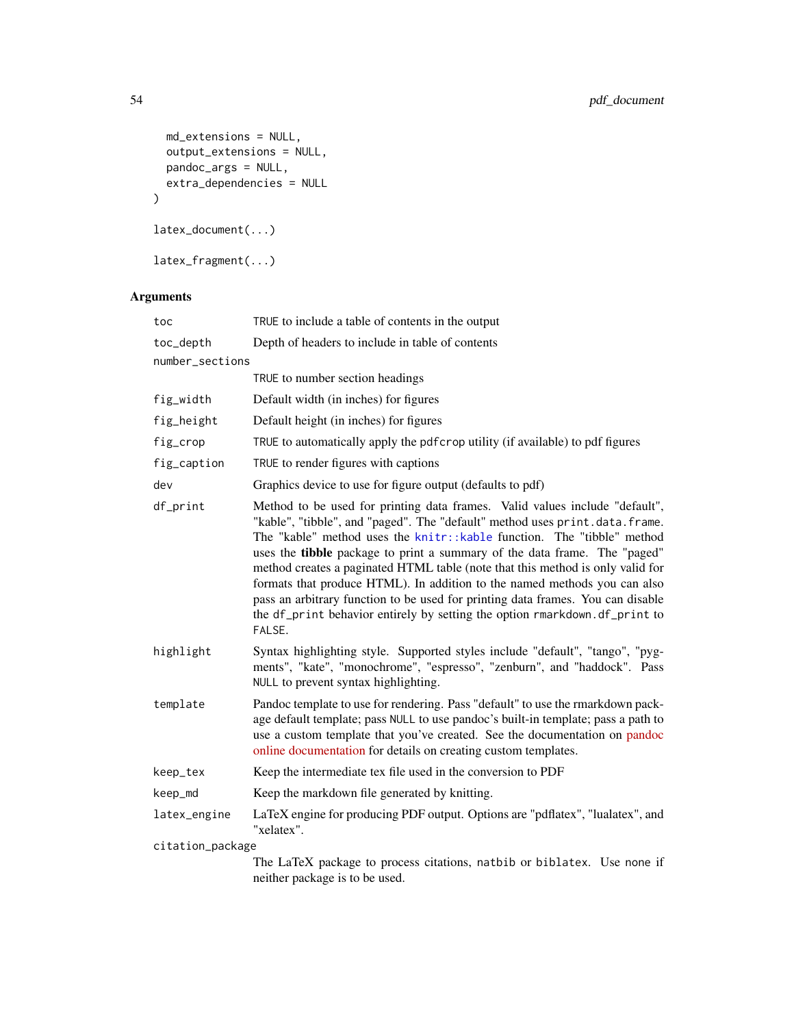```
md_extensions = NULL,
 output_extensions = NULL,
 pandoc_args = NULL,
 extra_dependencies = NULL
)
latex_document(...)
latex_fragment(...)
```

| toc              | TRUE to include a table of contents in the output                                                                                                                                                                                                                                                                                                                                                                                                                                                                                                                                                                                                           |  |
|------------------|-------------------------------------------------------------------------------------------------------------------------------------------------------------------------------------------------------------------------------------------------------------------------------------------------------------------------------------------------------------------------------------------------------------------------------------------------------------------------------------------------------------------------------------------------------------------------------------------------------------------------------------------------------------|--|
| toc_depth        | Depth of headers to include in table of contents                                                                                                                                                                                                                                                                                                                                                                                                                                                                                                                                                                                                            |  |
| number_sections  |                                                                                                                                                                                                                                                                                                                                                                                                                                                                                                                                                                                                                                                             |  |
|                  | TRUE to number section headings                                                                                                                                                                                                                                                                                                                                                                                                                                                                                                                                                                                                                             |  |
| fig_width        | Default width (in inches) for figures                                                                                                                                                                                                                                                                                                                                                                                                                                                                                                                                                                                                                       |  |
| fig_height       | Default height (in inches) for figures                                                                                                                                                                                                                                                                                                                                                                                                                                                                                                                                                                                                                      |  |
| fig_crop         | TRUE to automatically apply the pdf crop utility (if available) to pdf figures                                                                                                                                                                                                                                                                                                                                                                                                                                                                                                                                                                              |  |
| fig_caption      | TRUE to render figures with captions                                                                                                                                                                                                                                                                                                                                                                                                                                                                                                                                                                                                                        |  |
| dev              | Graphics device to use for figure output (defaults to pdf)                                                                                                                                                                                                                                                                                                                                                                                                                                                                                                                                                                                                  |  |
| df_print         | Method to be used for printing data frames. Valid values include "default",<br>"kable", "tibble", and "paged". The "default" method uses print.data.frame.<br>The "kable" method uses the knitr::kable function. The "tibble" method<br>uses the tibble package to print a summary of the data frame. The "paged"<br>method creates a paginated HTML table (note that this method is only valid for<br>formats that produce HTML). In addition to the named methods you can also<br>pass an arbitrary function to be used for printing data frames. You can disable<br>the df_print behavior entirely by setting the option rmarkdown.df_print to<br>FALSE. |  |
| highlight        | Syntax highlighting style. Supported styles include "default", "tango", "pyg-<br>ments", "kate", "monochrome", "espresso", "zenburn", and "haddock". Pass<br>NULL to prevent syntax highlighting.                                                                                                                                                                                                                                                                                                                                                                                                                                                           |  |
| template         | Pandoc template to use for rendering. Pass "default" to use the rmarkdown pack-<br>age default template; pass NULL to use pandoc's built-in template; pass a path to<br>use a custom template that you've created. See the documentation on pandoc<br>online documentation for details on creating custom templates.                                                                                                                                                                                                                                                                                                                                        |  |
| keep_tex         | Keep the intermediate tex file used in the conversion to PDF                                                                                                                                                                                                                                                                                                                                                                                                                                                                                                                                                                                                |  |
| keep_md          | Keep the markdown file generated by knitting.                                                                                                                                                                                                                                                                                                                                                                                                                                                                                                                                                                                                               |  |
| latex_engine     | LaTeX engine for producing PDF output. Options are "pdflatex", "lualatex", and<br>"xelatex".                                                                                                                                                                                                                                                                                                                                                                                                                                                                                                                                                                |  |
| citation_package |                                                                                                                                                                                                                                                                                                                                                                                                                                                                                                                                                                                                                                                             |  |
|                  | The LaTeX package to process citations, natbib or biblatex. Use none if<br>neither package is to be used.                                                                                                                                                                                                                                                                                                                                                                                                                                                                                                                                                   |  |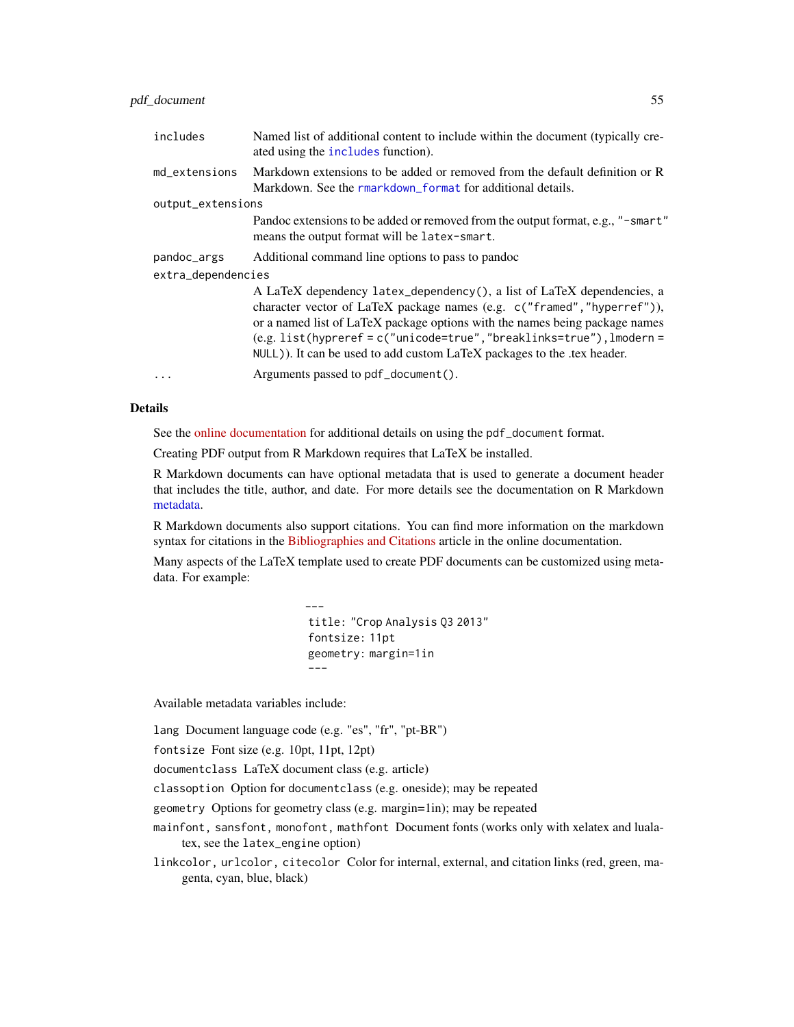## pdf\_document 55

| includes           | Named list of additional content to include within the document (typically cre-<br>ated using the includes function).                                                                                                                                                                                                                                                                  |  |
|--------------------|----------------------------------------------------------------------------------------------------------------------------------------------------------------------------------------------------------------------------------------------------------------------------------------------------------------------------------------------------------------------------------------|--|
| md_extensions      | Markdown extensions to be added or removed from the default definition or R<br>Markdown. See the rmarkdown format for additional details.                                                                                                                                                                                                                                              |  |
| output_extensions  |                                                                                                                                                                                                                                                                                                                                                                                        |  |
|                    | Pandoc extensions to be added or removed from the output format, e.g., "-smart"<br>means the output format will be latex-smart.                                                                                                                                                                                                                                                        |  |
| pandoc_args        | Additional command line options to pass to pandoc                                                                                                                                                                                                                                                                                                                                      |  |
| extra_dependencies |                                                                                                                                                                                                                                                                                                                                                                                        |  |
|                    | A LaTeX dependency latex_dependency(), a list of LaTeX dependencies, a<br>character vector of LaTeX package names (e.g. c("framed", "hyperref")),<br>or a named list of LaTeX package options with the names being package names<br>$(e.g. list(hypreref = c("unicode=true", "breaklinks=true"), lmodern =$<br>NULL)). It can be used to add custom LaTeX packages to the .tex header. |  |
|                    | Arguments passed to pdf_document().                                                                                                                                                                                                                                                                                                                                                    |  |

## Details

See the [online documentation](https://rmarkdown.rstudio.com/pdf_document_format.html) for additional details on using the pdf\_document format.

Creating PDF output from R Markdown requires that LaTeX be installed.

R Markdown documents can have optional metadata that is used to generate a document header that includes the title, author, and date. For more details see the documentation on R Markdown [metadata.](#page-67-0)

R Markdown documents also support citations. You can find more information on the markdown syntax for citations in the [Bibliographies and Citations](https://rmarkdown.rstudio.com/authoring_bibliographies_and_citations.html) article in the online documentation.

Many aspects of the LaTeX template used to create PDF documents can be customized using metadata. For example:

> -- title: "Crop Analysis Q3 2013" fontsize: 11pt geometry: margin=1in ---

Available metadata variables include:

lang Document language code (e.g. "es", "fr", "pt-BR")

fontsize Font size (e.g. 10pt, 11pt, 12pt)

documentclass LaTeX document class (e.g. article)

classoption Option for documentclass (e.g. oneside); may be repeated

geometry Options for geometry class (e.g. margin=1in); may be repeated

mainfont, sansfont, monofont, mathfont Document fonts (works only with xelatex and lualatex, see the latex\_engine option)

linkcolor, urlcolor, citecolor Color for internal, external, and citation links (red, green, magenta, cyan, blue, black)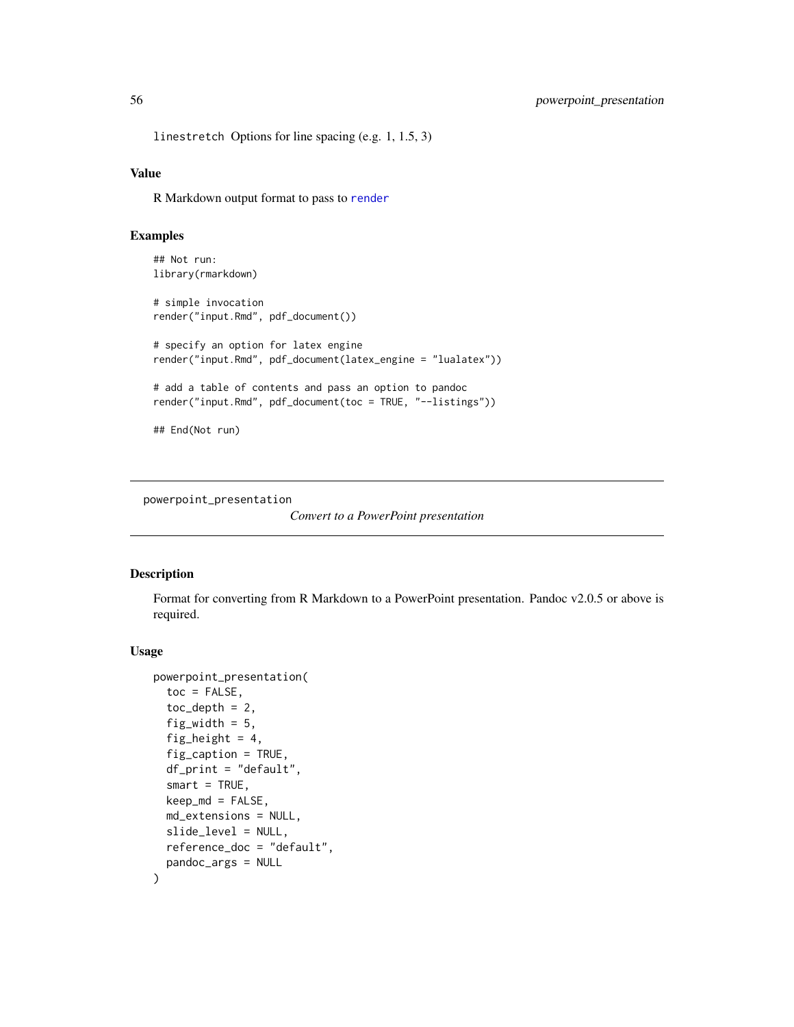linestretch Options for line spacing (e.g. 1, 1.5, 3)

## Value

R Markdown output format to pass to [render](#page-57-0)

# Examples

```
## Not run:
library(rmarkdown)
# simple invocation
render("input.Rmd", pdf_document())
# specify an option for latex engine
render("input.Rmd", pdf_document(latex_engine = "lualatex"))
# add a table of contents and pass an option to pandoc
render("input.Rmd", pdf_document(toc = TRUE, "--listings"))
## End(Not run)
```
powerpoint\_presentation

```
Convert to a PowerPoint presentation
```
#### Description

Format for converting from R Markdown to a PowerPoint presentation. Pandoc v2.0.5 or above is required.

```
powerpoint_presentation(
  toc = FALSE,
  toc\_depth = 2,
  fig_width = 5,
  fig_height = 4,
  fig_caption = TRUE,
  df_print = "default",
  smart = TRUE,
  keep_m d = FALSE,md_extensions = NULL,
  slide_level = NULL,
  reference_doc = "default",
 pandoc_args = NULL
)
```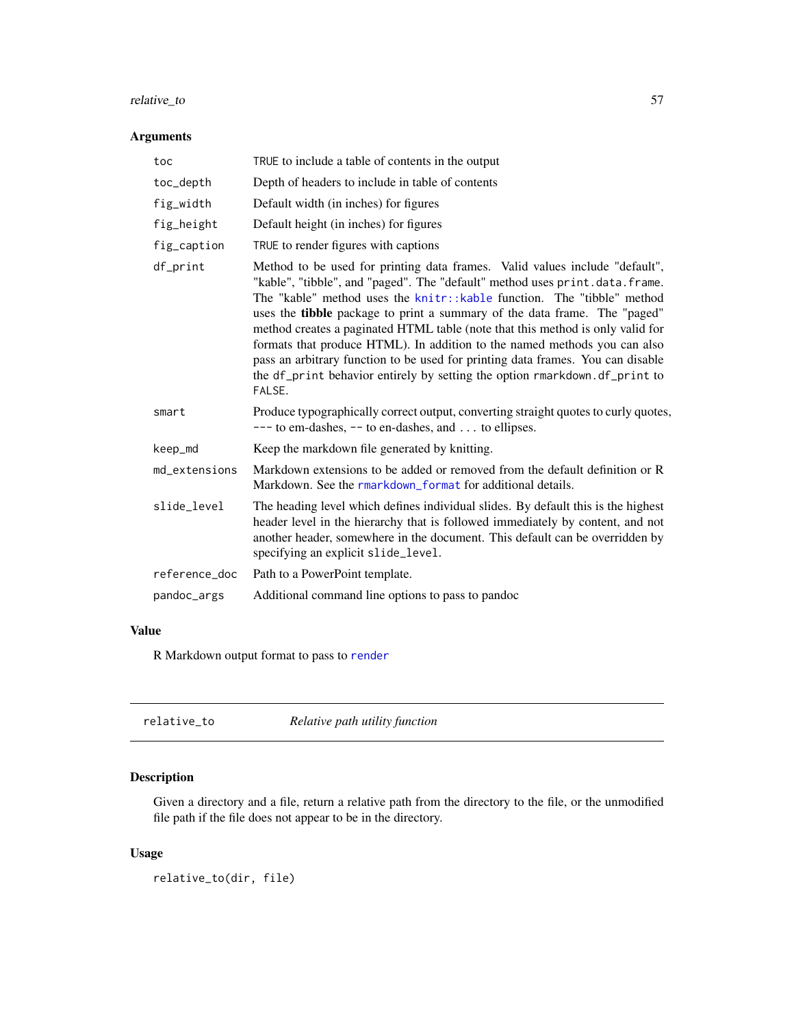# relative\_to 57

# Arguments

| toc           | TRUE to include a table of contents in the output                                                                                                                                                                                                                                                                                                                                                                                                                                                                                                                                                                                                           |
|---------------|-------------------------------------------------------------------------------------------------------------------------------------------------------------------------------------------------------------------------------------------------------------------------------------------------------------------------------------------------------------------------------------------------------------------------------------------------------------------------------------------------------------------------------------------------------------------------------------------------------------------------------------------------------------|
| toc_depth     | Depth of headers to include in table of contents                                                                                                                                                                                                                                                                                                                                                                                                                                                                                                                                                                                                            |
| fig_width     | Default width (in inches) for figures                                                                                                                                                                                                                                                                                                                                                                                                                                                                                                                                                                                                                       |
| fig_height    | Default height (in inches) for figures                                                                                                                                                                                                                                                                                                                                                                                                                                                                                                                                                                                                                      |
| fig_caption   | TRUE to render figures with captions                                                                                                                                                                                                                                                                                                                                                                                                                                                                                                                                                                                                                        |
| df_print      | Method to be used for printing data frames. Valid values include "default",<br>"kable", "tibble", and "paged". The "default" method uses print.data.frame.<br>The "kable" method uses the knitr::kable function. The "tibble" method<br>uses the tibble package to print a summary of the data frame. The "paged"<br>method creates a paginated HTML table (note that this method is only valid for<br>formats that produce HTML). In addition to the named methods you can also<br>pass an arbitrary function to be used for printing data frames. You can disable<br>the df_print behavior entirely by setting the option rmarkdown.df_print to<br>FALSE. |
| smart         | Produce typographically correct output, converting straight quotes to curly quotes,<br>$---$ to em-dashes, $--$ to en-dashes, and  to ellipses.                                                                                                                                                                                                                                                                                                                                                                                                                                                                                                             |
| keep_md       | Keep the markdown file generated by knitting.                                                                                                                                                                                                                                                                                                                                                                                                                                                                                                                                                                                                               |
| md_extensions | Markdown extensions to be added or removed from the default definition or R<br>Markdown. See the rmarkdown_format for additional details.                                                                                                                                                                                                                                                                                                                                                                                                                                                                                                                   |
| slide_level   | The heading level which defines individual slides. By default this is the highest<br>header level in the hierarchy that is followed immediately by content, and not<br>another header, somewhere in the document. This default can be overridden by<br>specifying an explicit slide_level.                                                                                                                                                                                                                                                                                                                                                                  |
| reference_doc | Path to a PowerPoint template.                                                                                                                                                                                                                                                                                                                                                                                                                                                                                                                                                                                                                              |
| pandoc_args   | Additional command line options to pass to pandoc                                                                                                                                                                                                                                                                                                                                                                                                                                                                                                                                                                                                           |
|               |                                                                                                                                                                                                                                                                                                                                                                                                                                                                                                                                                                                                                                                             |

# Value

R Markdown output format to pass to [render](#page-57-0)

| relative to | Relative path utility function |
|-------------|--------------------------------|
|-------------|--------------------------------|

# Description

Given a directory and a file, return a relative path from the directory to the file, or the unmodified file path if the file does not appear to be in the directory.

# Usage

relative\_to(dir, file)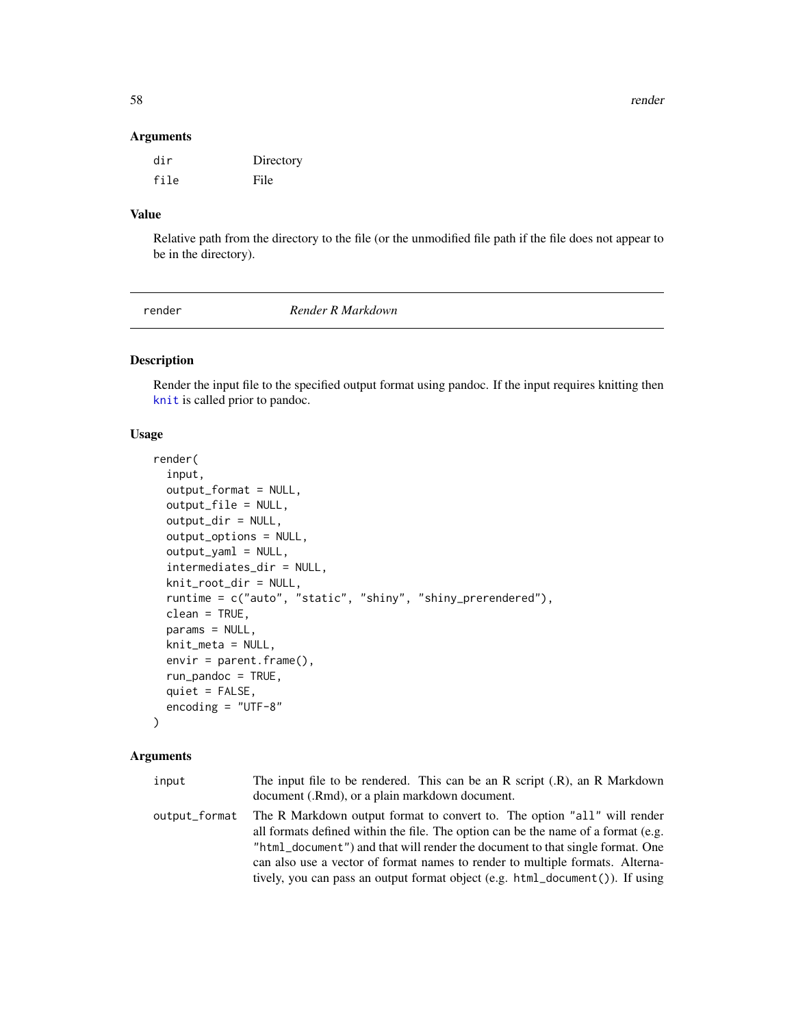58 render that the set of the set of the set of the set of the set of the set of the set of the set of the set of the set of the set of the set of the set of the set of the set of the set of the set of the set of the set o

### Arguments

| dir  | Directory |
|------|-----------|
| file | File      |

# Value

Relative path from the directory to the file (or the unmodified file path if the file does not appear to be in the directory).

<span id="page-57-0"></span>

render *Render R Markdown*

# Description

Render the input file to the specified output format using pandoc. If the input requires knitting then [knit](#page-0-0) is called prior to pandoc.

## Usage

```
render(
  input,
  output_format = NULL,
  output_file = NULL,
  output_dir = NULL,
  output_options = NULL,
  output_yaml = NULL,
  intermediates_dir = NULL,
  knit_root_dir = NULL,
  runtime = c("auto", "static", "shiny", "shiny_prerendered"),
  clean = TRUE,
  params = NULL,
  knit_meta = NULL,
  envir = parent.frame(),run_pandoc = TRUE,
  quiet = FALSE,
  encoding = "UTF-8"
\lambda
```

| input         | The input file to be rendered. This can be an R script $(R)$ , an R Markdown      |
|---------------|-----------------------------------------------------------------------------------|
|               | document (.Rmd), or a plain markdown document.                                    |
| output_format | The R Markdown output format to convert to. The option "all" will render          |
|               | all formats defined within the file. The option can be the name of a format (e.g. |
|               | "html_document") and that will render the document to that single format. One     |
|               | can also use a vector of format names to render to multiple formats. Alterna-     |
|               | tively, you can pass an output format object (e.g. html_document()). If using     |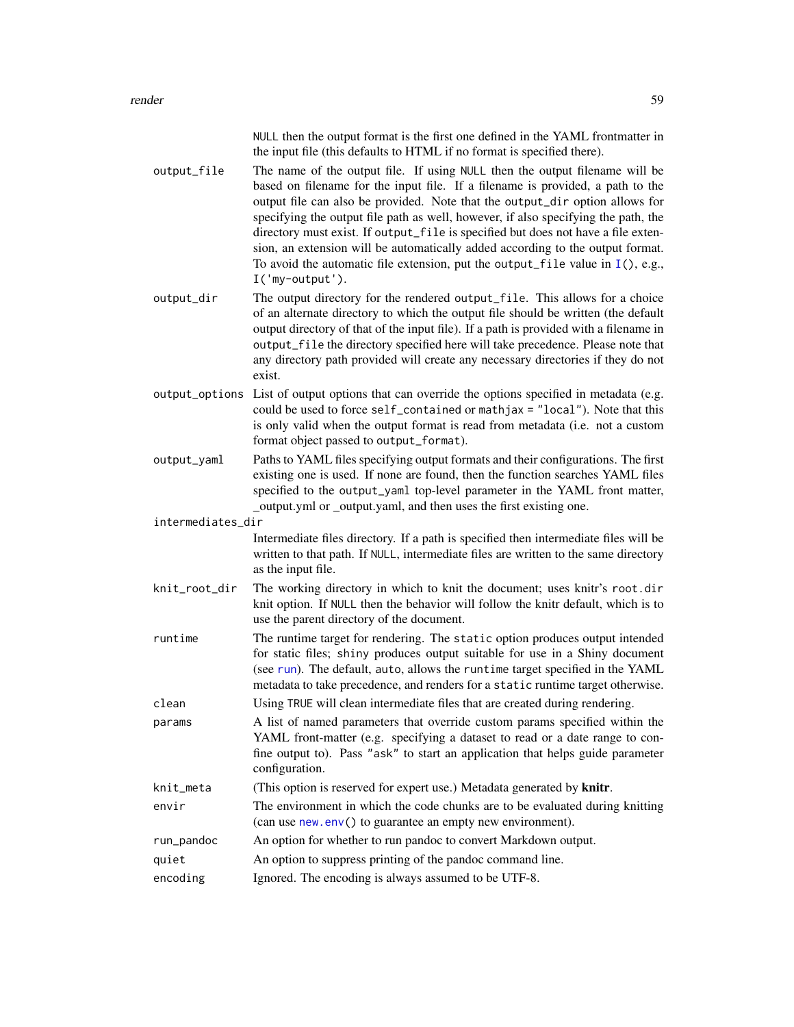| NULL then the output format is the first one defined in the YAML frontmatter in |
|---------------------------------------------------------------------------------|
| the input file (this defaults to HTML if no format is specified there).         |

- output\_file The name of the output file. If using NULL then the output filename will be based on filename for the input file. If a filename is provided, a path to the output file can also be provided. Note that the output\_dir option allows for specifying the output file path as well, however, if also specifying the path, the directory must exist. If output\_file is specified but does not have a file extension, an extension will be automatically added according to the output format. To avoid the automatic file extension, put the output\_file value in  $I($ ), e.g., I('my-output').
- output\_dir The output directory for the rendered output\_file. This allows for a choice of an alternate directory to which the output file should be written (the default output directory of that of the input file). If a path is provided with a filename in output\_file the directory specified here will take precedence. Please note that any directory path provided will create any necessary directories if they do not exist.
- output\_options List of output options that can override the options specified in metadata (e.g. could be used to force self\_contained or mathjax = "local"). Note that this is only valid when the output format is read from metadata (i.e. not a custom format object passed to output\_format).
- output\_yaml Paths to YAML files specifying output formats and their configurations. The first existing one is used. If none are found, then the function searches YAML files specified to the output\_yaml top-level parameter in the YAML front matter, \_output.yml or \_output.yaml, and then uses the first existing one.

intermediates\_dir

Intermediate files directory. If a path is specified then intermediate files will be written to that path. If NULL, intermediate files are written to the same directory as the input file.

- knit\_root\_dir The working directory in which to knit the document; uses knitr's root.dir knit option. If NULL then the behavior will follow the knitr default, which is to use the parent directory of the document.
- runtime The runtime target for rendering. The static option produces output intended for static files; shiny produces output suitable for use in a Shiny document (see [run](#page-68-0)). The default, auto, allows the runtime target specified in the YAML metadata to take precedence, and renders for a static runtime target otherwise.
- clean Using TRUE will clean intermediate files that are created during rendering.
- params A list of named parameters that override custom params specified within the YAML front-matter (e.g. specifying a dataset to read or a date range to confine output to). Pass "ask" to start an application that helps guide parameter configuration.
- knit\_meta (This option is reserved for expert use.) Metadata generated by **knitr**.
- envir The environment in which the code chunks are to be evaluated during knitting (can use [new.env\(](#page-0-0)) to guarantee an empty new environment).
- run\_pandoc An option for whether to run pandoc to convert Markdown output.
- quiet An option to suppress printing of the pandoc command line.
- encoding Ignored. The encoding is always assumed to be UTF-8.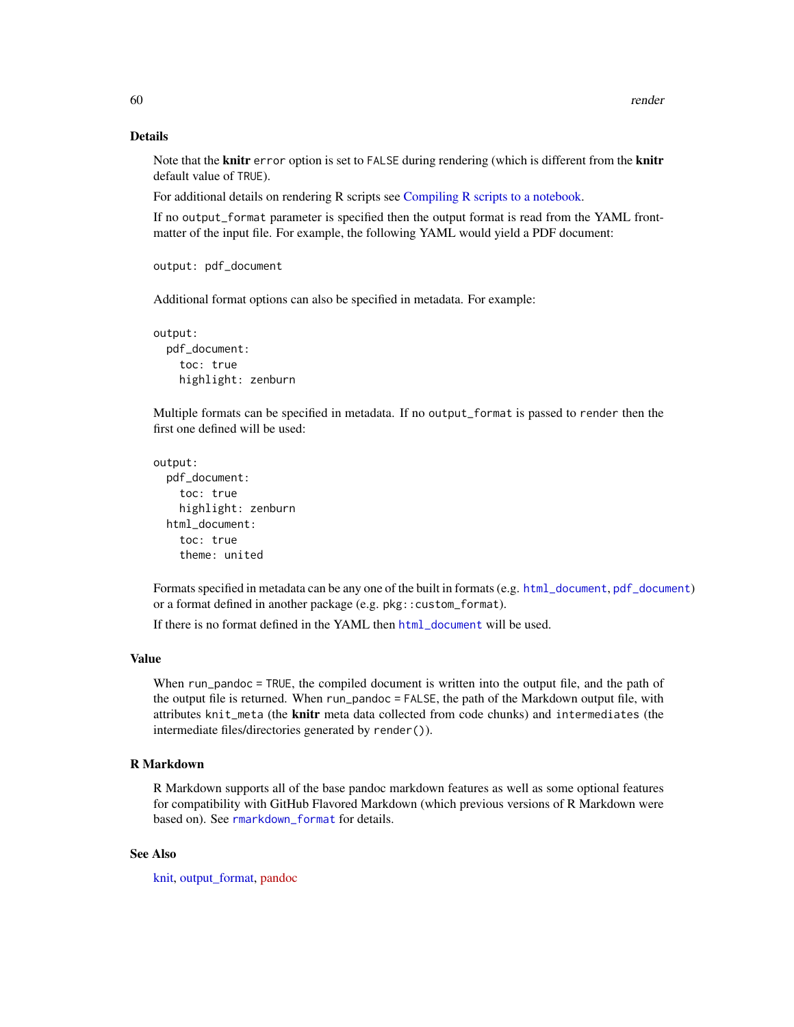### Details

Note that the **knitr** error option is set to FALSE during rendering (which is different from the **knitr** default value of TRUE).

For additional details on rendering R scripts see [Compiling R scripts to a notebook.](#page-7-0)

If no output\_format parameter is specified then the output format is read from the YAML frontmatter of the input file. For example, the following YAML would yield a PDF document:

```
output: pdf_document
```
Additional format options can also be specified in metadata. For example:

```
output:
  pdf_document:
    toc: true
    highlight: zenburn
```
Multiple formats can be specified in metadata. If no output\_format is passed to render then the first one defined will be used:

```
output:
 pdf_document:
   toc: true
   highlight: zenburn
  html document:
    toc: true
    theme: united
```
Formats specified in metadata can be any one of the built in formats (e.g. [html\\_document](#page-16-0), [pdf\\_document](#page-52-0)) or a format defined in another package (e.g. pkg::custom\_format).

If there is no format defined in the YAML then [html\\_document](#page-16-0) will be used.

### Value

When run\_pandoc = TRUE, the compiled document is written into the output file, and the path of the output file is returned. When run\_pandoc = FALSE, the path of the Markdown output file, with attributes knit\_meta (the knitr meta data collected from code chunks) and intermediates (the intermediate files/directories generated by render()).

# R Markdown

R Markdown supports all of the base pandoc markdown features as well as some optional features for compatibility with GitHub Flavored Markdown (which previous versions of R Markdown were based on). See [rmarkdown\\_format](#page-66-0) for details.

## See Also

[knit,](#page-0-0) [output\\_format,](#page-43-0) [pandoc](http://johnmacfarlane.net/pandoc)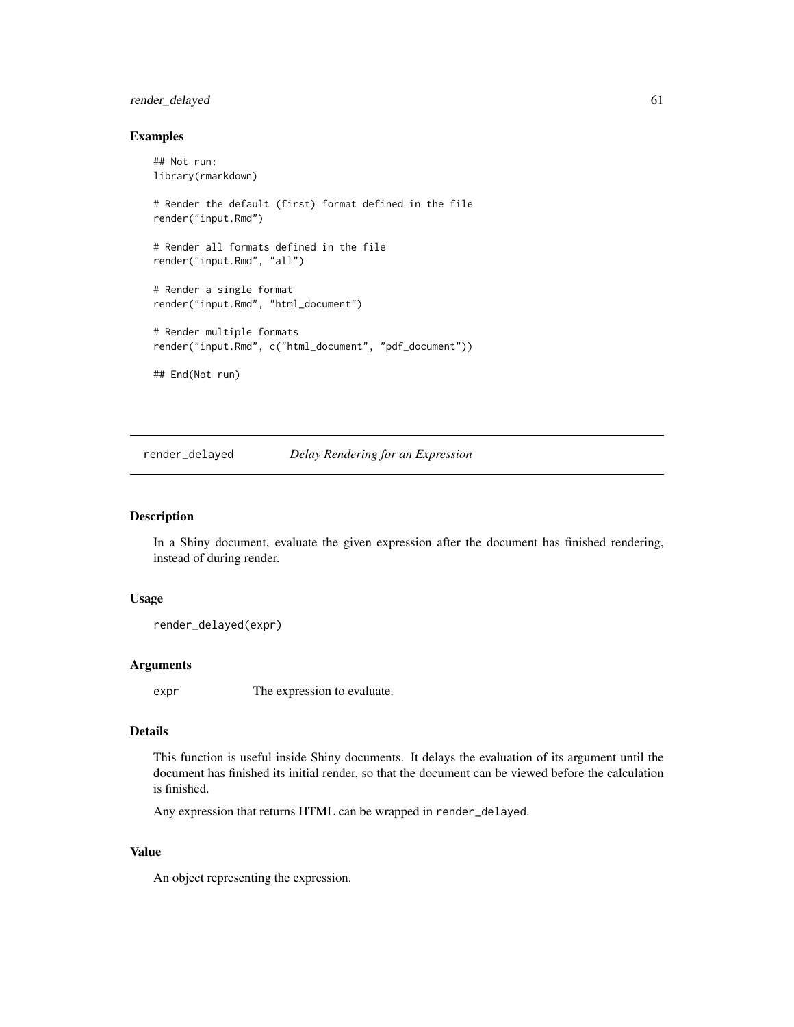# render\_delayed 61

### Examples

```
## Not run:
library(rmarkdown)
# Render the default (first) format defined in the file
render("input.Rmd")
# Render all formats defined in the file
render("input.Rmd", "all")
# Render a single format
render("input.Rmd", "html_document")
# Render multiple formats
render("input.Rmd", c("html_document", "pdf_document"))
## End(Not run)
```
render\_delayed *Delay Rendering for an Expression*

### Description

In a Shiny document, evaluate the given expression after the document has finished rendering, instead of during render.

#### Usage

```
render_delayed(expr)
```
## Arguments

expr The expression to evaluate.

#### Details

This function is useful inside Shiny documents. It delays the evaluation of its argument until the document has finished its initial render, so that the document can be viewed before the calculation is finished.

Any expression that returns HTML can be wrapped in render\_delayed.

#### Value

An object representing the expression.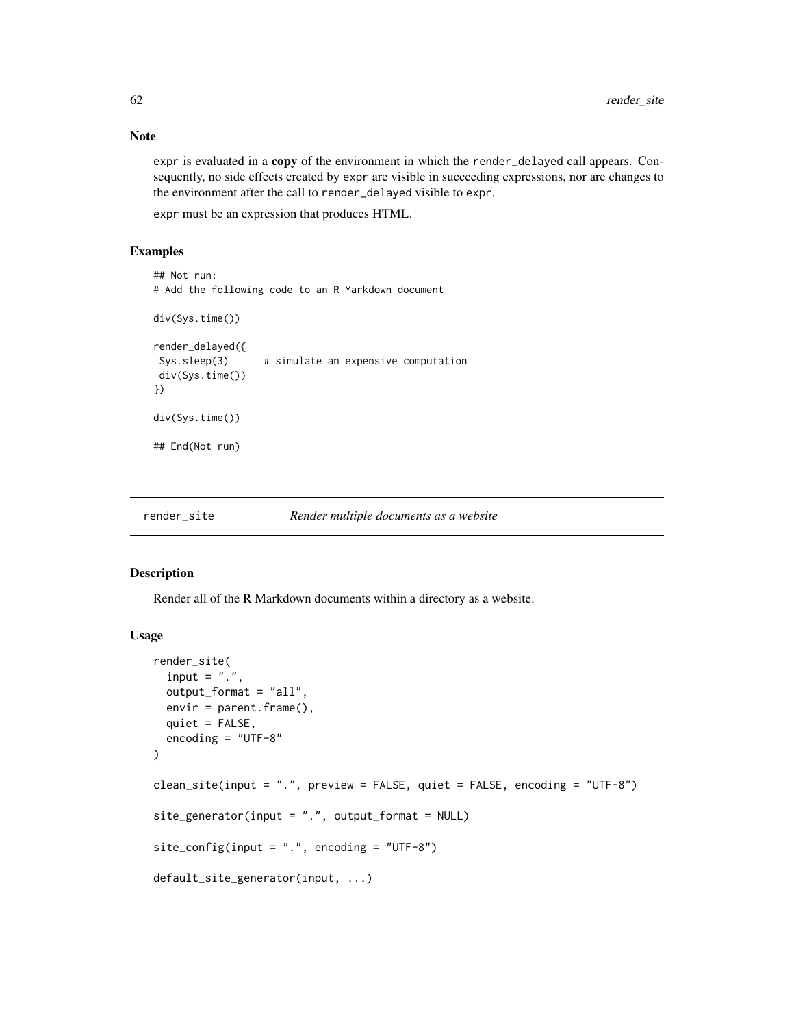Note

expr is evaluated in a copy of the environment in which the render\_delayed call appears. Consequently, no side effects created by expr are visible in succeeding expressions, nor are changes to the environment after the call to render\_delayed visible to expr.

expr must be an expression that produces HTML.

## Examples

```
## Not run:
# Add the following code to an R Markdown document
div(Sys.time())
render_delayed({
Sys.sleep(3) # simulate an expensive computation
div(Sys.time())
})
div(Sys.time())
## End(Not run)
```
render\_site *Render multiple documents as a website*

#### Description

Render all of the R Markdown documents within a directory as a website.

```
render_site(
  input = "."output_format = "all",
 envir = parent.frame(),
 quiet = FALSE,
  encoding = "UTF-8"
)
clean_site(input = ".", preview = FALSE, quiet = FALSE, encoding = "UTF-8")
site\_generator(input = "." , output\_format = NULL)site_config(input = ".", encoding = "UTF-8")
default_site_generator(input, ...)
```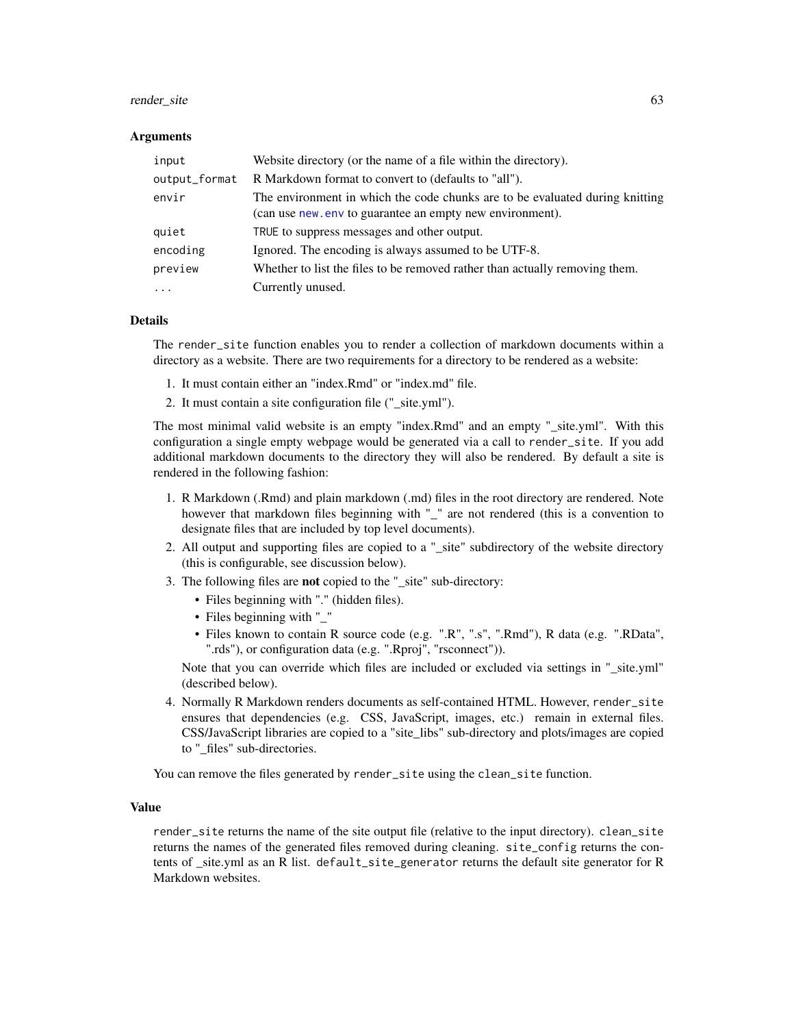#### render\_site 63

#### Arguments

| input         | Website directory (or the name of a file within the directory).                                                                           |
|---------------|-------------------------------------------------------------------------------------------------------------------------------------------|
| output_format | R Markdown format to convert to (defaults to "all").                                                                                      |
| envir         | The environment in which the code chunks are to be evaluated during knitting<br>(can use new, env to guarantee an empty new environment). |
| quiet         | TRUE to suppress messages and other output.                                                                                               |
| encoding      | Ignored. The encoding is always assumed to be UTF-8.                                                                                      |
| preview       | Whether to list the files to be removed rather than actually removing them.                                                               |
| $\cdot$       | Currently unused.                                                                                                                         |

#### Details

The render\_site function enables you to render a collection of markdown documents within a directory as a website. There are two requirements for a directory to be rendered as a website:

- 1. It must contain either an "index.Rmd" or "index.md" file.
- 2. It must contain a site configuration file (" site.yml").

The most minimal valid website is an empty "index.Rmd" and an empty "\_site.yml". With this configuration a single empty webpage would be generated via a call to render\_site. If you add additional markdown documents to the directory they will also be rendered. By default a site is rendered in the following fashion:

- 1. R Markdown (.Rmd) and plain markdown (.md) files in the root directory are rendered. Note however that markdown files beginning with "\_" are not rendered (this is a convention to designate files that are included by top level documents).
- 2. All output and supporting files are copied to a "\_site" subdirectory of the website directory (this is configurable, see discussion below).
- 3. The following files are not copied to the "\_site" sub-directory:
	- Files beginning with "." (hidden files).
	- Files beginning with " "
	- Files known to contain R source code (e.g. ".R", ".s", ".Rmd"), R data (e.g. ".RData", ".rds"), or configuration data (e.g. ".Rproj", "rsconnect")).

Note that you can override which files are included or excluded via settings in "\_site.yml" (described below).

4. Normally R Markdown renders documents as self-contained HTML. However, render\_site ensures that dependencies (e.g. CSS, JavaScript, images, etc.) remain in external files. CSS/JavaScript libraries are copied to a "site\_libs" sub-directory and plots/images are copied to "\_files" sub-directories.

You can remove the files generated by render\_site using the clean\_site function.

#### Value

render\_site returns the name of the site output file (relative to the input directory). clean\_site returns the names of the generated files removed during cleaning. site\_config returns the contents of \_site.yml as an R list. default\_site\_generator returns the default site generator for R Markdown websites.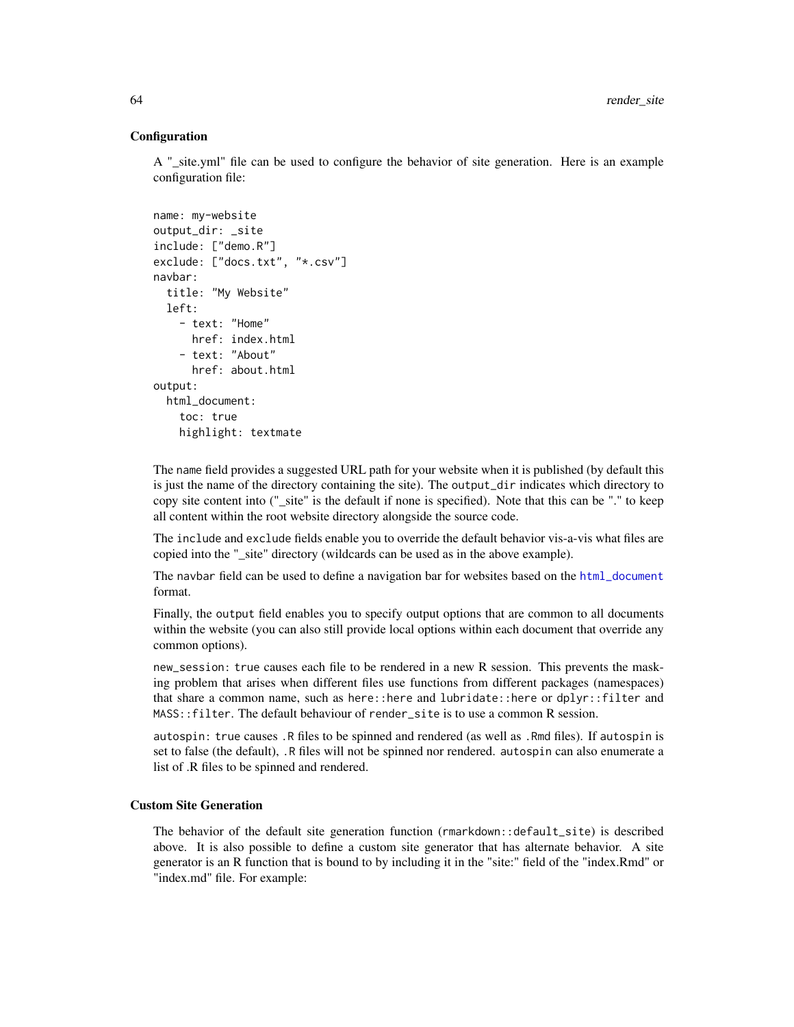### **Configuration**

A "\_site.yml" file can be used to configure the behavior of site generation. Here is an example configuration file:

```
name: my-website
output_dir: _site
include: ["demo.R"]
exclude: ["docs.txt", "*.csv"]
navbar:
  title: "My Website"
  left:
    - text: "Home"
      href: index.html
    - text: "About"
      href: about.html
output:
  html_document:
    toc: true
    highlight: textmate
```
The name field provides a suggested URL path for your website when it is published (by default this is just the name of the directory containing the site). The output\_dir indicates which directory to copy site content into ("\_site" is the default if none is specified). Note that this can be "." to keep all content within the root website directory alongside the source code.

The include and exclude fields enable you to override the default behavior vis-a-vis what files are copied into the "\_site" directory (wildcards can be used as in the above example).

The navbar field can be used to define a navigation bar for websites based on the [html\\_document](#page-16-0) format.

Finally, the output field enables you to specify output options that are common to all documents within the website (you can also still provide local options within each document that override any common options).

new\_session: true causes each file to be rendered in a new R session. This prevents the masking problem that arises when different files use functions from different packages (namespaces) that share a common name, such as here::here and lubridate::here or dplyr::filter and MASS::filter. The default behaviour of render\_site is to use a common R session.

autospin: true causes .R files to be spinned and rendered (as well as .Rmd files). If autospin is set to false (the default), .R files will not be spinned nor rendered. autospin can also enumerate a list of .R files to be spinned and rendered.

## Custom Site Generation

The behavior of the default site generation function (rmarkdown::default\_site) is described above. It is also possible to define a custom site generator that has alternate behavior. A site generator is an R function that is bound to by including it in the "site:" field of the "index.Rmd" or "index.md" file. For example: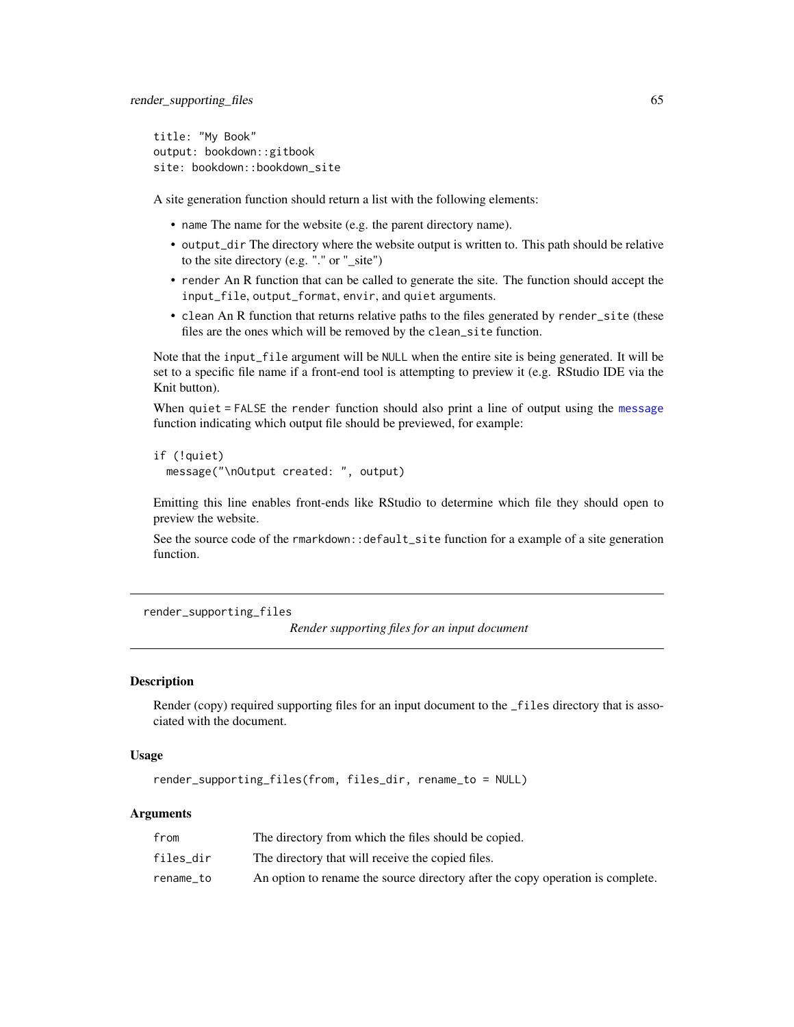title: "My Book" output: bookdown::gitbook site: bookdown::bookdown\_site

A site generation function should return a list with the following elements:

- name The name for the website (e.g. the parent directory name).
- output\_dir The directory where the website output is written to. This path should be relative to the site directory (e.g. "." or "\_site")
- render An R function that can be called to generate the site. The function should accept the input\_file, output\_format, envir, and quiet arguments.
- clean An R function that returns relative paths to the files generated by render\_site (these files are the ones which will be removed by the clean\_site function.

Note that the input\_file argument will be NULL when the entire site is being generated. It will be set to a specific file name if a front-end tool is attempting to preview it (e.g. RStudio IDE via the Knit button).

When quiet = FALSE the render function should also print a line of output using the [message](#page-0-0) function indicating which output file should be previewed, for example:

```
if (!quiet)
 message("\nOutput created: ", output)
```
Emitting this line enables front-ends like RStudio to determine which file they should open to preview the website.

See the source code of the rmarkdown::default\_site function for a example of a site generation function.

<span id="page-64-0"></span>render\_supporting\_files

```
Render supporting files for an input document
```
### **Description**

Render (copy) required supporting files for an input document to the \_files directory that is associated with the document.

### Usage

```
render_supporting_files(from, files_dir, rename_to = NULL)
```

| from      | The directory from which the files should be copied.                           |
|-----------|--------------------------------------------------------------------------------|
| files dir | The directory that will receive the copied files.                              |
| rename to | An option to rename the source directory after the copy operation is complete. |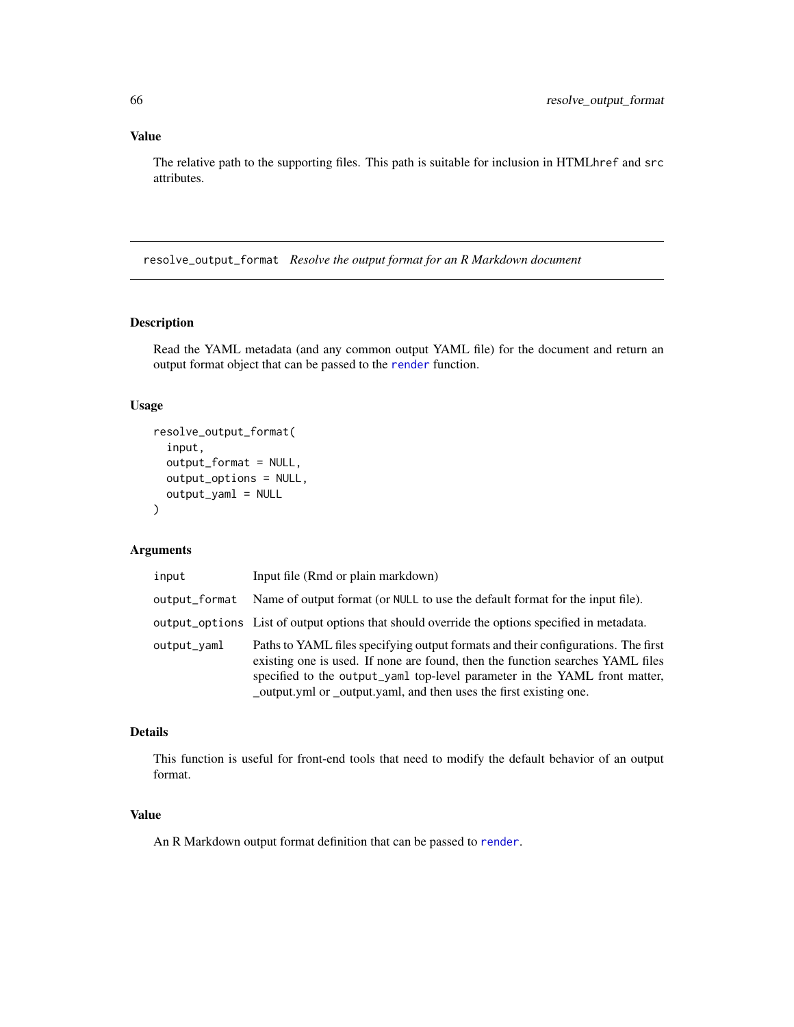# Value

The relative path to the supporting files. This path is suitable for inclusion in HTMLhref and src attributes.

resolve\_output\_format *Resolve the output format for an R Markdown document*

# Description

Read the YAML metadata (and any common output YAML file) for the document and return an output format object that can be passed to the [render](#page-57-0) function.

# Usage

```
resolve_output_format(
  input,
  output_format = NULL,
 output_options = NULL,
  output_yaml = NULL
\lambda
```
## Arguments

| input         | Input file (Rmd or plain markdown)                                                                                                                                                                                                                                                                                      |
|---------------|-------------------------------------------------------------------------------------------------------------------------------------------------------------------------------------------------------------------------------------------------------------------------------------------------------------------------|
| output_format | Name of output format (or NULL to use the default format for the input file).                                                                                                                                                                                                                                           |
|               | output_options List of output options that should override the options specified in metadata.                                                                                                                                                                                                                           |
| output_yaml   | Paths to YAML files specifying output formats and their configurations. The first<br>existing one is used. If none are found, then the function searches YAML files<br>specified to the output_yaml top-level parameter in the YAML front matter,<br>_output.yml or _output.yaml, and then uses the first existing one. |

#### Details

This function is useful for front-end tools that need to modify the default behavior of an output format.

### Value

An R Markdown output format definition that can be passed to [render](#page-57-0).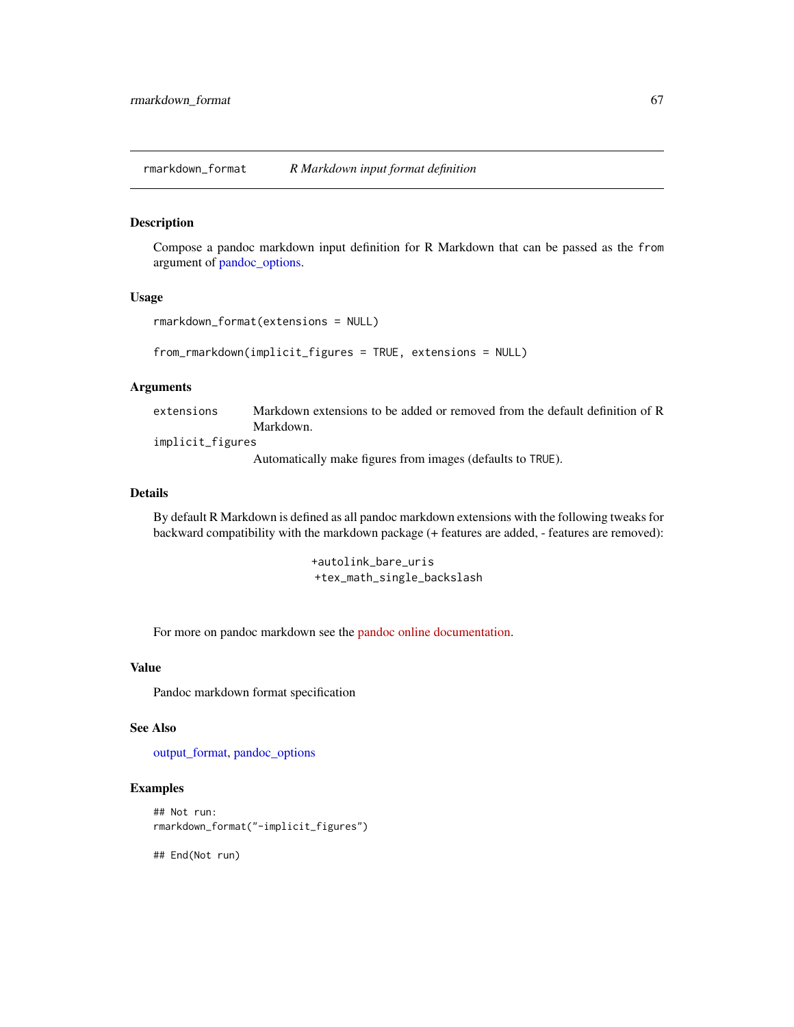<span id="page-66-0"></span>rmarkdown\_format *R Markdown input format definition*

#### Description

Compose a pandoc markdown input definition for R Markdown that can be passed as the from argument of [pandoc\\_options.](#page-49-0)

### Usage

```
rmarkdown_format(extensions = NULL)
```
from\_rmarkdown(implicit\_figures = TRUE, extensions = NULL)

#### Arguments

extensions Markdown extensions to be added or removed from the default definition of R Markdown.

implicit\_figures

Automatically make figures from images (defaults to TRUE).

### Details

By default R Markdown is defined as all pandoc markdown extensions with the following tweaks for backward compatibility with the markdown package (+ features are added, - features are removed):

> +autolink\_bare\_uris +tex\_math\_single\_backslash

For more on pandoc markdown see the [pandoc online documentation.](http://pandoc.org/README.html)

#### Value

Pandoc markdown format specification

#### See Also

[output\\_format,](#page-43-0) [pandoc\\_options](#page-49-0)

#### Examples

```
## Not run:
rmarkdown_format("-implicit_figures")
```
## End(Not run)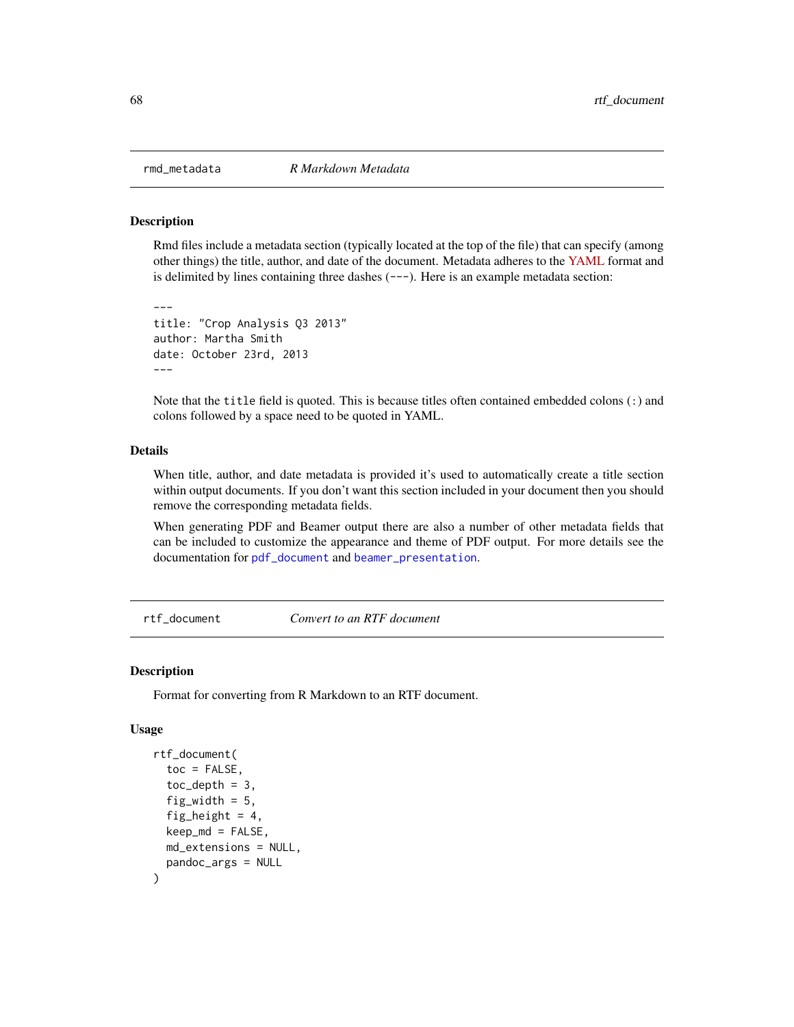<span id="page-67-0"></span>

#### Description

---

Rmd files include a metadata section (typically located at the top of the file) that can specify (among other things) the title, author, and date of the document. Metadata adheres to the [YAML](https://yaml.org) format and is delimited by lines containing three dashes  $(--)$ . Here is an example metadata section:

```
title: "Crop Analysis Q3 2013"
author: Martha Smith
date: October 23rd, 2013
---
```
Note that the title field is quoted. This is because titles often contained embedded colons (:) and colons followed by a space need to be quoted in YAML.

### Details

When title, author, and date metadata is provided it's used to automatically create a title section within output documents. If you don't want this section included in your document then you should remove the corresponding metadata fields.

When generating PDF and Beamer output there are also a number of other metadata fields that can be included to customize the appearance and theme of PDF output. For more details see the documentation for [pdf\\_document](#page-52-0) and [beamer\\_presentation](#page-4-0).

rtf\_document *Convert to an RTF document*

#### Description

Format for converting from R Markdown to an RTF document.

```
rtf_document(
  \text{toc} = \text{FALSE},
  toc\_depth = 3,
  fig_width = 5,
  fig_height = 4,
  keep_m d = FALSE,md_extensions = NULL,
  pandoc_args = NULL
)
```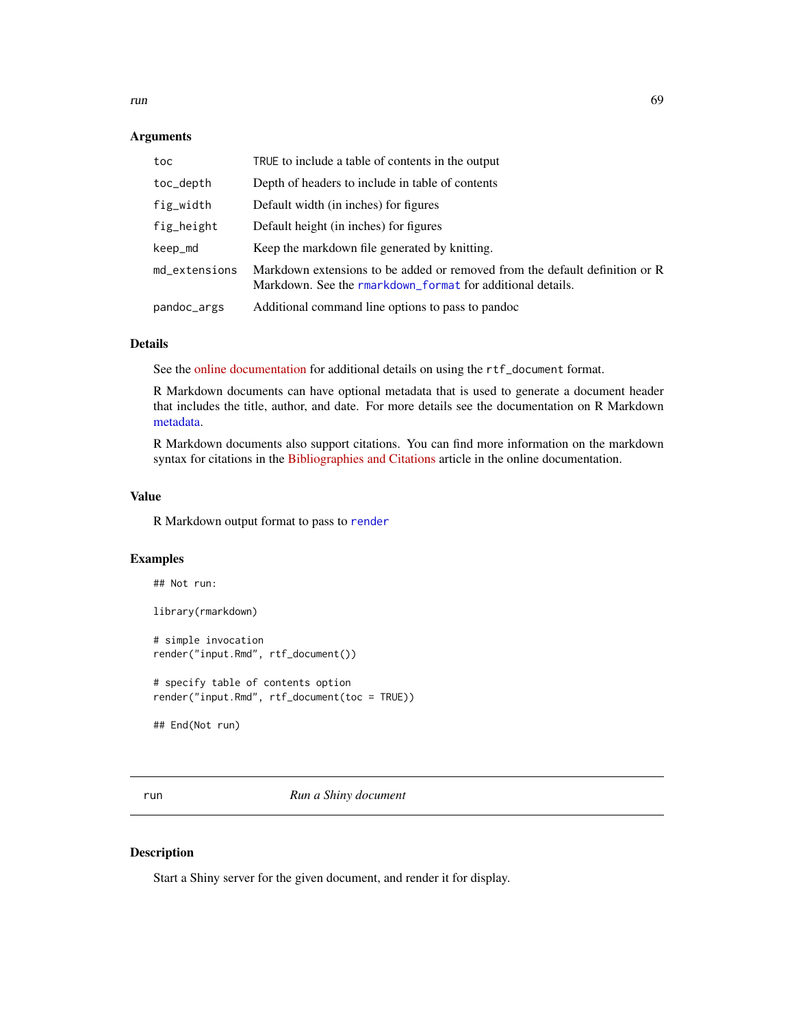run 69

### Arguments

| toc           | TRUE to include a table of contents in the output                                                                                         |
|---------------|-------------------------------------------------------------------------------------------------------------------------------------------|
| toc_depth     | Depth of headers to include in table of contents                                                                                          |
| fig_width     | Default width (in inches) for figures                                                                                                     |
| fig_height    | Default height (in inches) for figures                                                                                                    |
| keep_md       | Keep the markdown file generated by knitting.                                                                                             |
| md_extensions | Markdown extensions to be added or removed from the default definition or R<br>Markdown. See the rmarkdown_format for additional details. |
| pandoc_args   | Additional command line options to pass to pandoc                                                                                         |

### Details

See the [online documentation](https://rmarkdown.rstudio.com/rtf_document_format.html) for additional details on using the rtf\_document format.

R Markdown documents can have optional metadata that is used to generate a document header that includes the title, author, and date. For more details see the documentation on R Markdown [metadata.](#page-67-0)

R Markdown documents also support citations. You can find more information on the markdown syntax for citations in the [Bibliographies and Citations](https://rmarkdown.rstudio.com/authoring_bibliographies_and_citations.html) article in the online documentation.

### Value

R Markdown output format to pass to [render](#page-57-0)

### Examples

```
## Not run:
library(rmarkdown)
# simple invocation
render("input.Rmd", rtf_document())
# specify table of contents option
render("input.Rmd", rtf_document(toc = TRUE))
## End(Not run)
```
<span id="page-68-0"></span>run *Run a Shiny document*

### Description

Start a Shiny server for the given document, and render it for display.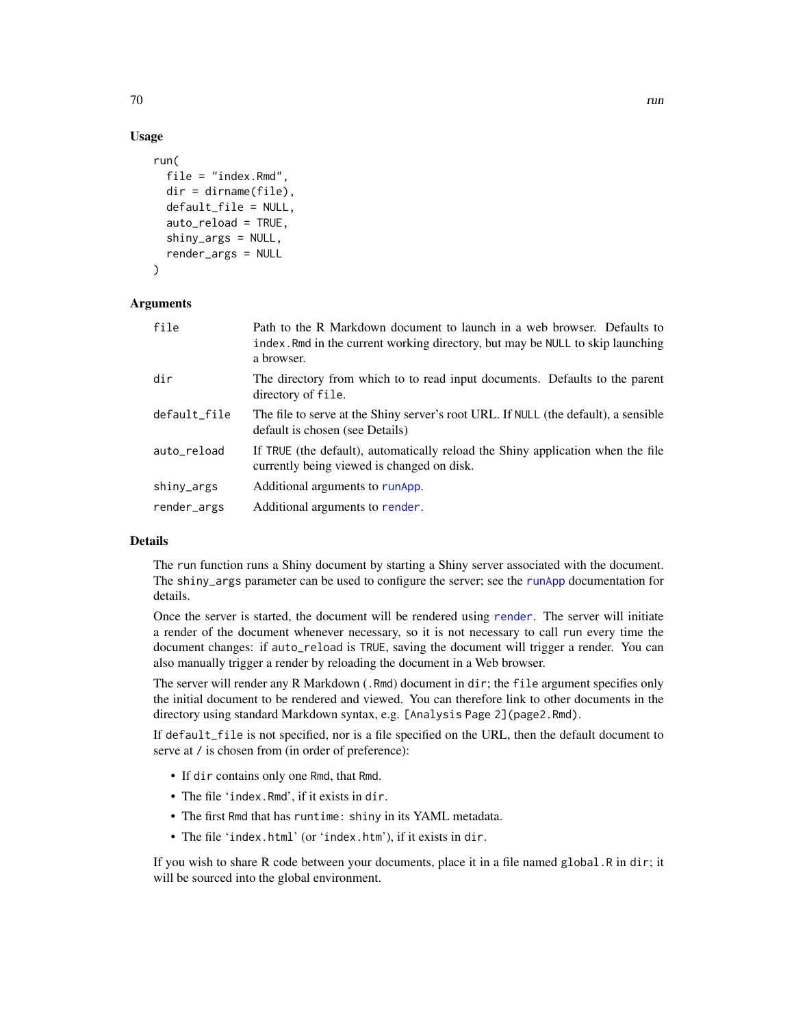## Usage

```
run(
  file = "index.Rmd",
  dir = dirname(file),
  default_file = NULL,
  auto_reload = TRUE,
  shiny_args = NULL,
  render_args = NULL
)
```
#### Arguments

| file         | Path to the R Markdown document to launch in a web browser. Defaults to<br>index. Rmd in the current working directory, but may be NULL to skip launching<br>a browser. |
|--------------|-------------------------------------------------------------------------------------------------------------------------------------------------------------------------|
| dir          | The directory from which to to read input documents. Defaults to the parent<br>directory of file.                                                                       |
| default_file | The file to serve at the Shiny server's root URL. If NULL (the default), a sensible<br>default is chosen (see Details)                                                  |
| auto_reload  | If TRUE (the default), automatically reload the Shiny application when the file<br>currently being viewed is changed on disk.                                           |
| shiny_args   | Additional arguments to runApp.                                                                                                                                         |
| render_args  | Additional arguments to render.                                                                                                                                         |

## Details

The run function runs a Shiny document by starting a Shiny server associated with the document. The shiny\_args parameter can be used to configure the server; see the [runApp](#page-0-0) documentation for details.

Once the server is started, the document will be rendered using [render](#page-57-0). The server will initiate a render of the document whenever necessary, so it is not necessary to call run every time the document changes: if auto\_reload is TRUE, saving the document will trigger a render. You can also manually trigger a render by reloading the document in a Web browser.

The server will render any R Markdown (.Rmd) document in dir; the file argument specifies only the initial document to be rendered and viewed. You can therefore link to other documents in the directory using standard Markdown syntax, e.g. [Analysis Page 2](page2.Rmd).

If default\_file is not specified, nor is a file specified on the URL, then the default document to serve at  $\ell$  is chosen from (in order of preference):

- If dir contains only one Rmd, that Rmd.
- The file 'index.Rmd', if it exists in dir.
- The first Rmd that has runtime: shiny in its YAML metadata.
- The file 'index.html' (or 'index.htm'), if it exists in dir.

If you wish to share R code between your documents, place it in a file named global.R in dir; it will be sourced into the global environment.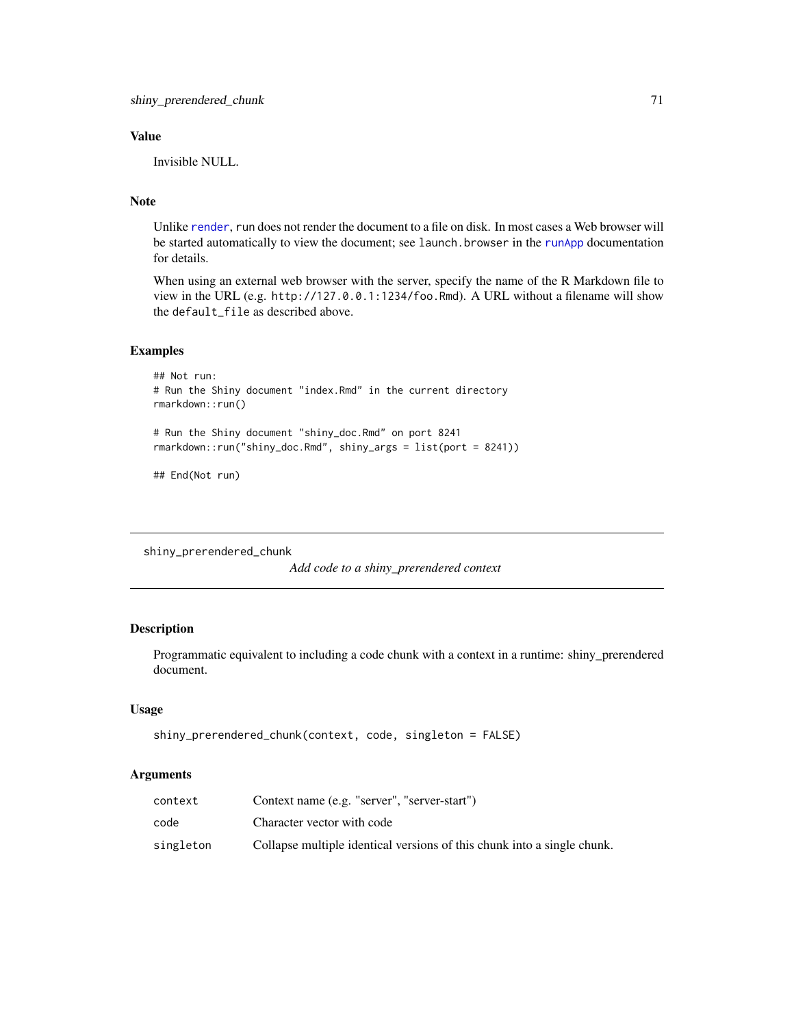### Value

Invisible NULL.

# Note

Unlike [render](#page-57-0), run does not render the document to a file on disk. In most cases a Web browser will be started automatically to view the document; see launch. browser in the [runApp](#page-0-0) documentation for details.

When using an external web browser with the server, specify the name of the R Markdown file to view in the URL (e.g. http://127.0.0.1:1234/foo.Rmd). A URL without a filename will show the default\_file as described above.

## Examples

```
## Not run:
# Run the Shiny document "index.Rmd" in the current directory
rmarkdown::run()
# Run the Shiny document "shiny_doc.Rmd" on port 8241
rmarkdown::run("shiny_doc.Rmd", shiny_args = list(port = 8241))
```
## End(Not run)

shiny\_prerendered\_chunk

*Add code to a shiny\_prerendered context*

### Description

Programmatic equivalent to including a code chunk with a context in a runtime: shiny\_prerendered document.

### Usage

```
shiny_prerendered_chunk(context, code, singleton = FALSE)
```

| context   | Context name (e.g. "server", "server-start")                            |
|-----------|-------------------------------------------------------------------------|
| code      | Character vector with code                                              |
| singleton | Collapse multiple identical versions of this chunk into a single chunk. |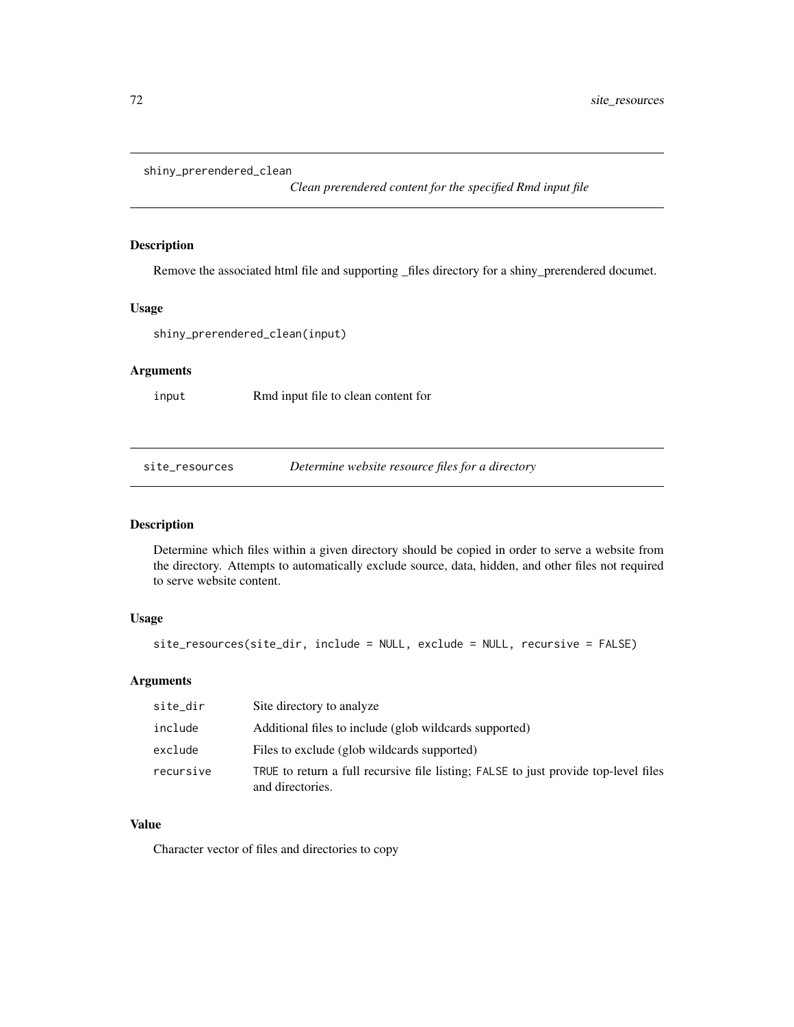```
shiny_prerendered_clean
```
*Clean prerendered content for the specified Rmd input file*

### Description

Remove the associated html file and supporting \_files directory for a shiny\_prerendered documet.

## Usage

```
shiny_prerendered_clean(input)
```
# Arguments

input Rmd input file to clean content for

site\_resources *Determine website resource files for a directory*

# Description

Determine which files within a given directory should be copied in order to serve a website from the directory. Attempts to automatically exclude source, data, hidden, and other files not required to serve website content.

### Usage

```
site_resources(site_dir, include = NULL, exclude = NULL, recursive = FALSE)
```
## Arguments

| site_dir  | Site directory to analyze                                                                               |
|-----------|---------------------------------------------------------------------------------------------------------|
| include   | Additional files to include (glob wildcards supported)                                                  |
| exclude   | Files to exclude (glob wildcards supported)                                                             |
| recursive | TRUE to return a full recursive file listing; FALSE to just provide top-level files<br>and directories. |

#### Value

Character vector of files and directories to copy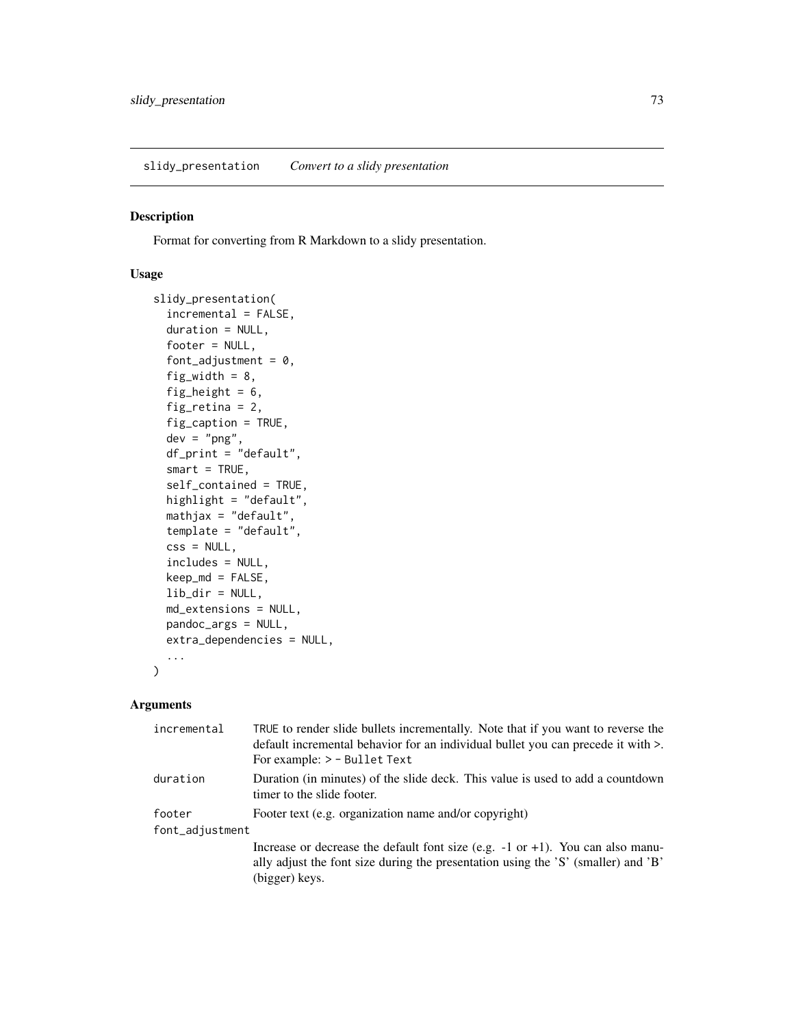<span id="page-72-0"></span>slidy\_presentation *Convert to a slidy presentation*

#### Description

Format for converting from R Markdown to a slidy presentation.

#### Usage

```
slidy_presentation(
  incremental = FALSE,
  duration = NULL,
  footer = NULL,
  font_adjustment = 0,
  fig_width = 8,
  fig_height = 6,
  fig_retina = 2,
  fig_caption = TRUE,
  dev = "png",df_print = "default",
  smart = TRUE,
  self_contained = TRUE,
 highlight = "default",
 mathjax = "default",
  template = "default",
  \text{css} = \text{NULL},
  includes = NULL,
 keep_md = FALSE,
 lib\_dir = NULL,md_extensions = NULL,
 pandoc_args = NULL,
  extra_dependencies = NULL,
  ...
)
```
#### Arguments

| incremental     | TRUE to render slide bullets incrementally. Note that if you want to reverse the<br>default incremental behavior for an individual bullet you can precede it with >.<br>For example: > - Bullet Text |  |
|-----------------|------------------------------------------------------------------------------------------------------------------------------------------------------------------------------------------------------|--|
| duration        | Duration (in minutes) of the slide deck. This value is used to add a countdown<br>timer to the slide footer.                                                                                         |  |
| footer          | Footer text (e.g. organization name and/or copyright)                                                                                                                                                |  |
| font_adjustment |                                                                                                                                                                                                      |  |
|                 | Increase or decrease the default font size (e.g. $-1$ or $+1$ ). You can also manu-<br>ally adjust the font size during the presentation using the 'S' (smaller) and 'B'<br>(bigger) keys.           |  |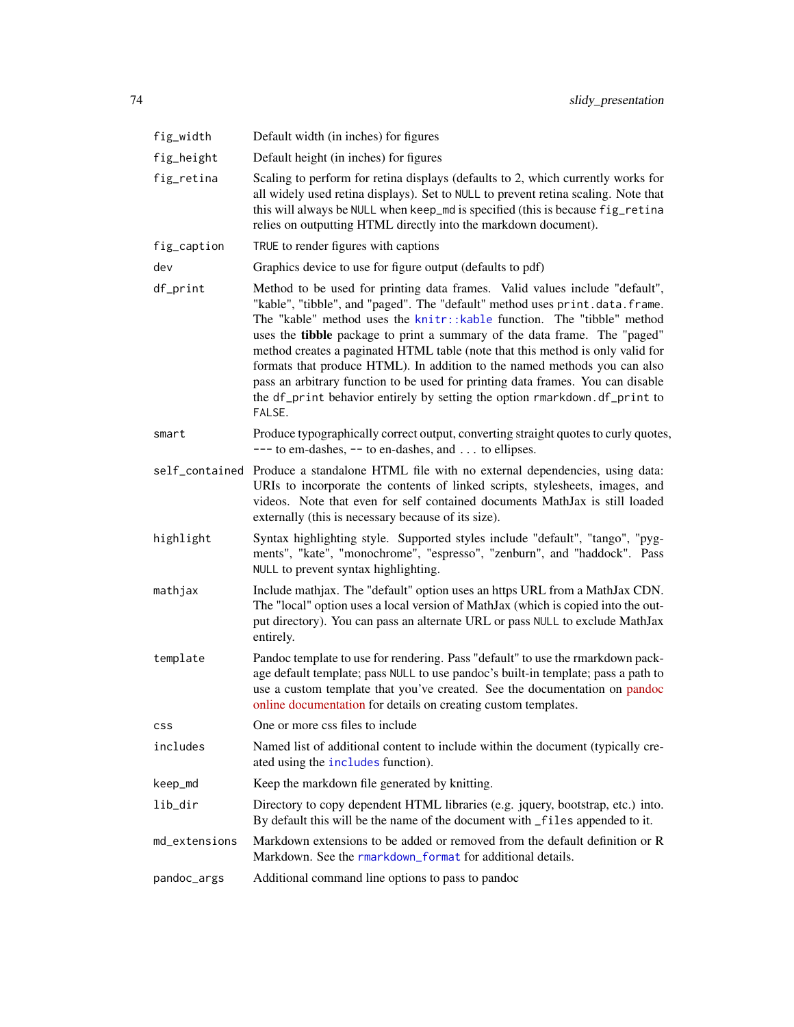<span id="page-73-0"></span>

| fig_width     | Default width (in inches) for figures                                                                                                                                                                                                                                                                                                                                                                                                                                                                                                                                                                                                                       |
|---------------|-------------------------------------------------------------------------------------------------------------------------------------------------------------------------------------------------------------------------------------------------------------------------------------------------------------------------------------------------------------------------------------------------------------------------------------------------------------------------------------------------------------------------------------------------------------------------------------------------------------------------------------------------------------|
| fig_height    | Default height (in inches) for figures                                                                                                                                                                                                                                                                                                                                                                                                                                                                                                                                                                                                                      |
| fig_retina    | Scaling to perform for retina displays (defaults to 2, which currently works for<br>all widely used retina displays). Set to NULL to prevent retina scaling. Note that<br>this will always be NULL when keep_md is specified (this is because fig_retina<br>relies on outputting HTML directly into the markdown document).                                                                                                                                                                                                                                                                                                                                 |
| fig_caption   | TRUE to render figures with captions                                                                                                                                                                                                                                                                                                                                                                                                                                                                                                                                                                                                                        |
| dev           | Graphics device to use for figure output (defaults to pdf)                                                                                                                                                                                                                                                                                                                                                                                                                                                                                                                                                                                                  |
| df_print      | Method to be used for printing data frames. Valid values include "default",<br>"kable", "tibble", and "paged". The "default" method uses print.data.frame.<br>The "kable" method uses the knitr::kable function. The "tibble" method<br>uses the tibble package to print a summary of the data frame. The "paged"<br>method creates a paginated HTML table (note that this method is only valid for<br>formats that produce HTML). In addition to the named methods you can also<br>pass an arbitrary function to be used for printing data frames. You can disable<br>the df_print behavior entirely by setting the option rmarkdown.df_print to<br>FALSE. |
| smart         | Produce typographically correct output, converting straight quotes to curly quotes,<br>$---$ to em-dashes, $--$ to en-dashes, and  to ellipses.                                                                                                                                                                                                                                                                                                                                                                                                                                                                                                             |
|               | self_contained Produce a standalone HTML file with no external dependencies, using data:<br>URIs to incorporate the contents of linked scripts, stylesheets, images, and<br>videos. Note that even for self contained documents MathJax is still loaded<br>externally (this is necessary because of its size).                                                                                                                                                                                                                                                                                                                                              |
| highlight     | Syntax highlighting style. Supported styles include "default", "tango", "pyg-<br>ments", "kate", "monochrome", "espresso", "zenburn", and "haddock". Pass<br>NULL to prevent syntax highlighting.                                                                                                                                                                                                                                                                                                                                                                                                                                                           |
| mathjax       | Include mathjax. The "default" option uses an https URL from a MathJax CDN.<br>The "local" option uses a local version of MathJax (which is copied into the out-<br>put directory). You can pass an alternate URL or pass NULL to exclude MathJax<br>entirely.                                                                                                                                                                                                                                                                                                                                                                                              |
| template      | Pandoc template to use for rendering. Pass "default" to use the rmarkdown pack-<br>age default template; pass NULL to use pandoc's built-in template; pass a path to<br>use a custom template that you've created. See the documentation on pandoc<br>online documentation for details on creating custom templates.                                                                                                                                                                                                                                                                                                                                        |
| <b>CSS</b>    | One or more css files to include                                                                                                                                                                                                                                                                                                                                                                                                                                                                                                                                                                                                                            |
| includes      | Named list of additional content to include within the document (typically cre-<br>ated using the includes function).                                                                                                                                                                                                                                                                                                                                                                                                                                                                                                                                       |
| keep_md       | Keep the markdown file generated by knitting.                                                                                                                                                                                                                                                                                                                                                                                                                                                                                                                                                                                                               |
| lib_dir       | Directory to copy dependent HTML libraries (e.g. jquery, bootstrap, etc.) into.<br>By default this will be the name of the document with _files appended to it.                                                                                                                                                                                                                                                                                                                                                                                                                                                                                             |
| md_extensions | Markdown extensions to be added or removed from the default definition or R<br>Markdown. See the rmarkdown_format for additional details.                                                                                                                                                                                                                                                                                                                                                                                                                                                                                                                   |
| pandoc_args   | Additional command line options to pass to pandoc                                                                                                                                                                                                                                                                                                                                                                                                                                                                                                                                                                                                           |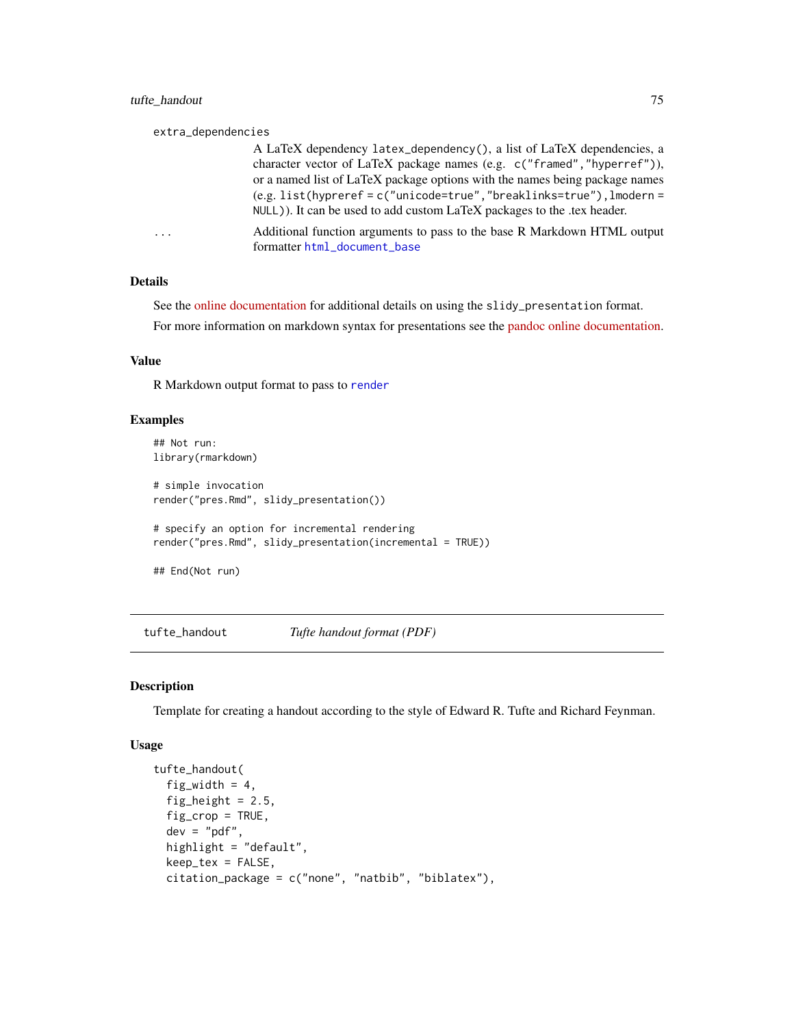#### <span id="page-74-0"></span>extra\_dependencies

A LaTeX dependency latex\_dependency(), a list of LaTeX dependencies, a character vector of LaTeX package names (e.g. c("framed","hyperref")), or a named list of LaTeX package options with the names being package names (e.g. list(hypreref = c("unicode=true","breaklinks=true"),lmodern = NULL)). It can be used to add custom LaTeX packages to the .tex header.

... Additional function arguments to pass to the base R Markdown HTML output formatter [html\\_document\\_base](#page-20-0)

#### Details

See the [online documentation](https://rmarkdown.rstudio.com/slidy_presentation_format.html) for additional details on using the slidy\_presentation format.

For more information on markdown syntax for presentations see the [pandoc online documentation.](https://pandoc.org/README.html)

#### Value

R Markdown output format to pass to [render](#page-57-0)

#### Examples

```
## Not run:
library(rmarkdown)
# simple invocation
render("pres.Rmd", slidy_presentation())
# specify an option for incremental rendering
render("pres.Rmd", slidy_presentation(incremental = TRUE))
```

```
## End(Not run)
```
tufte\_handout *Tufte handout format (PDF)*

#### **Description**

Template for creating a handout according to the style of Edward R. Tufte and Richard Feynman.

#### Usage

```
tufte_handout(
  fig_width = 4,
  fig_height = 2.5,
  fig_crop = TRUE,
 dev = "pdf",highlight = "default",
  keep_tex = FALSE,
  citation_package = c("none", "natbib", "biblatex"),
```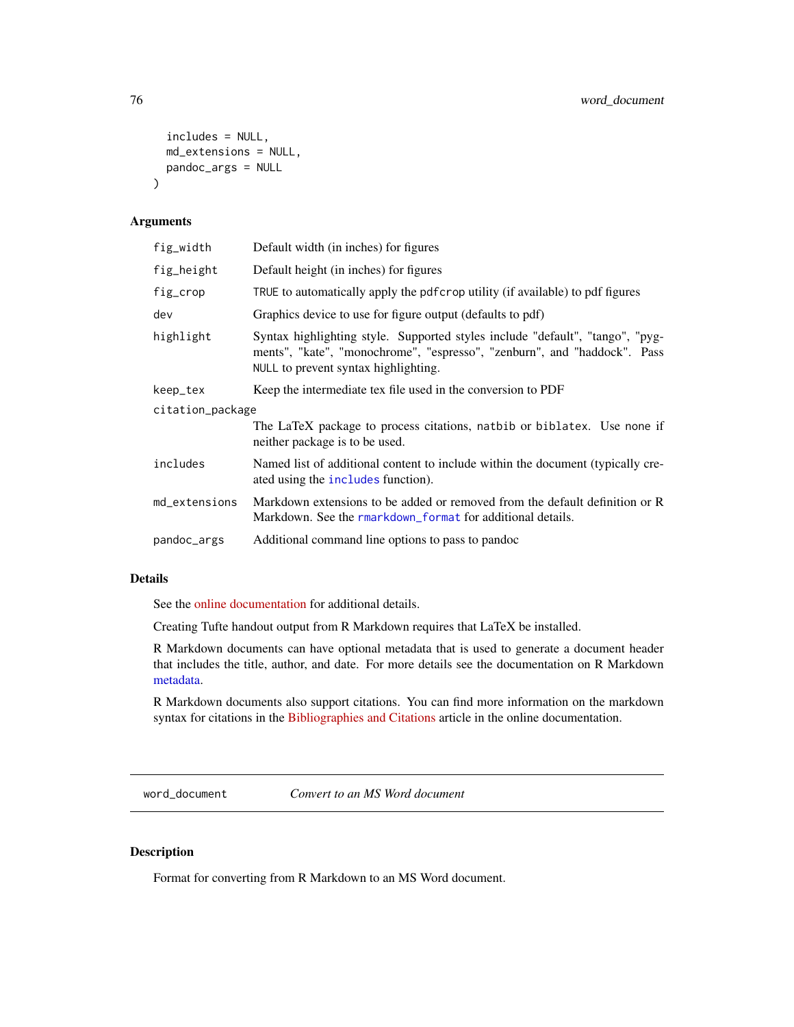```
includes = NULL,
 md_extensions = NULL,
  pandoc_args = NULL
\mathcal{L}
```
#### Arguments

| fig_width        | Default width (in inches) for figures                                                                                                                                                             |  |
|------------------|---------------------------------------------------------------------------------------------------------------------------------------------------------------------------------------------------|--|
| fig_height       | Default height (in inches) for figures                                                                                                                                                            |  |
| fig_crop         | TRUE to automatically apply the pdfcrop utility (if available) to pdf figures                                                                                                                     |  |
| dev              | Graphics device to use for figure output (defaults to pdf)                                                                                                                                        |  |
| highlight        | Syntax highlighting style. Supported styles include "default", "tango", "pyg-<br>ments", "kate", "monochrome", "espresso", "zenburn", and "haddock". Pass<br>NULL to prevent syntax highlighting. |  |
| keep_tex         | Keep the intermediate tex file used in the conversion to PDF                                                                                                                                      |  |
| citation_package |                                                                                                                                                                                                   |  |
|                  | The LaTeX package to process citations, natbib or biblatex. Use none if<br>neither package is to be used.                                                                                         |  |
| includes         | Named list of additional content to include within the document (typically cre-<br>ated using the includes function).                                                                             |  |
| md_extensions    | Markdown extensions to be added or removed from the default definition or R<br>Markdown. See the rmarkdown format for additional details.                                                         |  |
| pandoc_args      | Additional command line options to pass to pandoc                                                                                                                                                 |  |

#### Details

See the [online documentation](https://rmarkdown.rstudio.com/tufte_handout_format.html) for additional details.

Creating Tufte handout output from R Markdown requires that LaTeX be installed.

R Markdown documents can have optional metadata that is used to generate a document header that includes the title, author, and date. For more details see the documentation on R Markdown [metadata.](#page-67-0)

R Markdown documents also support citations. You can find more information on the markdown syntax for citations in the [Bibliographies and Citations](https://rmarkdown.rstudio.com/authoring_bibliographies_and_citations.html) article in the online documentation.

word\_document *Convert to an MS Word document*

#### Description

Format for converting from R Markdown to an MS Word document.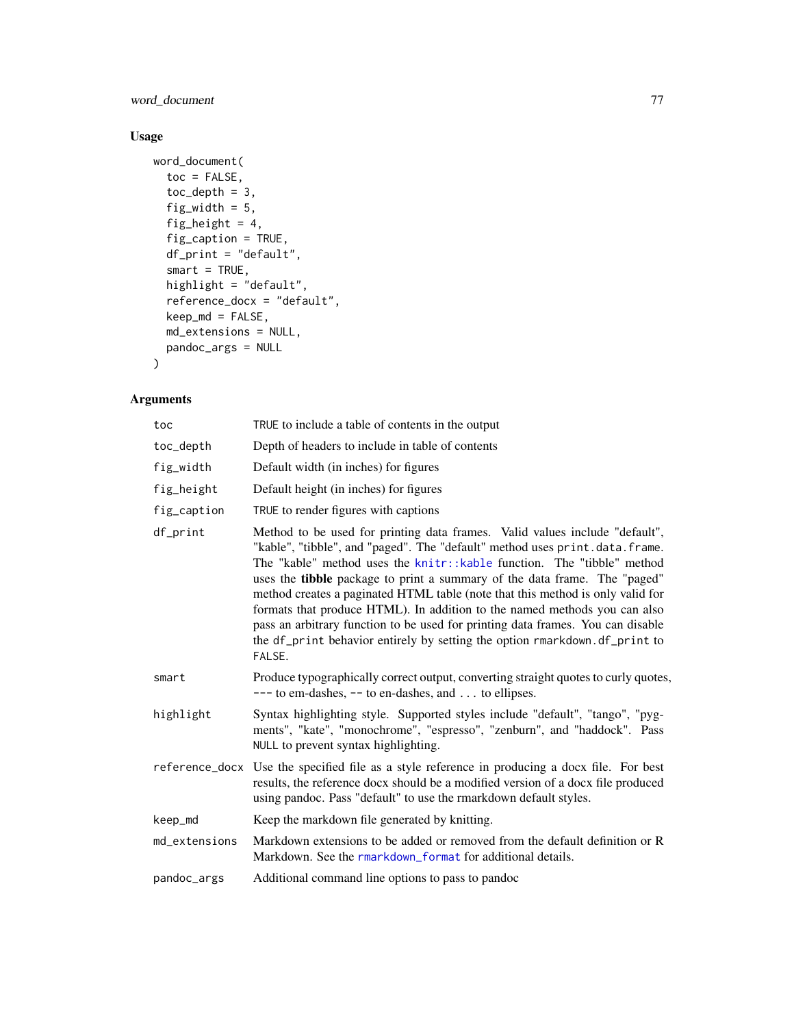<span id="page-76-0"></span>word\_document 77

### Usage

```
word_document(
  toc = FALSE,
  toc\_depth = 3,
  fig_width = 5,
  fig_height = 4,
  fig_caption = TRUE,
  df_print = "default",
  smart = TRUE,highlight = "default",
  reference_docx = "default",
  keep\_md = FALSE,md_extensions = NULL,
  pandoc_args = NULL
\mathcal{L}
```
## Arguments

| toc           | TRUE to include a table of contents in the output                                                                                                                                                                                                                                                                                                                                                                                                                                                                                                                                                                                                            |
|---------------|--------------------------------------------------------------------------------------------------------------------------------------------------------------------------------------------------------------------------------------------------------------------------------------------------------------------------------------------------------------------------------------------------------------------------------------------------------------------------------------------------------------------------------------------------------------------------------------------------------------------------------------------------------------|
| toc_depth     | Depth of headers to include in table of contents                                                                                                                                                                                                                                                                                                                                                                                                                                                                                                                                                                                                             |
| fig_width     | Default width (in inches) for figures                                                                                                                                                                                                                                                                                                                                                                                                                                                                                                                                                                                                                        |
| fig_height    | Default height (in inches) for figures                                                                                                                                                                                                                                                                                                                                                                                                                                                                                                                                                                                                                       |
| fig_caption   | TRUE to render figures with captions                                                                                                                                                                                                                                                                                                                                                                                                                                                                                                                                                                                                                         |
| df_print      | Method to be used for printing data frames. Valid values include "default",<br>"kable", "tibble", and "paged". The "default" method uses print.data.frame.<br>The "kable" method uses the knitr:: kable function. The "tibble" method<br>uses the tibble package to print a summary of the data frame. The "paged"<br>method creates a paginated HTML table (note that this method is only valid for<br>formats that produce HTML). In addition to the named methods you can also<br>pass an arbitrary function to be used for printing data frames. You can disable<br>the df_print behavior entirely by setting the option rmarkdown.df_print to<br>FALSE. |
| smart         | Produce typographically correct output, converting straight quotes to curly quotes,<br>$---$ to em-dashes, $--$ to en-dashes, and  to ellipses.                                                                                                                                                                                                                                                                                                                                                                                                                                                                                                              |
| highlight     | Syntax highlighting style. Supported styles include "default", "tango", "pyg-<br>ments", "kate", "monochrome", "espresso", "zenburn", and "haddock". Pass<br>NULL to prevent syntax highlighting.                                                                                                                                                                                                                                                                                                                                                                                                                                                            |
|               | reference_docx Use the specified file as a style reference in producing a docx file. For best<br>results, the reference docx should be a modified version of a docx file produced<br>using pandoc. Pass "default" to use the rmarkdown default styles.                                                                                                                                                                                                                                                                                                                                                                                                       |
| keep_md       | Keep the markdown file generated by knitting.                                                                                                                                                                                                                                                                                                                                                                                                                                                                                                                                                                                                                |
| md_extensions | Markdown extensions to be added or removed from the default definition or R<br>Markdown. See the rmarkdown_format for additional details.                                                                                                                                                                                                                                                                                                                                                                                                                                                                                                                    |
| pandoc_args   | Additional command line options to pass to pandoc                                                                                                                                                                                                                                                                                                                                                                                                                                                                                                                                                                                                            |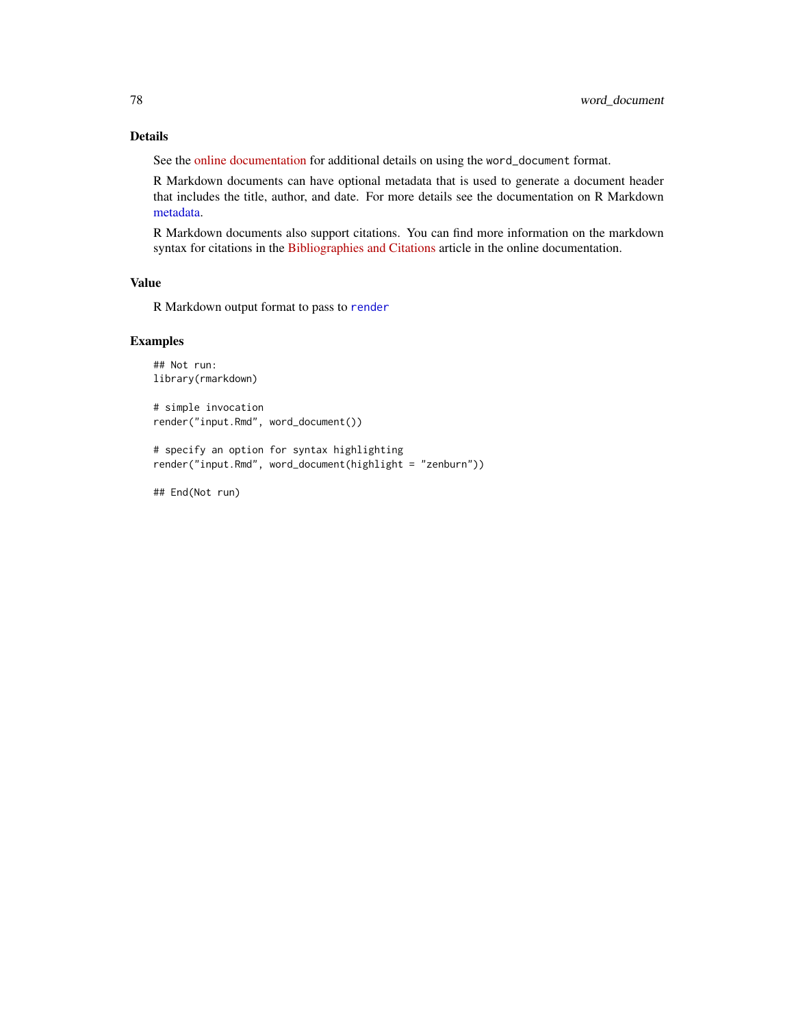#### <span id="page-77-0"></span>Details

See the [online documentation](https://rmarkdown.rstudio.com/word_document_format.html) for additional details on using the word\_document format.

R Markdown documents can have optional metadata that is used to generate a document header that includes the title, author, and date. For more details see the documentation on R Markdown [metadata.](#page-67-0)

R Markdown documents also support citations. You can find more information on the markdown syntax for citations in the [Bibliographies and Citations](https://rmarkdown.rstudio.com/authoring_bibliographies_and_citations.html) article in the online documentation.

#### Value

R Markdown output format to pass to [render](#page-57-0)

#### Examples

```
## Not run:
library(rmarkdown)
# simple invocation
render("input.Rmd", word_document())
# specify an option for syntax highlighting
render("input.Rmd", word_document(highlight = "zenburn"))
```
## End(Not run)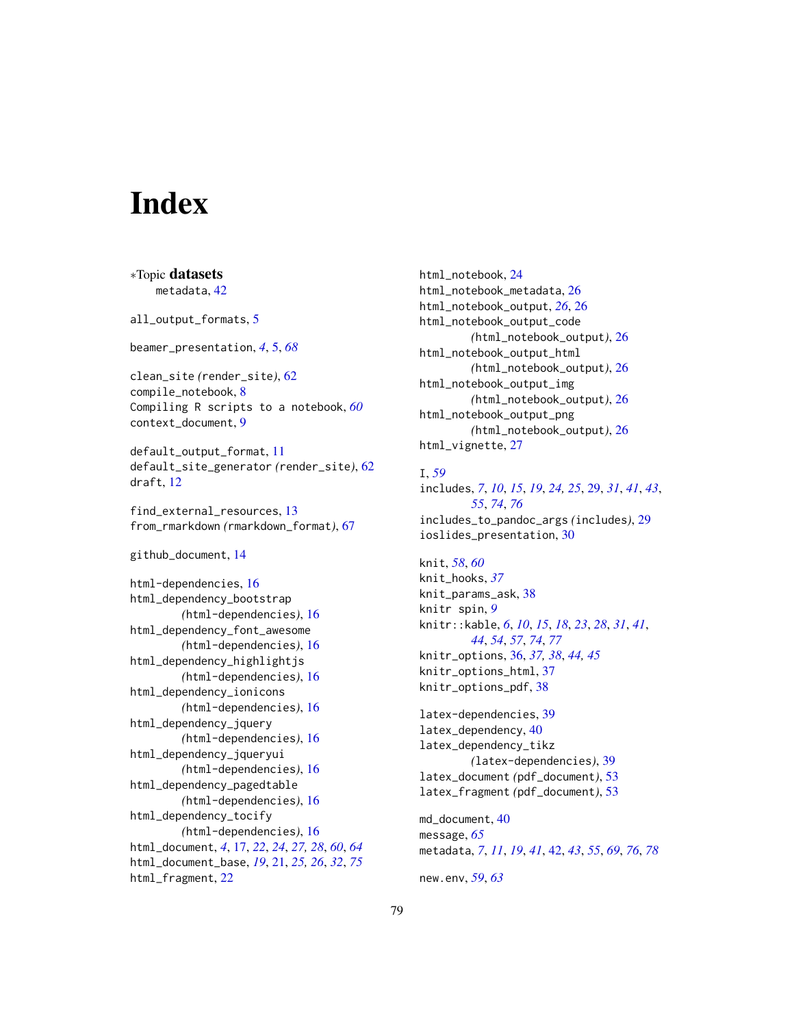# **Index**

∗Topic datasets metadata, [42](#page-41-0) all\_output\_formats, [5](#page-4-0) beamer\_presentation, *[4](#page-3-0)*, [5,](#page-4-0) *[68](#page-67-1)* clean\_site *(*render\_site*)*, [62](#page-61-0) compile\_notebook, [8](#page-7-0) Compiling R scripts to a notebook, *[60](#page-59-0)* context\_document, [9](#page-8-0) default\_output\_format, [11](#page-10-0) default\_site\_generator *(*render\_site*)*, [62](#page-61-0) draft, [12](#page-11-0) find\_external\_resources, [13](#page-12-0) from\_rmarkdown *(*rmarkdown\_format*)*, [67](#page-66-1) github\_document, [14](#page-13-0) html-dependencies, [16](#page-15-0) html\_dependency\_bootstrap *(*html-dependencies*)*, [16](#page-15-0) html\_dependency\_font\_awesome *(*html-dependencies*)*, [16](#page-15-0) html\_dependency\_highlightjs *(*html-dependencies*)*, [16](#page-15-0) html\_dependency\_ionicons *(*html-dependencies*)*, [16](#page-15-0) html\_dependency\_jquery *(*html-dependencies*)*, [16](#page-15-0) html\_dependency\_jqueryui *(*html-dependencies*)*, [16](#page-15-0) html\_dependency\_pagedtable *(*html-dependencies*)*, [16](#page-15-0) html\_dependency\_tocify *(*html-dependencies*)*, [16](#page-15-0) html\_document, *[4](#page-3-0)*, [17,](#page-16-0) *[22](#page-21-0)*, *[24](#page-23-0)*, *[27,](#page-26-0) [28](#page-27-0)*, *[60](#page-59-0)*, *[64](#page-63-0)* html\_document\_base, *[19](#page-18-0)*, [21,](#page-20-1) *[25,](#page-24-0) [26](#page-25-0)*, *[32](#page-31-0)*, *[75](#page-74-0)* html\_fragment, [22](#page-21-0)

html\_notebook, [24](#page-23-0) html\_notebook\_metadata, [26](#page-25-0) html\_notebook\_output, *[26](#page-25-0)*, [26](#page-25-0) html\_notebook\_output\_code *(*html\_notebook\_output*)*, [26](#page-25-0) html\_notebook\_output\_html *(*html\_notebook\_output*)*, [26](#page-25-0) html\_notebook\_output\_img *(*html\_notebook\_output*)*, [26](#page-25-0) html\_notebook\_output\_png *(*html\_notebook\_output*)*, [26](#page-25-0) html\_vignette, [27](#page-26-0)

#### I, *[59](#page-58-0)*

includes, *[7](#page-6-0)*, *[10](#page-9-0)*, *[15](#page-14-0)*, *[19](#page-18-0)*, *[24,](#page-23-0) [25](#page-24-0)*, [29,](#page-28-1) *[31](#page-30-0)*, *[41](#page-40-0)*, *[43](#page-42-0)*, *[55](#page-54-0)*, *[74](#page-73-0)*, *[76](#page-75-0)* includes\_to\_pandoc\_args *(*includes*)*, [29](#page-28-1) ioslides\_presentation, [30](#page-29-0)

knit, *[58](#page-57-1)*, *[60](#page-59-0)* knit\_hooks, *[37](#page-36-0)* knit\_params\_ask, [38](#page-37-0) knitr spin, *[9](#page-8-0)* knitr::kable, *[6](#page-5-0)*, *[10](#page-9-0)*, *[15](#page-14-0)*, *[18](#page-17-0)*, *[23](#page-22-0)*, *[28](#page-27-0)*, *[31](#page-30-0)*, *[41](#page-40-0)*, *[44](#page-43-0)*, *[54](#page-53-0)*, *[57](#page-56-0)*, *[74](#page-73-0)*, *[77](#page-76-0)* knitr\_options, [36,](#page-35-0) *[37,](#page-36-0) [38](#page-37-0)*, *[44,](#page-43-0) [45](#page-44-0)* knitr\_options\_html, [37](#page-36-0) knitr\_options\_pdf, [38](#page-37-0)

latex-dependencies, [39](#page-38-0) latex\_dependency, [40](#page-39-0) latex\_dependency\_tikz *(*latex-dependencies*)*, [39](#page-38-0) latex\_document *(*pdf\_document*)*, [53](#page-52-0) latex\_fragment *(*pdf\_document*)*, [53](#page-52-0)

md\_document, [40](#page-39-0) message, *[65](#page-64-0)* metadata, *[7](#page-6-0)*, *[11](#page-10-0)*, *[19](#page-18-0)*, *[41](#page-40-0)*, [42,](#page-41-0) *[43](#page-42-0)*, *[55](#page-54-0)*, *[69](#page-68-0)*, *[76](#page-75-0)*, *[78](#page-77-0)*

new.env, *[59](#page-58-0)*, *[63](#page-62-0)*